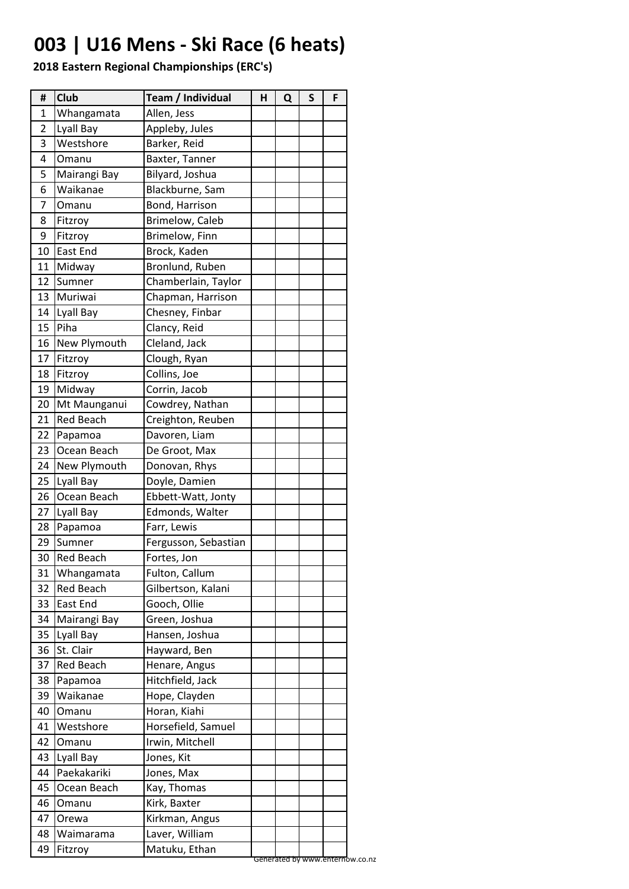# **003 | U16 Mens - Ski Race (6 heats)**

| #  | <b>Club</b>      | Team / Individual    | Н | Q | S | F |
|----|------------------|----------------------|---|---|---|---|
| 1  | Whangamata       | Allen, Jess          |   |   |   |   |
| 2  | Lyall Bay        | Appleby, Jules       |   |   |   |   |
| 3  | Westshore        | Barker, Reid         |   |   |   |   |
| 4  | Omanu            | Baxter, Tanner       |   |   |   |   |
| 5  | Mairangi Bay     | Bilyard, Joshua      |   |   |   |   |
| 6  | Waikanae         | Blackburne, Sam      |   |   |   |   |
| 7  | Omanu            | Bond, Harrison       |   |   |   |   |
| 8  | Fitzroy          | Brimelow, Caleb      |   |   |   |   |
| 9  | Fitzroy          | Brimelow, Finn       |   |   |   |   |
| 10 | East End         | Brock, Kaden         |   |   |   |   |
| 11 | Midway           | Bronlund, Ruben      |   |   |   |   |
| 12 | Sumner           | Chamberlain, Taylor  |   |   |   |   |
| 13 | Muriwai          | Chapman, Harrison    |   |   |   |   |
| 14 | Lyall Bay        | Chesney, Finbar      |   |   |   |   |
| 15 | Piha             | Clancy, Reid         |   |   |   |   |
| 16 | New Plymouth     | Cleland, Jack        |   |   |   |   |
| 17 | Fitzroy          | Clough, Ryan         |   |   |   |   |
| 18 | Fitzroy          | Collins, Joe         |   |   |   |   |
| 19 | Midway           | Corrin, Jacob        |   |   |   |   |
| 20 | Mt Maunganui     | Cowdrey, Nathan      |   |   |   |   |
| 21 | <b>Red Beach</b> | Creighton, Reuben    |   |   |   |   |
| 22 | Papamoa          | Davoren, Liam        |   |   |   |   |
| 23 | Ocean Beach      | De Groot, Max        |   |   |   |   |
| 24 | New Plymouth     | Donovan, Rhys        |   |   |   |   |
| 25 | Lyall Bay        | Doyle, Damien        |   |   |   |   |
| 26 | Ocean Beach      | Ebbett-Watt, Jonty   |   |   |   |   |
| 27 | Lyall Bay        | Edmonds, Walter      |   |   |   |   |
| 28 | Papamoa          | Farr, Lewis          |   |   |   |   |
| 29 | Sumner           | Fergusson, Sebastian |   |   |   |   |
| 30 | <b>Red Beach</b> | Fortes, Jon          |   |   |   |   |
| 31 | Whangamata       | Fulton, Callum       |   |   |   |   |
| 32 | <b>Red Beach</b> | Gilbertson, Kalani   |   |   |   |   |
| 33 | <b>East End</b>  | Gooch, Ollie         |   |   |   |   |
| 34 | Mairangi Bay     | Green, Joshua        |   |   |   |   |
| 35 | Lyall Bay        | Hansen, Joshua       |   |   |   |   |
| 36 | St. Clair        | Hayward, Ben         |   |   |   |   |
| 37 | <b>Red Beach</b> | Henare, Angus        |   |   |   |   |
| 38 | Papamoa          | Hitchfield, Jack     |   |   |   |   |
| 39 | Waikanae         | Hope, Clayden        |   |   |   |   |
| 40 | Omanu            | Horan, Kiahi         |   |   |   |   |
| 41 | Westshore        | Horsefield, Samuel   |   |   |   |   |
| 42 | Omanu            | Irwin, Mitchell      |   |   |   |   |
| 43 | Lyall Bay        | Jones, Kit           |   |   |   |   |
| 44 | Paekakariki      | Jones, Max           |   |   |   |   |
| 45 | Ocean Beach      | Kay, Thomas          |   |   |   |   |
| 46 | Omanu            | Kirk, Baxter         |   |   |   |   |
| 47 | Orewa            | Kirkman, Angus       |   |   |   |   |
| 48 | Waimarama        | Laver, William       |   |   |   |   |
| 49 | Fitzroy          | Matuku, Ethan        |   |   |   |   |
|    |                  |                      |   |   |   |   |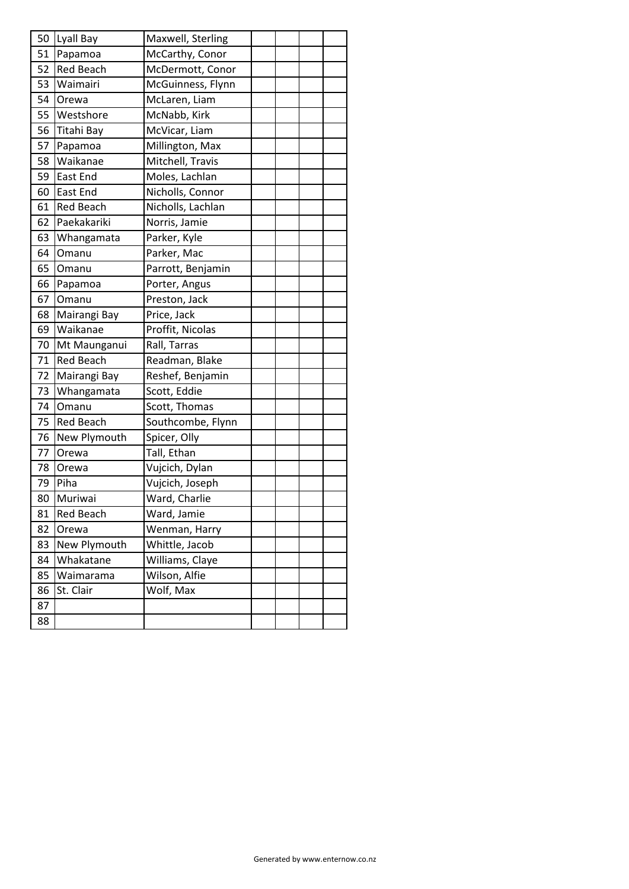| 50 | Lyall Bay        | Maxwell, Sterling |  |  |
|----|------------------|-------------------|--|--|
| 51 | Papamoa          | McCarthy, Conor   |  |  |
| 52 | <b>Red Beach</b> | McDermott, Conor  |  |  |
| 53 | Waimairi         | McGuinness, Flynn |  |  |
| 54 | Orewa            | McLaren, Liam     |  |  |
| 55 | Westshore        | McNabb, Kirk      |  |  |
| 56 | Titahi Bay       | McVicar, Liam     |  |  |
| 57 | Papamoa          | Millington, Max   |  |  |
| 58 | Waikanae         | Mitchell, Travis  |  |  |
| 59 | East End         | Moles, Lachlan    |  |  |
| 60 | <b>East End</b>  | Nicholls, Connor  |  |  |
| 61 | <b>Red Beach</b> | Nicholls, Lachlan |  |  |
| 62 | Paekakariki      | Norris, Jamie     |  |  |
| 63 | Whangamata       | Parker, Kyle      |  |  |
| 64 | Omanu            | Parker, Mac       |  |  |
| 65 | Omanu            | Parrott, Benjamin |  |  |
| 66 | Papamoa          | Porter, Angus     |  |  |
| 67 | Omanu            | Preston, Jack     |  |  |
| 68 | Mairangi Bay     | Price, Jack       |  |  |
| 69 | Waikanae         | Proffit, Nicolas  |  |  |
| 70 | Mt Maunganui     | Rall, Tarras      |  |  |
| 71 | <b>Red Beach</b> | Readman, Blake    |  |  |
| 72 | Mairangi Bay     | Reshef, Benjamin  |  |  |
| 73 | Whangamata       | Scott, Eddie      |  |  |
| 74 | Omanu            | Scott, Thomas     |  |  |
| 75 | <b>Red Beach</b> | Southcombe, Flynn |  |  |
| 76 | New Plymouth     | Spicer, Olly      |  |  |
| 77 | Orewa            | Tall, Ethan       |  |  |
| 78 | Orewa            | Vujcich, Dylan    |  |  |
| 79 | Piha             | Vujcich, Joseph   |  |  |
| 80 | Muriwai          | Ward, Charlie     |  |  |
| 81 | <b>Red Beach</b> | Ward, Jamie       |  |  |
| 82 | Orewa            | Wenman, Harry     |  |  |
| 83 | New Plymouth     | Whittle, Jacob    |  |  |
| 84 | Whakatane        | Williams, Claye   |  |  |
| 85 | Waimarama        | Wilson, Alfie     |  |  |
| 86 | St. Clair        | Wolf, Max         |  |  |
| 87 |                  |                   |  |  |
| 88 |                  |                   |  |  |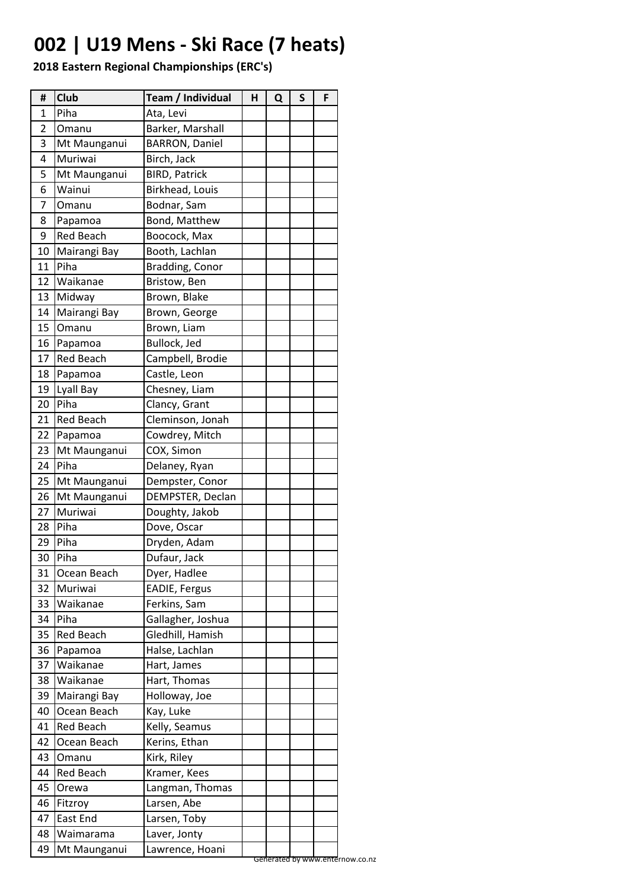# **002 | U19 Mens - Ski Race (7 heats)**

| #  | <b>Club</b>      | Team / Individual     | н | Q | S                               | F |
|----|------------------|-----------------------|---|---|---------------------------------|---|
| 1  | Piha             | Ata, Levi             |   |   |                                 |   |
| 2  | Omanu            | Barker, Marshall      |   |   |                                 |   |
| 3  | Mt Maunganui     | <b>BARRON, Daniel</b> |   |   |                                 |   |
| 4  | Muriwai          | Birch, Jack           |   |   |                                 |   |
| 5  | Mt Maunganui     | <b>BIRD, Patrick</b>  |   |   |                                 |   |
| 6  | Wainui           | Birkhead, Louis       |   |   |                                 |   |
| 7  | Omanu            | Bodnar, Sam           |   |   |                                 |   |
| 8  | Papamoa          | Bond, Matthew         |   |   |                                 |   |
| 9  | <b>Red Beach</b> | Boocock, Max          |   |   |                                 |   |
| 10 | Mairangi Bay     | Booth, Lachlan        |   |   |                                 |   |
| 11 | Piha             | Bradding, Conor       |   |   |                                 |   |
| 12 | Waikanae         | Bristow, Ben          |   |   |                                 |   |
| 13 | Midway           | Brown, Blake          |   |   |                                 |   |
| 14 | Mairangi Bay     | Brown, George         |   |   |                                 |   |
| 15 | Omanu            | Brown, Liam           |   |   |                                 |   |
| 16 | Papamoa          | Bullock, Jed          |   |   |                                 |   |
| 17 | <b>Red Beach</b> | Campbell, Brodie      |   |   |                                 |   |
| 18 | Papamoa          | Castle, Leon          |   |   |                                 |   |
| 19 | Lyall Bay        | Chesney, Liam         |   |   |                                 |   |
| 20 | Piha             | Clancy, Grant         |   |   |                                 |   |
| 21 | <b>Red Beach</b> | Cleminson, Jonah      |   |   |                                 |   |
| 22 | Papamoa          | Cowdrey, Mitch        |   |   |                                 |   |
| 23 | Mt Maunganui     | COX, Simon            |   |   |                                 |   |
| 24 | Piha             | Delaney, Ryan         |   |   |                                 |   |
| 25 | Mt Maunganui     | Dempster, Conor       |   |   |                                 |   |
| 26 | Mt Maunganui     | DEMPSTER, Declan      |   |   |                                 |   |
| 27 | Muriwai          | Doughty, Jakob        |   |   |                                 |   |
| 28 | Piha             | Dove, Oscar           |   |   |                                 |   |
| 29 | Piha             | Dryden, Adam          |   |   |                                 |   |
| 30 | Piha             | Dufaur, Jack          |   |   |                                 |   |
| 31 | Ocean Beach      | Dyer, Hadlee          |   |   |                                 |   |
| 32 | Muriwai          | EADIE, Fergus         |   |   |                                 |   |
| 33 | Waikanae         | Ferkins, Sam          |   |   |                                 |   |
| 34 | Piha             | Gallagher, Joshua     |   |   |                                 |   |
| 35 | <b>Red Beach</b> | Gledhill, Hamish      |   |   |                                 |   |
| 36 | Papamoa          | Halse, Lachlan        |   |   |                                 |   |
| 37 | Waikanae         | Hart, James           |   |   |                                 |   |
| 38 | Waikanae         | Hart, Thomas          |   |   |                                 |   |
| 39 | Mairangi Bay     | Holloway, Joe         |   |   |                                 |   |
| 40 | Ocean Beach      | Kay, Luke             |   |   |                                 |   |
| 41 | Red Beach        | Kelly, Seamus         |   |   |                                 |   |
| 42 | Ocean Beach      | Kerins, Ethan         |   |   |                                 |   |
| 43 | Omanu            | Kirk, Riley           |   |   |                                 |   |
| 44 | <b>Red Beach</b> | Kramer, Kees          |   |   |                                 |   |
| 45 | Orewa            | Langman, Thomas       |   |   |                                 |   |
| 46 | Fitzroy          | Larsen, Abe           |   |   |                                 |   |
| 47 | East End         | Larsen, Toby          |   |   |                                 |   |
| 48 | Waimarama        | Laver, Jonty          |   |   |                                 |   |
| 49 | Mt Maunganui     | Lawrence, Hoani       |   |   |                                 |   |
|    |                  |                       |   |   | Generated by www.enternow.co.nz |   |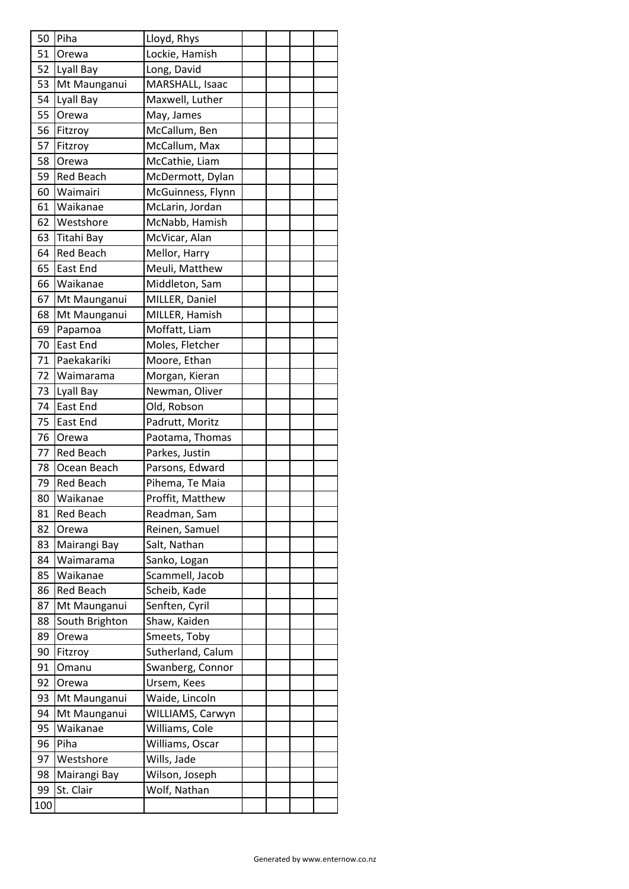| 50       | Piha                      | Lloyd, Rhys                    |  |  |
|----------|---------------------------|--------------------------------|--|--|
| 51       | Orewa                     | Lockie, Hamish                 |  |  |
| 52       | Lyall Bay                 | Long, David                    |  |  |
| 53       | Mt Maunganui              | MARSHALL, Isaac                |  |  |
| 54       | Lyall Bay                 | Maxwell, Luther                |  |  |
| 55       | Orewa                     | May, James                     |  |  |
| 56       | Fitzroy                   | McCallum, Ben                  |  |  |
| 57       | Fitzroy                   | McCallum, Max                  |  |  |
| 58       | Orewa                     | McCathie, Liam                 |  |  |
| 59       | <b>Red Beach</b>          | McDermott, Dylan               |  |  |
| 60       | Waimairi                  | McGuinness, Flynn              |  |  |
| 61       | Waikanae                  | McLarin, Jordan                |  |  |
| 62       | Westshore                 | McNabb, Hamish                 |  |  |
| 63       | Titahi Bay                | McVicar, Alan                  |  |  |
| 64       | <b>Red Beach</b>          | Mellor, Harry                  |  |  |
| 65       | <b>East End</b>           | Meuli, Matthew                 |  |  |
| 66       | Waikanae                  | Middleton, Sam                 |  |  |
| 67       | Mt Maunganui              | MILLER, Daniel                 |  |  |
| 68       | Mt Maunganui              | MILLER, Hamish                 |  |  |
| 69       | Papamoa                   | Moffatt, Liam                  |  |  |
| 70       | East End                  | Moles, Fletcher                |  |  |
| 71       | Paekakariki               | Moore, Ethan                   |  |  |
| 72       | Waimarama                 | Morgan, Kieran                 |  |  |
| 73       | Lyall Bay                 | Newman, Oliver                 |  |  |
| 74       | <b>East End</b>           | Old, Robson                    |  |  |
| 75       | East End                  | Padrutt, Moritz                |  |  |
| 76       | Orewa                     | Paotama, Thomas                |  |  |
| 77       | <b>Red Beach</b>          | Parkes, Justin                 |  |  |
| 78       | Ocean Beach               | Parsons, Edward                |  |  |
| 79       | <b>Red Beach</b>          | Pihema, Te Maia                |  |  |
| 80       | Waikanae                  | Proffit, Matthew               |  |  |
| 81       | <b>Red Beach</b>          | Readman, Sam                   |  |  |
| 82       | Orewa                     | Reinen, Samuel                 |  |  |
| 83       | Mairangi Bay              | Salt, Nathan                   |  |  |
| 84       | Waimarama                 | Sanko, Logan                   |  |  |
| 85       | Waikanae                  | Scammell, Jacob                |  |  |
| 86       | <b>Red Beach</b>          | Scheib, Kade                   |  |  |
| 87       | Mt Maunganui              | Senften, Cyril                 |  |  |
| 88       | South Brighton            | Shaw, Kaiden                   |  |  |
| 89       | Orewa                     | Smeets, Toby                   |  |  |
| 90       | Fitzroy                   | Sutherland, Calum              |  |  |
| 91       | Omanu                     | Swanberg, Connor               |  |  |
| 92       | Orewa                     | Ursem, Kees                    |  |  |
| 93       | Mt Maunganui              | Waide, Lincoln                 |  |  |
| 94       | Mt Maunganui              | WILLIAMS, Carwyn               |  |  |
|          |                           |                                |  |  |
|          |                           |                                |  |  |
| 95       | Waikanae                  | Williams, Cole                 |  |  |
| 96       | Piha                      | Williams, Oscar                |  |  |
| 97       | Westshore                 | Wills, Jade                    |  |  |
| 98<br>99 | Mairangi Bay<br>St. Clair | Wilson, Joseph<br>Wolf, Nathan |  |  |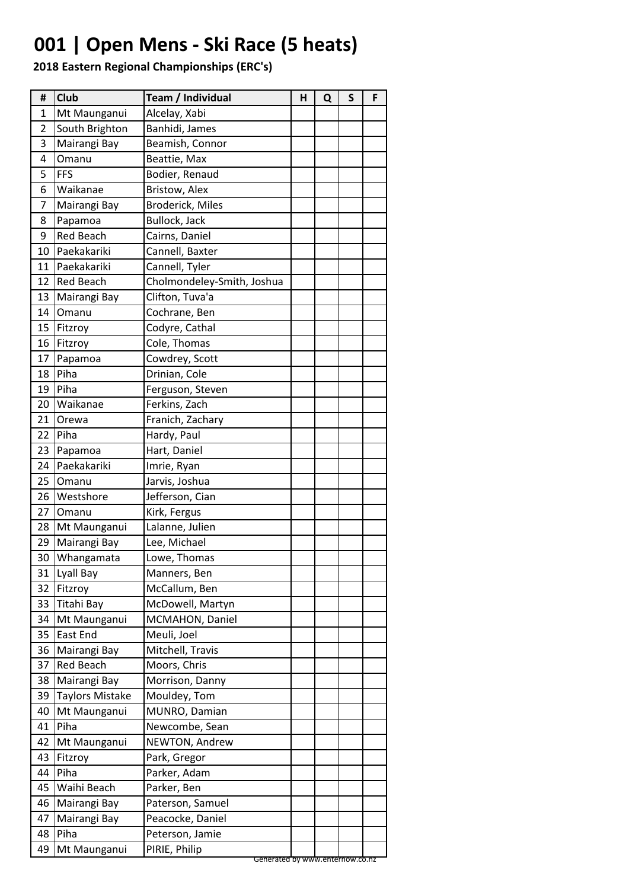# **001 | Open Mens - Ski Race (5 heats)**

| #  | <b>Club</b>            | Team / Individual          | Н | Q | S | F |
|----|------------------------|----------------------------|---|---|---|---|
| 1  | Mt Maunganui           | Alcelay, Xabi              |   |   |   |   |
| 2  | South Brighton         | Banhidi, James             |   |   |   |   |
| 3  | Mairangi Bay           | Beamish, Connor            |   |   |   |   |
| 4  | Omanu                  | Beattie, Max               |   |   |   |   |
| 5  | <b>FFS</b>             | Bodier, Renaud             |   |   |   |   |
| 6  | Waikanae               | Bristow, Alex              |   |   |   |   |
| 7  | Mairangi Bay           | <b>Broderick, Miles</b>    |   |   |   |   |
| 8  | Papamoa                | Bullock, Jack              |   |   |   |   |
| 9  | <b>Red Beach</b>       | Cairns, Daniel             |   |   |   |   |
| 10 | Paekakariki            | Cannell, Baxter            |   |   |   |   |
| 11 | Paekakariki            | Cannell, Tyler             |   |   |   |   |
| 12 | <b>Red Beach</b>       | Cholmondeley-Smith, Joshua |   |   |   |   |
| 13 | Mairangi Bay           | Clifton, Tuva'a            |   |   |   |   |
| 14 | Omanu                  | Cochrane, Ben              |   |   |   |   |
| 15 | Fitzroy                | Codyre, Cathal             |   |   |   |   |
| 16 | Fitzroy                | Cole, Thomas               |   |   |   |   |
| 17 | Papamoa                | Cowdrey, Scott             |   |   |   |   |
| 18 | Piha                   | Drinian, Cole              |   |   |   |   |
| 19 | Piha                   | Ferguson, Steven           |   |   |   |   |
| 20 | Waikanae               | Ferkins, Zach              |   |   |   |   |
| 21 | Orewa                  | Franich, Zachary           |   |   |   |   |
| 22 | Piha                   | Hardy, Paul                |   |   |   |   |
| 23 | Papamoa                | Hart, Daniel               |   |   |   |   |
| 24 | Paekakariki            | Imrie, Ryan                |   |   |   |   |
| 25 | Omanu                  | Jarvis, Joshua             |   |   |   |   |
| 26 | Westshore              | Jefferson, Cian            |   |   |   |   |
| 27 | Omanu                  | Kirk, Fergus               |   |   |   |   |
| 28 | Mt Maunganui           | Lalanne, Julien            |   |   |   |   |
| 29 | Mairangi Bay           | Lee, Michael               |   |   |   |   |
| 30 | Whangamata             | Lowe, Thomas               |   |   |   |   |
| 31 | Lyall Bay              | Manners, Ben               |   |   |   |   |
| 32 | Fitzroy                | McCallum, Ben              |   |   |   |   |
| 33 | Titahi Bay             | McDowell, Martyn           |   |   |   |   |
| 34 | Mt Maunganui           | MCMAHON, Daniel            |   |   |   |   |
| 35 | East End               | Meuli, Joel                |   |   |   |   |
| 36 | Mairangi Bay           | Mitchell, Travis           |   |   |   |   |
| 37 | <b>Red Beach</b>       | Moors, Chris               |   |   |   |   |
| 38 | Mairangi Bay           | Morrison, Danny            |   |   |   |   |
| 39 | <b>Taylors Mistake</b> | Mouldey, Tom               |   |   |   |   |
| 40 | Mt Maunganui           | MUNRO, Damian              |   |   |   |   |
| 41 | Piha                   | Newcombe, Sean             |   |   |   |   |
| 42 | Mt Maunganui           | NEWTON, Andrew             |   |   |   |   |
| 43 | Fitzroy                | Park, Gregor               |   |   |   |   |
| 44 | Piha                   | Parker, Adam               |   |   |   |   |
| 45 | Waihi Beach            | Parker, Ben                |   |   |   |   |
| 46 | Mairangi Bay           | Paterson, Samuel           |   |   |   |   |
| 47 | Mairangi Bay           | Peacocke, Daniel           |   |   |   |   |
| 48 | Piha                   | Peterson, Jamie            |   |   |   |   |
| 49 | Mt Maunganui           | PIRIE, Philip              |   |   |   |   |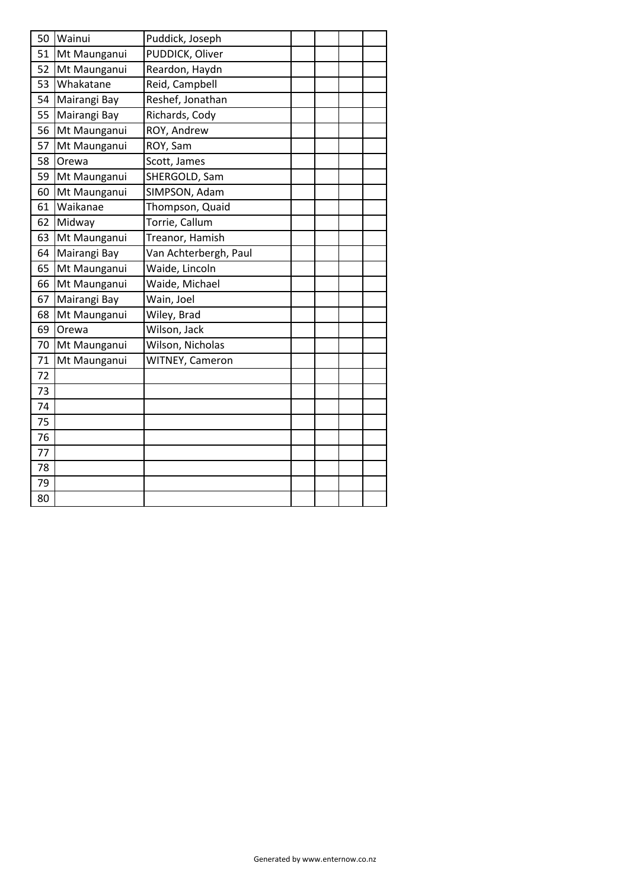| 50 | Wainui       | Puddick, Joseph       |  |  |
|----|--------------|-----------------------|--|--|
| 51 | Mt Maunganui | PUDDICK, Oliver       |  |  |
| 52 | Mt Maunganui | Reardon, Haydn        |  |  |
| 53 | Whakatane    | Reid, Campbell        |  |  |
| 54 | Mairangi Bay | Reshef, Jonathan      |  |  |
| 55 | Mairangi Bay | Richards, Cody        |  |  |
| 56 | Mt Maunganui | ROY, Andrew           |  |  |
| 57 | Mt Maunganui | ROY, Sam              |  |  |
| 58 | Orewa        | Scott, James          |  |  |
| 59 | Mt Maunganui | SHERGOLD, Sam         |  |  |
| 60 | Mt Maunganui | SIMPSON, Adam         |  |  |
| 61 | Waikanae     | Thompson, Quaid       |  |  |
| 62 | Midway       | Torrie, Callum        |  |  |
| 63 | Mt Maunganui | Treanor, Hamish       |  |  |
| 64 | Mairangi Bay | Van Achterbergh, Paul |  |  |
| 65 | Mt Maunganui | Waide, Lincoln        |  |  |
| 66 | Mt Maunganui | Waide, Michael        |  |  |
| 67 | Mairangi Bay | Wain, Joel            |  |  |
| 68 | Mt Maunganui | Wiley, Brad           |  |  |
| 69 | Orewa        | Wilson, Jack          |  |  |
| 70 | Mt Maunganui | Wilson, Nicholas      |  |  |
| 71 | Mt Maunganui | WITNEY, Cameron       |  |  |
| 72 |              |                       |  |  |
| 73 |              |                       |  |  |
| 74 |              |                       |  |  |
| 75 |              |                       |  |  |
| 76 |              |                       |  |  |
| 77 |              |                       |  |  |
| 78 |              |                       |  |  |
| 79 |              |                       |  |  |
| 80 |              |                       |  |  |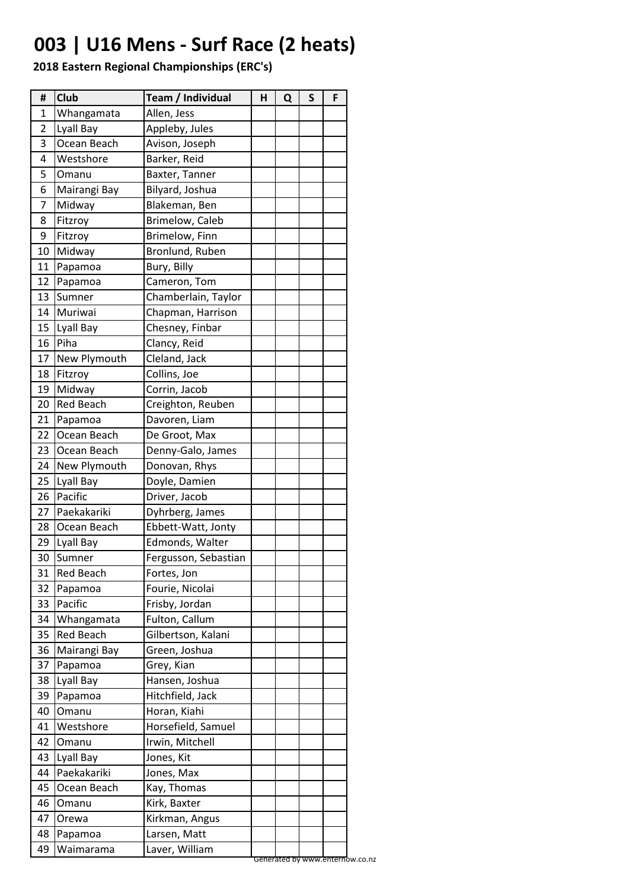# **003 | U16 Mens - Surf Race (2 heats)**

| #              | Club             | Team / Individual    | н | Q | S | F |
|----------------|------------------|----------------------|---|---|---|---|
| 1              | Whangamata       | Allen, Jess          |   |   |   |   |
| $\overline{2}$ | Lyall Bay        | Appleby, Jules       |   |   |   |   |
| 3              | Ocean Beach      | Avison, Joseph       |   |   |   |   |
| 4              | Westshore        | Barker, Reid         |   |   |   |   |
| 5              | Omanu            | Baxter, Tanner       |   |   |   |   |
| 6              | Mairangi Bay     | Bilyard, Joshua      |   |   |   |   |
| 7              | Midway           | Blakeman, Ben        |   |   |   |   |
| 8              | Fitzroy          | Brimelow, Caleb      |   |   |   |   |
| 9              | Fitzroy          | Brimelow, Finn       |   |   |   |   |
| 10             | Midway           | Bronlund, Ruben      |   |   |   |   |
| 11             | Papamoa          | Bury, Billy          |   |   |   |   |
| 12             | Papamoa          | Cameron, Tom         |   |   |   |   |
| 13             | Sumner           | Chamberlain, Taylor  |   |   |   |   |
| 14             | Muriwai          | Chapman, Harrison    |   |   |   |   |
| 15             | Lyall Bay        | Chesney, Finbar      |   |   |   |   |
| 16             | Piha             | Clancy, Reid         |   |   |   |   |
| 17             | New Plymouth     | Cleland, Jack        |   |   |   |   |
| 18             | Fitzroy          | Collins, Joe         |   |   |   |   |
| 19             | Midway           | Corrin, Jacob        |   |   |   |   |
| 20             | <b>Red Beach</b> | Creighton, Reuben    |   |   |   |   |
| 21             | Papamoa          | Davoren, Liam        |   |   |   |   |
| 22             | Ocean Beach      | De Groot, Max        |   |   |   |   |
| 23             | Ocean Beach      | Denny-Galo, James    |   |   |   |   |
| 24             | New Plymouth     | Donovan, Rhys        |   |   |   |   |
| 25             | Lyall Bay        | Doyle, Damien        |   |   |   |   |
| 26             | Pacific          | Driver, Jacob        |   |   |   |   |
| 27             | Paekakariki      | Dyhrberg, James      |   |   |   |   |
| 28             | Ocean Beach      | Ebbett-Watt, Jonty   |   |   |   |   |
| 29             | Lyall Bay        | Edmonds, Walter      |   |   |   |   |
| 30             | Sumner           | Fergusson, Sebastian |   |   |   |   |
| 31             | <b>Red Beach</b> | Fortes, Jon          |   |   |   |   |
| 32             | Papamoa          | Fourie, Nicolai      |   |   |   |   |
| 33             | Pacific          | Frisby, Jordan       |   |   |   |   |
| 34             | Whangamata       | Fulton, Callum       |   |   |   |   |
| 35             | <b>Red Beach</b> | Gilbertson, Kalani   |   |   |   |   |
| 36             | Mairangi Bay     | Green, Joshua        |   |   |   |   |
| 37             | Papamoa          | Grey, Kian           |   |   |   |   |
| 38             | Lyall Bay        | Hansen, Joshua       |   |   |   |   |
| 39             | Papamoa          | Hitchfield, Jack     |   |   |   |   |
| 40             | Omanu            | Horan, Kiahi         |   |   |   |   |
| 41             | Westshore        | Horsefield, Samuel   |   |   |   |   |
| 42             | Omanu            | Irwin, Mitchell      |   |   |   |   |
| 43             | Lyall Bay        | Jones, Kit           |   |   |   |   |
| 44             | Paekakariki      | Jones, Max           |   |   |   |   |
| 45             | Ocean Beach      | Kay, Thomas          |   |   |   |   |
| 46             | Omanu            | Kirk, Baxter         |   |   |   |   |
| 47             | Orewa            | Kirkman, Angus       |   |   |   |   |
| 48             | Papamoa          | Larsen, Matt         |   |   |   |   |
| 49             | Waimarama        | Laver, William       |   |   |   |   |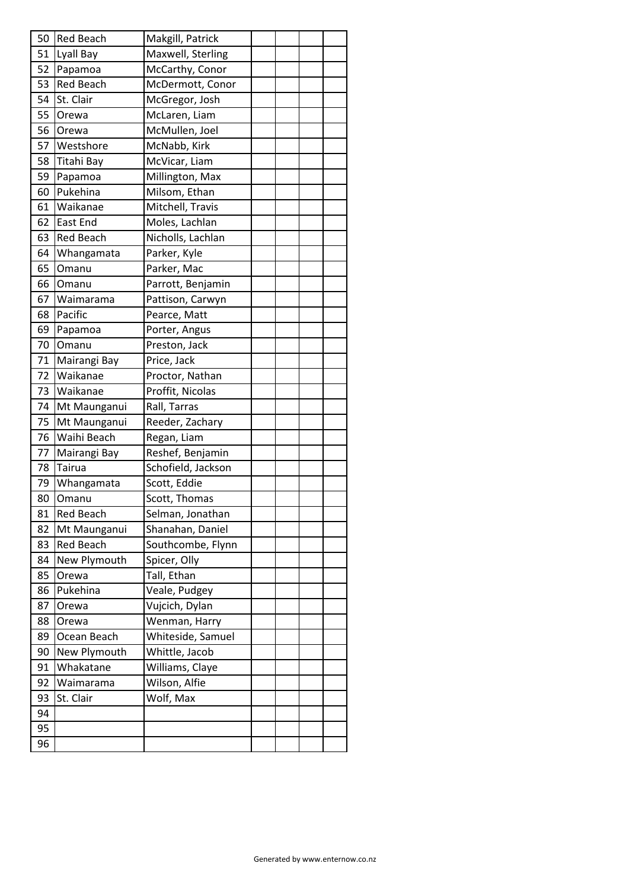| 50 | Red Beach        | Makgill, Patrick   |  |  |
|----|------------------|--------------------|--|--|
| 51 | Lyall Bay        | Maxwell, Sterling  |  |  |
| 52 | Papamoa          | McCarthy, Conor    |  |  |
| 53 | <b>Red Beach</b> | McDermott, Conor   |  |  |
| 54 | St. Clair        | McGregor, Josh     |  |  |
| 55 | Orewa            | McLaren, Liam      |  |  |
| 56 | Orewa            | McMullen, Joel     |  |  |
| 57 | Westshore        | McNabb, Kirk       |  |  |
| 58 | Titahi Bay       | McVicar, Liam      |  |  |
| 59 | Papamoa          | Millington, Max    |  |  |
| 60 | Pukehina         | Milsom, Ethan      |  |  |
| 61 | Waikanae         | Mitchell, Travis   |  |  |
| 62 | East End         | Moles, Lachlan     |  |  |
| 63 | <b>Red Beach</b> | Nicholls, Lachlan  |  |  |
| 64 | Whangamata       | Parker, Kyle       |  |  |
| 65 | Omanu            | Parker, Mac        |  |  |
| 66 | Omanu            | Parrott, Benjamin  |  |  |
| 67 | Waimarama        | Pattison, Carwyn   |  |  |
| 68 | Pacific          | Pearce, Matt       |  |  |
| 69 | Papamoa          | Porter, Angus      |  |  |
| 70 | Omanu            | Preston, Jack      |  |  |
| 71 | Mairangi Bay     | Price, Jack        |  |  |
| 72 | Waikanae         | Proctor, Nathan    |  |  |
| 73 | Waikanae         | Proffit, Nicolas   |  |  |
| 74 | Mt Maunganui     | Rall, Tarras       |  |  |
| 75 | Mt Maunganui     | Reeder, Zachary    |  |  |
| 76 | Waihi Beach      | Regan, Liam        |  |  |
| 77 | Mairangi Bay     | Reshef, Benjamin   |  |  |
| 78 | Tairua           | Schofield, Jackson |  |  |
| 79 | Whangamata       | Scott, Eddie       |  |  |
| 80 | Omanu            | Scott, Thomas      |  |  |
| 81 | Red Beach        | Selman, Jonathan   |  |  |
| 82 | Mt Maunganui     | Shanahan, Daniel   |  |  |
| 83 | Red Beach        | Southcombe, Flynn  |  |  |
| 84 | New Plymouth     | Spicer, Olly       |  |  |
| 85 | Orewa            | Tall, Ethan        |  |  |
| 86 | Pukehina         | Veale, Pudgey      |  |  |
| 87 | Orewa            | Vujcich, Dylan     |  |  |
| 88 | Orewa            | Wenman, Harry      |  |  |
| 89 | Ocean Beach      | Whiteside, Samuel  |  |  |
| 90 | New Plymouth     | Whittle, Jacob     |  |  |
| 91 | Whakatane        | Williams, Claye    |  |  |
| 92 | Waimarama        | Wilson, Alfie      |  |  |
| 93 | St. Clair        | Wolf, Max          |  |  |
| 94 |                  |                    |  |  |
| 95 |                  |                    |  |  |
| 96 |                  |                    |  |  |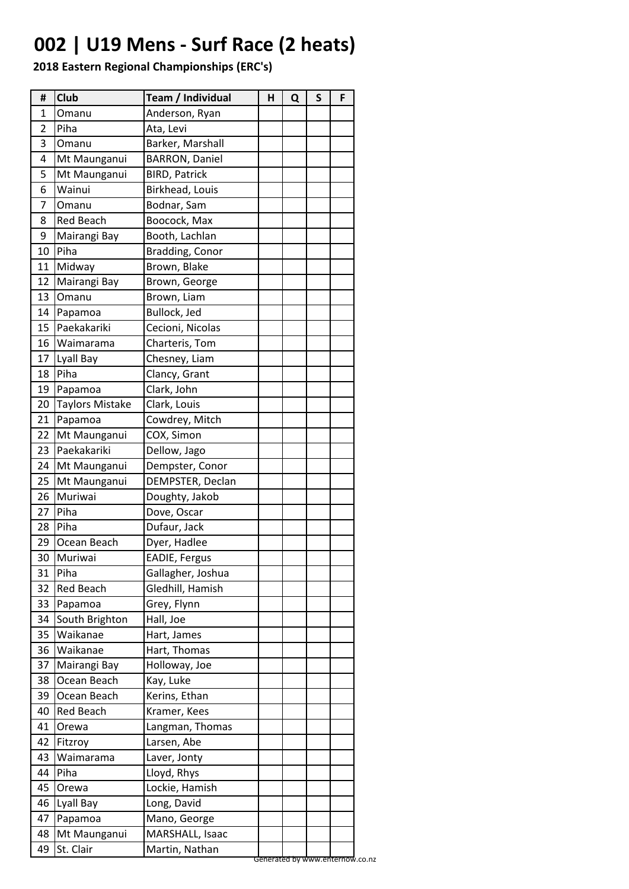# **002 | U19 Mens - Surf Race (2 heats)**

| #  | Club                   | Team / Individual     | н | Q | S | F |
|----|------------------------|-----------------------|---|---|---|---|
| 1  | Omanu                  | Anderson, Ryan        |   |   |   |   |
| 2  | Piha                   | Ata, Levi             |   |   |   |   |
| 3  | Omanu                  | Barker, Marshall      |   |   |   |   |
| 4  | Mt Maunganui           | <b>BARRON, Daniel</b> |   |   |   |   |
| 5  | Mt Maunganui           | <b>BIRD, Patrick</b>  |   |   |   |   |
| 6  | Wainui                 | Birkhead, Louis       |   |   |   |   |
| 7  | Omanu                  | Bodnar, Sam           |   |   |   |   |
| 8  | <b>Red Beach</b>       | Boocock, Max          |   |   |   |   |
| 9  | Mairangi Bay           | Booth, Lachlan        |   |   |   |   |
| 10 | Piha                   | Bradding, Conor       |   |   |   |   |
| 11 | Midway                 | Brown, Blake          |   |   |   |   |
| 12 | Mairangi Bay           | Brown, George         |   |   |   |   |
| 13 | Omanu                  | Brown, Liam           |   |   |   |   |
| 14 | Papamoa                | Bullock, Jed          |   |   |   |   |
| 15 | Paekakariki            | Cecioni, Nicolas      |   |   |   |   |
| 16 | Waimarama              | Charteris, Tom        |   |   |   |   |
| 17 | Lyall Bay              | Chesney, Liam         |   |   |   |   |
| 18 | Piha                   | Clancy, Grant         |   |   |   |   |
| 19 | Papamoa                | Clark, John           |   |   |   |   |
| 20 | <b>Taylors Mistake</b> | Clark, Louis          |   |   |   |   |
| 21 | Papamoa                | Cowdrey, Mitch        |   |   |   |   |
| 22 | Mt Maunganui           | COX, Simon            |   |   |   |   |
| 23 | Paekakariki            | Dellow, Jago          |   |   |   |   |
| 24 | Mt Maunganui           | Dempster, Conor       |   |   |   |   |
| 25 | Mt Maunganui           | DEMPSTER, Declan      |   |   |   |   |
| 26 | Muriwai                | Doughty, Jakob        |   |   |   |   |
| 27 | Piha                   | Dove, Oscar           |   |   |   |   |
| 28 | Piha                   | Dufaur, Jack          |   |   |   |   |
| 29 | Ocean Beach            | Dyer, Hadlee          |   |   |   |   |
| 30 | Muriwai                | EADIE, Fergus         |   |   |   |   |
| 31 | Piha                   | Gallagher, Joshua     |   |   |   |   |
| 32 | <b>Red Beach</b>       | Gledhill, Hamish      |   |   |   |   |
| 33 | Papamoa                | Grey, Flynn           |   |   |   |   |
| 34 | South Brighton         | Hall, Joe             |   |   |   |   |
| 35 | Waikanae               | Hart, James           |   |   |   |   |
| 36 | Waikanae               | Hart, Thomas          |   |   |   |   |
| 37 | Mairangi Bay           | Holloway, Joe         |   |   |   |   |
| 38 | Ocean Beach            | Kay, Luke             |   |   |   |   |
| 39 | Ocean Beach            | Kerins, Ethan         |   |   |   |   |
| 40 | <b>Red Beach</b>       | Kramer, Kees          |   |   |   |   |
| 41 | Orewa                  | Langman, Thomas       |   |   |   |   |
| 42 | Fitzroy                | Larsen, Abe           |   |   |   |   |
| 43 | Waimarama              | Laver, Jonty          |   |   |   |   |
| 44 | Piha                   | Lloyd, Rhys           |   |   |   |   |
| 45 | Orewa                  | Lockie, Hamish        |   |   |   |   |
| 46 | Lyall Bay              | Long, David           |   |   |   |   |
| 47 | Papamoa                | Mano, George          |   |   |   |   |
| 48 | Mt Maunganui           | MARSHALL, Isaac       |   |   |   |   |
| 49 | St. Clair              | Martin, Nathan        |   |   |   |   |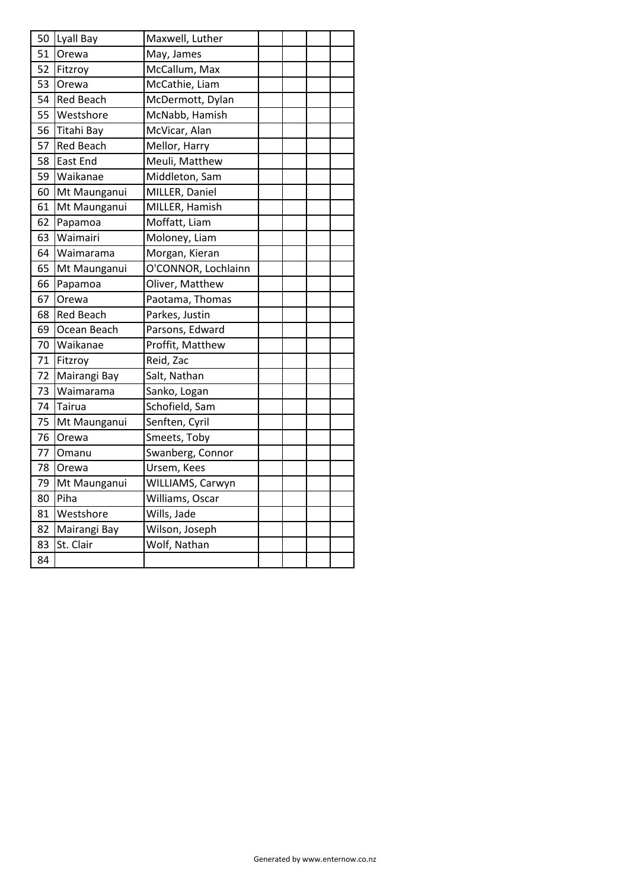|    | 50 Lyall Bay     | Maxwell, Luther     |  |  |
|----|------------------|---------------------|--|--|
| 51 | Orewa            | May, James          |  |  |
| 52 | Fitzroy          | McCallum, Max       |  |  |
| 53 | Orewa            | McCathie, Liam      |  |  |
| 54 | <b>Red Beach</b> | McDermott, Dylan    |  |  |
| 55 | <b>Westshore</b> | McNabb, Hamish      |  |  |
| 56 | Titahi Bay       | McVicar, Alan       |  |  |
| 57 | <b>Red Beach</b> | Mellor, Harry       |  |  |
| 58 | East End         | Meuli, Matthew      |  |  |
| 59 | Waikanae         | Middleton, Sam      |  |  |
| 60 | Mt Maunganui     | MILLER, Daniel      |  |  |
| 61 | Mt Maunganui     | MILLER, Hamish      |  |  |
| 62 | Papamoa          | Moffatt, Liam       |  |  |
| 63 | Waimairi         | Moloney, Liam       |  |  |
| 64 | Waimarama        | Morgan, Kieran      |  |  |
| 65 | Mt Maunganui     | O'CONNOR, Lochlainn |  |  |
| 66 | Papamoa          | Oliver, Matthew     |  |  |
| 67 | Orewa            | Paotama, Thomas     |  |  |
| 68 | <b>Red Beach</b> | Parkes, Justin      |  |  |
| 69 | Ocean Beach      | Parsons, Edward     |  |  |
| 70 | Waikanae         | Proffit, Matthew    |  |  |
| 71 | Fitzroy          | Reid, Zac           |  |  |
| 72 | Mairangi Bay     | Salt, Nathan        |  |  |
| 73 | Waimarama        | Sanko, Logan        |  |  |
| 74 | Tairua           | Schofield, Sam      |  |  |
| 75 | Mt Maunganui     | Senften, Cyril      |  |  |
| 76 | Orewa            | Smeets, Toby        |  |  |
| 77 | Omanu            | Swanberg, Connor    |  |  |
| 78 | Orewa            | Ursem, Kees         |  |  |
| 79 | Mt Maunganui     | WILLIAMS, Carwyn    |  |  |
| 80 | Piha             | Williams, Oscar     |  |  |
| 81 | Westshore        | Wills, Jade         |  |  |
| 82 | Mairangi Bay     | Wilson, Joseph      |  |  |
| 83 | St. Clair        | Wolf, Nathan        |  |  |
| 84 |                  |                     |  |  |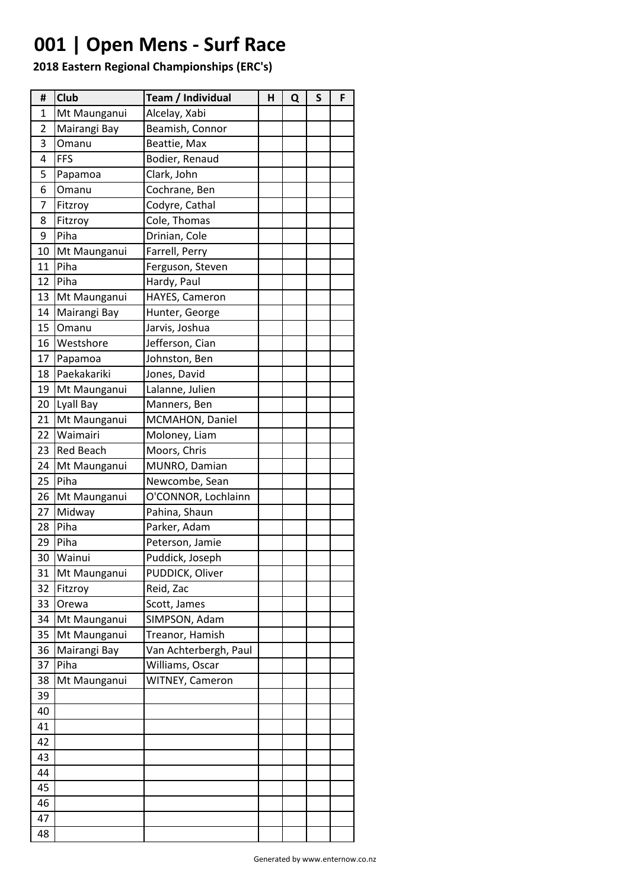# **001 | Open Mens - Surf Race**

| #  | Club             | Team / Individual     | н | Q | S | F |
|----|------------------|-----------------------|---|---|---|---|
| 1  | Mt Maunganui     | Alcelay, Xabi         |   |   |   |   |
| 2  | Mairangi Bay     | Beamish, Connor       |   |   |   |   |
| 3  | Omanu            | Beattie, Max          |   |   |   |   |
| 4  | <b>FFS</b>       | Bodier, Renaud        |   |   |   |   |
| 5  | Papamoa          | Clark, John           |   |   |   |   |
| 6  | Omanu            | Cochrane, Ben         |   |   |   |   |
| 7  | Fitzroy          | Codyre, Cathal        |   |   |   |   |
| 8  | Fitzroy          | Cole, Thomas          |   |   |   |   |
| 9  | Piha             | Drinian, Cole         |   |   |   |   |
| 10 | Mt Maunganui     | Farrell, Perry        |   |   |   |   |
| 11 | Piha             | Ferguson, Steven      |   |   |   |   |
| 12 | Piha             | Hardy, Paul           |   |   |   |   |
| 13 | Mt Maunganui     | HAYES, Cameron        |   |   |   |   |
| 14 | Mairangi Bay     | Hunter, George        |   |   |   |   |
| 15 | Omanu            | Jarvis, Joshua        |   |   |   |   |
| 16 | Westshore        | Jefferson, Cian       |   |   |   |   |
| 17 | Papamoa          | Johnston, Ben         |   |   |   |   |
| 18 | Paekakariki      | Jones, David          |   |   |   |   |
| 19 | Mt Maunganui     | Lalanne, Julien       |   |   |   |   |
| 20 | Lyall Bay        | Manners, Ben          |   |   |   |   |
| 21 | Mt Maunganui     | MCMAHON, Daniel       |   |   |   |   |
| 22 | Waimairi         | Moloney, Liam         |   |   |   |   |
| 23 | <b>Red Beach</b> | Moors, Chris          |   |   |   |   |
| 24 | Mt Maunganui     | MUNRO, Damian         |   |   |   |   |
| 25 | Piha             | Newcombe, Sean        |   |   |   |   |
| 26 | Mt Maunganui     | O'CONNOR, Lochlainn   |   |   |   |   |
| 27 | Midway           | Pahina, Shaun         |   |   |   |   |
| 28 | Piha             | Parker, Adam          |   |   |   |   |
| 29 | Piha             | Peterson, Jamie       |   |   |   |   |
| 30 | Wainui           | Puddick, Joseph       |   |   |   |   |
| 31 | Mt Maunganui     | PUDDICK, Oliver       |   |   |   |   |
| 32 | Fitzroy          | Reid, Zac             |   |   |   |   |
| 33 | Orewa            | Scott, James          |   |   |   |   |
| 34 | Mt Maunganui     | SIMPSON, Adam         |   |   |   |   |
| 35 | Mt Maunganui     | Treanor, Hamish       |   |   |   |   |
| 36 | Mairangi Bay     | Van Achterbergh, Paul |   |   |   |   |
| 37 | Piha             | Williams, Oscar       |   |   |   |   |
| 38 | Mt Maunganui     | WITNEY, Cameron       |   |   |   |   |
| 39 |                  |                       |   |   |   |   |
| 40 |                  |                       |   |   |   |   |
| 41 |                  |                       |   |   |   |   |
| 42 |                  |                       |   |   |   |   |
| 43 |                  |                       |   |   |   |   |
| 44 |                  |                       |   |   |   |   |
| 45 |                  |                       |   |   |   |   |
| 46 |                  |                       |   |   |   |   |
| 47 |                  |                       |   |   |   |   |
| 48 |                  |                       |   |   |   |   |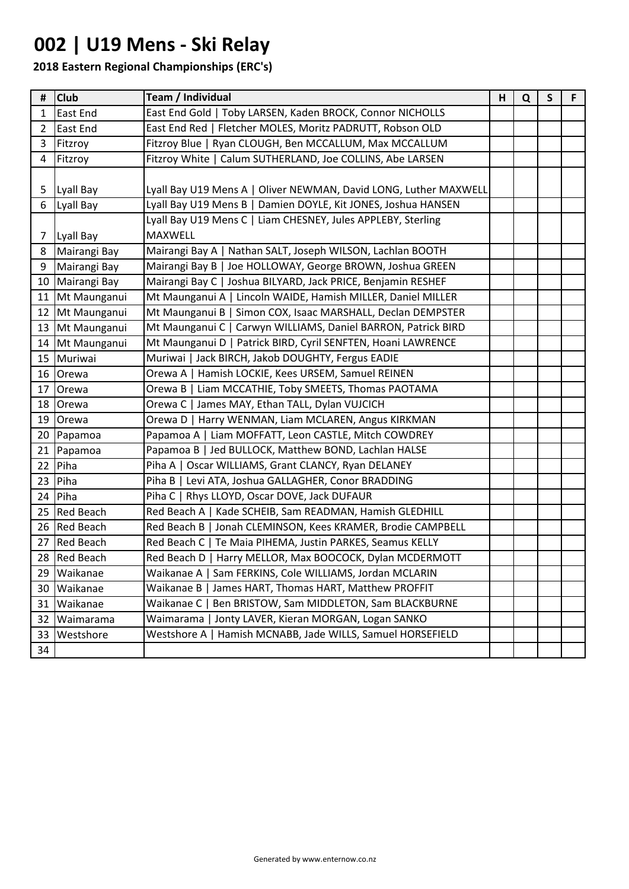## **002 | U19 Mens - Ski Relay**

| #              | <b>Club</b>     | Team / Individual                                                | н | Q | $\mathsf{S}$ | F |
|----------------|-----------------|------------------------------------------------------------------|---|---|--------------|---|
| $\mathbf{1}$   | East End        | East End Gold   Toby LARSEN, Kaden BROCK, Connor NICHOLLS        |   |   |              |   |
| $\overline{2}$ | East End        | East End Red   Fletcher MOLES, Moritz PADRUTT, Robson OLD        |   |   |              |   |
| 3              | Fitzroy         | Fitzroy Blue   Ryan CLOUGH, Ben MCCALLUM, Max MCCALLUM           |   |   |              |   |
| $\overline{4}$ | Fitzroy         | Fitzroy White   Calum SUTHERLAND, Joe COLLINS, Abe LARSEN        |   |   |              |   |
|                |                 |                                                                  |   |   |              |   |
| 5              | Lyall Bay       | Lyall Bay U19 Mens A   Oliver NEWMAN, David LONG, Luther MAXWELL |   |   |              |   |
| 6              | Lyall Bay       | Lyall Bay U19 Mens B   Damien DOYLE, Kit JONES, Joshua HANSEN    |   |   |              |   |
|                |                 | Lyall Bay U19 Mens C   Liam CHESNEY, Jules APPLEBY, Sterling     |   |   |              |   |
| 7 <sup>1</sup> | Lyall Bay       | <b>MAXWELL</b>                                                   |   |   |              |   |
| 8              | Mairangi Bay    | Mairangi Bay A   Nathan SALT, Joseph WILSON, Lachlan BOOTH       |   |   |              |   |
| 9              | Mairangi Bay    | Mairangi Bay B   Joe HOLLOWAY, George BROWN, Joshua GREEN        |   |   |              |   |
|                | 10 Mairangi Bay | Mairangi Bay C   Joshua BILYARD, Jack PRICE, Benjamin RESHEF     |   |   |              |   |
|                | 11 Mt Maunganui | Mt Maunganui A   Lincoln WAIDE, Hamish MILLER, Daniel MILLER     |   |   |              |   |
|                | 12 Mt Maunganui | Mt Maunganui B   Simon COX, Isaac MARSHALL, Declan DEMPSTER      |   |   |              |   |
|                | 13 Mt Maunganui | Mt Maunganui C   Carwyn WILLIAMS, Daniel BARRON, Patrick BIRD    |   |   |              |   |
|                | 14 Mt Maunganui | Mt Maunganui D   Patrick BIRD, Cyril SENFTEN, Hoani LAWRENCE     |   |   |              |   |
|                | 15 Muriwai      | Muriwai   Jack BIRCH, Jakob DOUGHTY, Fergus EADIE                |   |   |              |   |
|                | 16 Orewa        | Orewa A   Hamish LOCKIE, Kees URSEM, Samuel REINEN               |   |   |              |   |
|                | 17 Orewa        | Orewa B   Liam MCCATHIE, Toby SMEETS, Thomas PAOTAMA             |   |   |              |   |
|                | 18 Orewa        | Orewa C   James MAY, Ethan TALL, Dylan VUJCICH                   |   |   |              |   |
|                | 19 Orewa        | Orewa D   Harry WENMAN, Liam MCLAREN, Angus KIRKMAN              |   |   |              |   |
|                | 20 Papamoa      | Papamoa A   Liam MOFFATT, Leon CASTLE, Mitch COWDREY             |   |   |              |   |
|                | 21 Papamoa      | Papamoa B   Jed BULLOCK, Matthew BOND, Lachlan HALSE             |   |   |              |   |
|                | $22$ Piha       | Piha A   Oscar WILLIAMS, Grant CLANCY, Ryan DELANEY              |   |   |              |   |
|                | $23$ Piha       | Piha B   Levi ATA, Joshua GALLAGHER, Conor BRADDING              |   |   |              |   |
|                | $24$ Piha       | Piha C   Rhys LLOYD, Oscar DOVE, Jack DUFAUR                     |   |   |              |   |
|                | 25 Red Beach    | Red Beach A   Kade SCHEIB, Sam READMAN, Hamish GLEDHILL          |   |   |              |   |
|                | 26 Red Beach    | Red Beach B   Jonah CLEMINSON, Kees KRAMER, Brodie CAMPBELL      |   |   |              |   |
|                | 27 Red Beach    | Red Beach C   Te Maia PIHEMA, Justin PARKES, Seamus KELLY        |   |   |              |   |
|                | 28 Red Beach    | Red Beach D   Harry MELLOR, Max BOOCOCK, Dylan MCDERMOTT         |   |   |              |   |
| 29             | Waikanae        | Sam FERKINS, Cole WILLIAMS, Jordan MCLARIN<br>Waikanae A         |   |   |              |   |
| 30             | Waikanae        | Waikanae B<br>James HART, Thomas HART, Matthew PROFFIT           |   |   |              |   |
| 31             | Waikanae        | Ben BRISTOW, Sam MIDDLETON, Sam BLACKBURNE<br>Waikanae C         |   |   |              |   |
| 32             | Waimarama       | Jonty LAVER, Kieran MORGAN, Logan SANKO<br>Waimarama             |   |   |              |   |
| 33             | Westshore       | Hamish MCNABB, Jade WILLS, Samuel HORSEFIELD<br>Westshore A      |   |   |              |   |
| 34             |                 |                                                                  |   |   |              |   |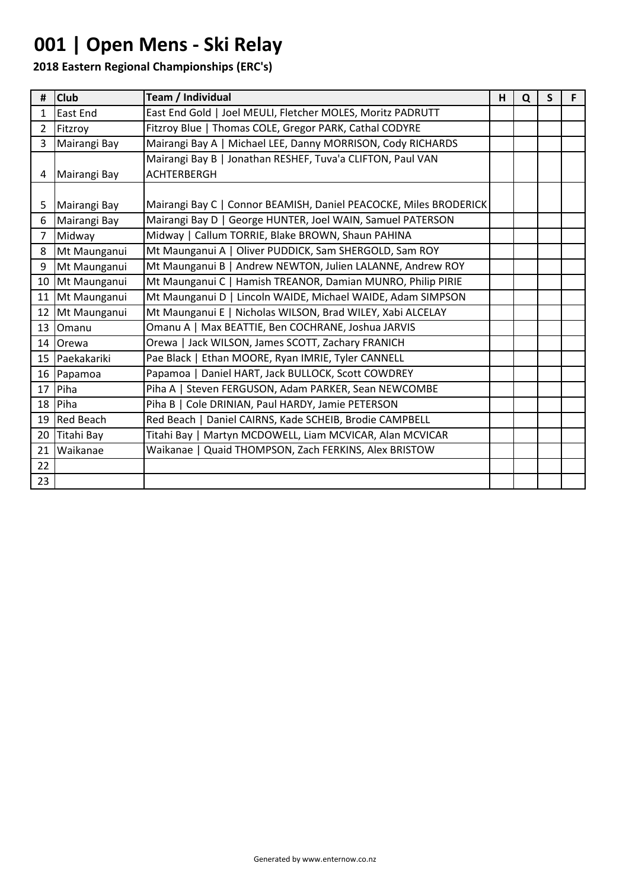# **001 | Open Mens - Ski Relay**

| #               | <b>Club</b>     | Team / Individual                                                 | н | Q | S |  |
|-----------------|-----------------|-------------------------------------------------------------------|---|---|---|--|
| $\mathbf{1}$    | East End        | East End Gold   Joel MEULI, Fletcher MOLES, Moritz PADRUTT        |   |   |   |  |
| $\overline{2}$  | Fitzroy         | Fitzroy Blue   Thomas COLE, Gregor PARK, Cathal CODYRE            |   |   |   |  |
| 3               | Mairangi Bay    | Mairangi Bay A   Michael LEE, Danny MORRISON, Cody RICHARDS       |   |   |   |  |
|                 |                 | Mairangi Bay B   Jonathan RESHEF, Tuva'a CLIFTON, Paul VAN        |   |   |   |  |
| 4               | Mairangi Bay    | <b>ACHTERBERGH</b>                                                |   |   |   |  |
|                 |                 |                                                                   |   |   |   |  |
| 5               | Mairangi Bay    | Mairangi Bay C   Connor BEAMISH, Daniel PEACOCKE, Miles BRODERICK |   |   |   |  |
| 6               | Mairangi Bay    | Mairangi Bay D   George HUNTER, Joel WAIN, Samuel PATERSON        |   |   |   |  |
| $7^{\circ}$     | Midway          | Midway   Callum TORRIE, Blake BROWN, Shaun PAHINA                 |   |   |   |  |
| 8               | Mt Maunganui    | Mt Maunganui A   Oliver PUDDICK, Sam SHERGOLD, Sam ROY            |   |   |   |  |
| 9               | Mt Maunganui    | Mt Maunganui B   Andrew NEWTON, Julien LALANNE, Andrew ROY        |   |   |   |  |
|                 | 10 Mt Maunganui | Mt Maunganui C   Hamish TREANOR, Damian MUNRO, Philip PIRIE       |   |   |   |  |
| 11              | Mt Maunganui    | Mt Maunganui D   Lincoln WAIDE, Michael WAIDE, Adam SIMPSON       |   |   |   |  |
|                 | 12 Mt Maunganui | Mt Maunganui E   Nicholas WILSON, Brad WILEY, Xabi ALCELAY        |   |   |   |  |
| 13 <sup>1</sup> | Omanu           | Omanu A   Max BEATTIE, Ben COCHRANE, Joshua JARVIS                |   |   |   |  |
|                 | 14 Orewa        | Orewa   Jack WILSON, James SCOTT, Zachary FRANICH                 |   |   |   |  |
|                 | 15 Paekakariki  | Pae Black   Ethan MOORE, Ryan IMRIE, Tyler CANNELL                |   |   |   |  |
|                 | 16 Papamoa      | Papamoa   Daniel HART, Jack BULLOCK, Scott COWDREY                |   |   |   |  |
|                 | 17 Piha         | Piha A   Steven FERGUSON, Adam PARKER, Sean NEWCOMBE              |   |   |   |  |
|                 | 18 Piha         | Piha B   Cole DRINIAN, Paul HARDY, Jamie PETERSON                 |   |   |   |  |
|                 | 19 Red Beach    | Red Beach   Daniel CAIRNS, Kade SCHEIB, Brodie CAMPBELL           |   |   |   |  |
|                 | 20 Titahi Bay   | Titahi Bay   Martyn MCDOWELL, Liam MCVICAR, Alan MCVICAR          |   |   |   |  |
| 21              | Waikanae        | Waikanae   Quaid THOMPSON, Zach FERKINS, Alex BRISTOW             |   |   |   |  |
| 22              |                 |                                                                   |   |   |   |  |
| 23              |                 |                                                                   |   |   |   |  |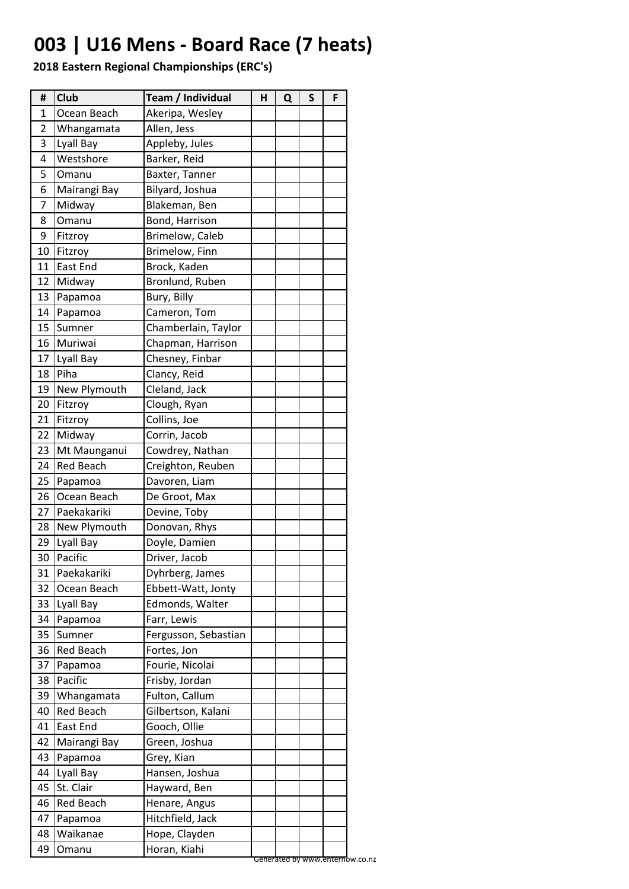## **003 | U16 Mens - Board Race (7 heats)**

| #              | Club             | Team / Individual    | н | Q | S | F |
|----------------|------------------|----------------------|---|---|---|---|
| 1              | Ocean Beach      | Akeripa, Wesley      |   |   |   |   |
| $\overline{2}$ | Whangamata       | Allen, Jess          |   |   |   |   |
| 3              | Lyall Bay        | Appleby, Jules       |   |   |   |   |
| 4              | Westshore        | Barker, Reid         |   |   |   |   |
| 5              | Omanu            | Baxter, Tanner       |   |   |   |   |
| 6              | Mairangi Bay     | Bilyard, Joshua      |   |   |   |   |
| 7              | Midway           | Blakeman, Ben        |   |   |   |   |
| 8              | Omanu            | Bond, Harrison       |   |   |   |   |
| 9              | Fitzroy          | Brimelow, Caleb      |   |   |   |   |
| 10             | Fitzroy          | Brimelow, Finn       |   |   |   |   |
| 11             | <b>East End</b>  | Brock, Kaden         |   |   |   |   |
| 12             | Midway           | Bronlund, Ruben      |   |   |   |   |
| 13             | Papamoa          | Bury, Billy          |   |   |   |   |
| 14             | Papamoa          | Cameron, Tom         |   |   |   |   |
| 15             | Sumner           | Chamberlain, Taylor  |   |   |   |   |
| 16             | Muriwai          | Chapman, Harrison    |   |   |   |   |
| 17             | Lyall Bay        | Chesney, Finbar      |   |   |   |   |
| 18             | Piha             | Clancy, Reid         |   |   |   |   |
| 19             | New Plymouth     | Cleland, Jack        |   |   |   |   |
| 20             | Fitzroy          | Clough, Ryan         |   |   |   |   |
| 21             | Fitzroy          | Collins, Joe         |   |   |   |   |
| 22             | Midway           | Corrin, Jacob        |   |   |   |   |
| 23             | Mt Maunganui     | Cowdrey, Nathan      |   |   |   |   |
| 24             | <b>Red Beach</b> | Creighton, Reuben    |   |   |   |   |
| 25             | Papamoa          | Davoren, Liam        |   |   |   |   |
| 26             | Ocean Beach      | De Groot, Max        |   |   |   |   |
| 27             | Paekakariki      | Devine, Toby         |   |   |   |   |
| 28             | New Plymouth     | Donovan, Rhys        |   |   |   |   |
| 29             | Lyall Bay        | Doyle, Damien        |   |   |   |   |
| 30             | Pacific          | Driver, Jacob        |   |   |   |   |
| 31             | Paekakariki      | Dyhrberg, James      |   |   |   |   |
| 32             | Ocean Beach      | Ebbett-Watt, Jonty   |   |   |   |   |
| 33             | Lyall Bay        | Edmonds, Walter      |   |   |   |   |
| 34             | Papamoa          | Farr, Lewis          |   |   |   |   |
| 35             | Sumner           | Fergusson, Sebastian |   |   |   |   |
| 36             | Red Beach        | Fortes, Jon          |   |   |   |   |
| 37             | Papamoa          | Fourie, Nicolai      |   |   |   |   |
| 38             | Pacific          | Frisby, Jordan       |   |   |   |   |
| 39             | Whangamata       | Fulton, Callum       |   |   |   |   |
| 40             | <b>Red Beach</b> | Gilbertson, Kalani   |   |   |   |   |
| 41             | East End         | Gooch, Ollie         |   |   |   |   |
| 42             | Mairangi Bay     | Green, Joshua        |   |   |   |   |
| 43             | Papamoa          | Grey, Kian           |   |   |   |   |
| 44             | Lyall Bay        | Hansen, Joshua       |   |   |   |   |
| 45             | St. Clair        | Hayward, Ben         |   |   |   |   |
| 46             | Red Beach        | Henare, Angus        |   |   |   |   |
| 47             | Papamoa          | Hitchfield, Jack     |   |   |   |   |
| 48             | Waikanae         | Hope, Clayden        |   |   |   |   |
| 49             | Omanu            | Horan, Kiahi         |   |   |   |   |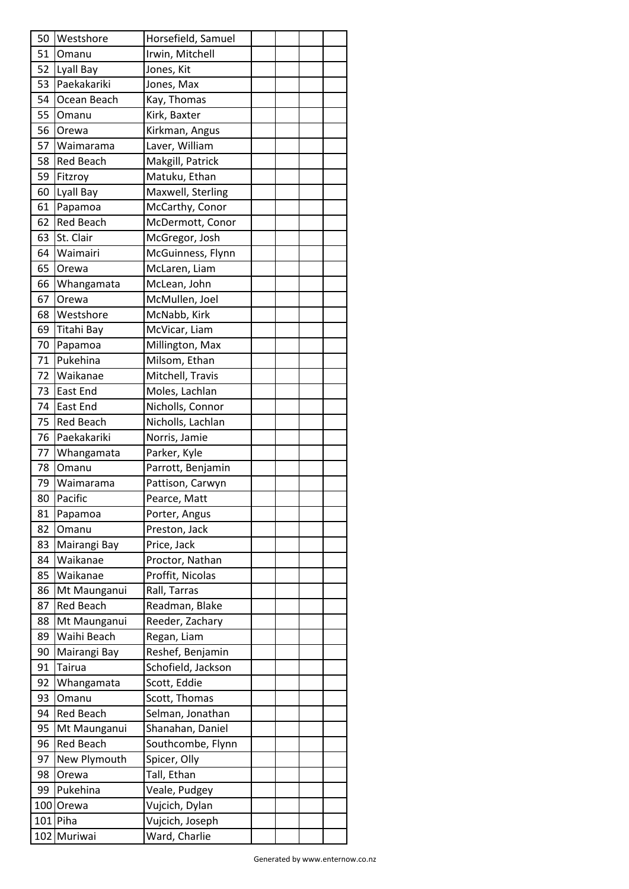| 50 | Westshore             | Horsefield, Samuel |  |  |
|----|-----------------------|--------------------|--|--|
| 51 | Omanu                 | Irwin, Mitchell    |  |  |
| 52 | Lyall Bay             | Jones, Kit         |  |  |
| 53 | Paekakariki           | Jones, Max         |  |  |
| 54 | Ocean Beach           | Kay, Thomas        |  |  |
| 55 | Omanu                 | Kirk, Baxter       |  |  |
| 56 | Orewa                 | Kirkman, Angus     |  |  |
| 57 | Waimarama             | Laver, William     |  |  |
| 58 | Red Beach             | Makgill, Patrick   |  |  |
| 59 | Fitzroy               | Matuku, Ethan      |  |  |
| 60 | Lyall Bay             | Maxwell, Sterling  |  |  |
| 61 | Papamoa               | McCarthy, Conor    |  |  |
| 62 | <b>Red Beach</b>      | McDermott, Conor   |  |  |
| 63 | St. Clair             | McGregor, Josh     |  |  |
| 64 | Waimairi              | McGuinness, Flynn  |  |  |
| 65 | Orewa                 | McLaren, Liam      |  |  |
| 66 | Whangamata            | McLean, John       |  |  |
| 67 | Orewa                 | McMullen, Joel     |  |  |
| 68 | Westshore             | McNabb, Kirk       |  |  |
| 69 | Titahi Bay            | McVicar, Liam      |  |  |
| 70 | Papamoa               | Millington, Max    |  |  |
| 71 | Pukehina              | Milsom, Ethan      |  |  |
| 72 | Waikanae              | Mitchell, Travis   |  |  |
| 73 | <b>East End</b>       | Moles, Lachlan     |  |  |
| 74 | East End              | Nicholls, Connor   |  |  |
| 75 | <b>Red Beach</b>      | Nicholls, Lachlan  |  |  |
| 76 | Paekakariki           | Norris, Jamie      |  |  |
| 77 | Whangamata            | Parker, Kyle       |  |  |
| 78 | Omanu                 | Parrott, Benjamin  |  |  |
| 79 | Waimarama             | Pattison, Carwyn   |  |  |
| 80 | Pacific               | Pearce, Matt       |  |  |
| 81 | Papamoa               | Porter, Angus      |  |  |
| 82 | Omanu                 | Preston, Jack      |  |  |
| 83 | Mairangi Bay          | Price, Jack        |  |  |
| 84 | Waikanae              | Proctor, Nathan    |  |  |
| 85 | Waikanae              | Proffit, Nicolas   |  |  |
| 86 | Mt Maunganui          | Rall, Tarras       |  |  |
| 87 | <b>Red Beach</b>      | Readman, Blake     |  |  |
| 88 | Mt Maunganui          | Reeder, Zachary    |  |  |
| 89 | Waihi Beach           | Regan, Liam        |  |  |
| 90 | Mairangi Bay          | Reshef, Benjamin   |  |  |
| 91 | Tairua                | Schofield, Jackson |  |  |
| 92 | Whangamata            | Scott, Eddie       |  |  |
| 93 | Omanu                 | Scott, Thomas      |  |  |
| 94 | <b>Red Beach</b>      | Selman, Jonathan   |  |  |
| 95 | Mt Maunganui          | Shanahan, Daniel   |  |  |
| 96 | <b>Red Beach</b>      | Southcombe, Flynn  |  |  |
| 97 |                       |                    |  |  |
| 98 | New Plymouth<br>Orewa | Spicer, Olly       |  |  |
|    |                       | Tall, Ethan        |  |  |
| 99 | Pukehina<br>100 Orewa | Veale, Pudgey      |  |  |
|    | 101 Piha              | Vujcich, Dylan     |  |  |
|    |                       | Vujcich, Joseph    |  |  |
|    | 102 Muriwai           | Ward, Charlie      |  |  |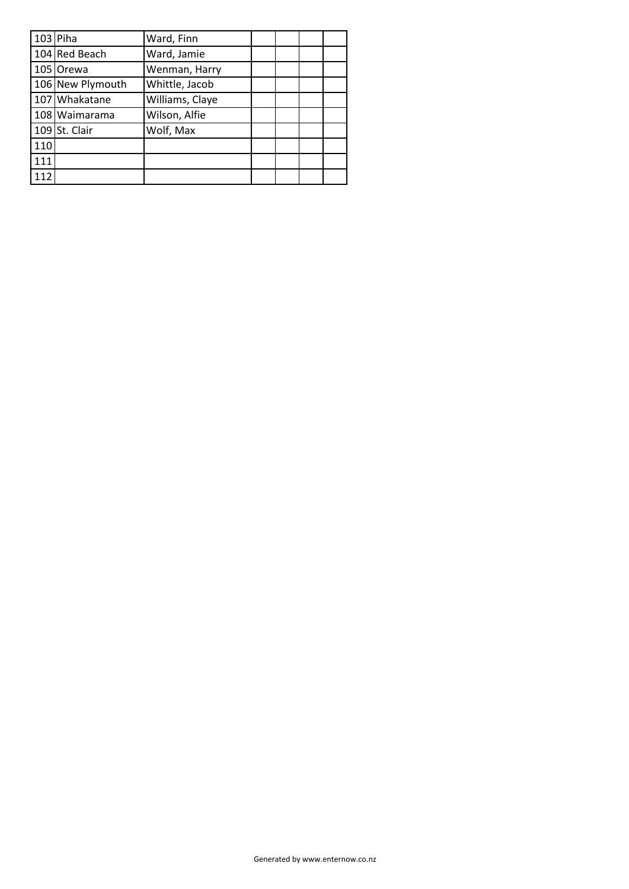|     | $103$ Piha       | Ward, Finn      |  |  |
|-----|------------------|-----------------|--|--|
|     | 104 Red Beach    | Ward, Jamie     |  |  |
|     | 105 Orewa        | Wenman, Harry   |  |  |
|     | 106 New Plymouth | Whittle, Jacob  |  |  |
|     | 107 Whakatane    | Williams, Claye |  |  |
|     | 108 Waimarama    | Wilson, Alfie   |  |  |
|     | $109$ St. Clair  | Wolf, Max       |  |  |
| 110 |                  |                 |  |  |
| 111 |                  |                 |  |  |
| 112 |                  |                 |  |  |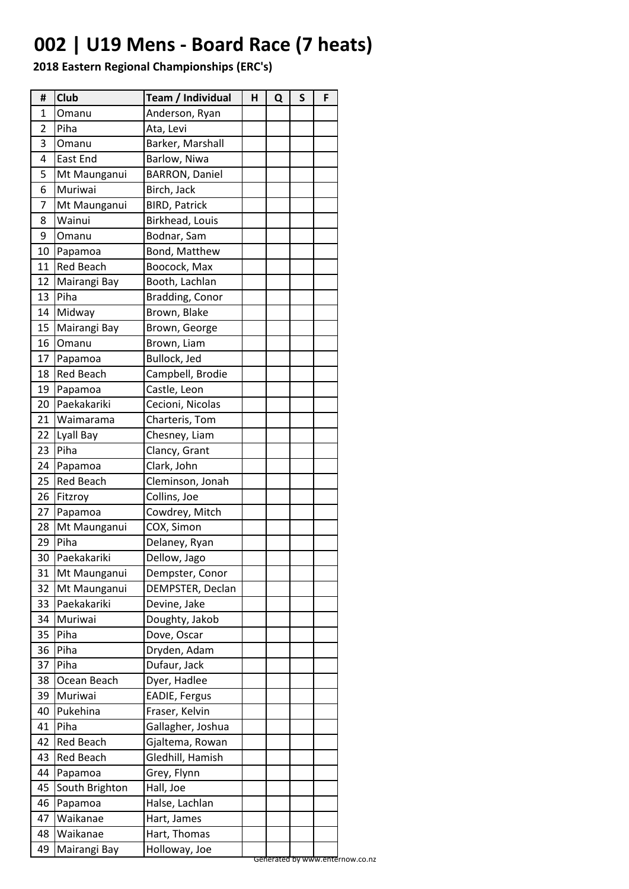## **002 | U19 Mens - Board Race (7 heats)**

| Anderson, Ryan<br>1<br>Omanu<br>2<br>Piha<br>Ata, Levi<br>3<br>Barker, Marshall<br>Omanu<br>East End<br>Barlow, Niwa<br>4<br>5<br>Mt Maunganui<br><b>BARRON, Daniel</b><br>Muriwai<br>Birch, Jack<br>6<br><b>BIRD, Patrick</b><br>7<br>Mt Maunganui<br>Wainui<br>Birkhead, Louis<br>8<br>9<br>Bodnar, Sam<br>Omanu<br>10<br>Bond, Matthew<br>Papamoa<br>Boocock, Max<br>11<br><b>Red Beach</b><br>12<br>Mairangi Bay<br>Booth, Lachlan<br>13<br>Piha<br>Bradding, Conor<br>Brown, Blake<br>14<br>Midway<br>15<br>Mairangi Bay<br>Brown, George<br>16<br>Brown, Liam<br>Omanu<br>Bullock, Jed<br>17<br>Papamoa<br>Campbell, Brodie<br>18<br><b>Red Beach</b><br>19<br>Castle, Leon<br>Papamoa<br>Paekakariki<br>Cecioni, Nicolas<br>20<br>21<br>Charteris, Tom<br>Waimarama<br>Chesney, Liam<br>22<br>Lyall Bay<br>Piha<br>23<br>Clancy, Grant<br>24<br>Clark, John<br>Papamoa<br>25<br><b>Red Beach</b><br>Cleminson, Jonah<br>Collins, Joe<br>26<br>Fitzroy<br>27<br>Cowdrey, Mitch<br>Papamoa<br>COX, Simon<br>28<br>Mt Maunganui<br>29<br>Piha<br>Delaney, Ryan<br>30<br>Dellow, Jago<br>Paekakariki<br>31<br>Mt Maunganui<br>Dempster, Conor<br>32<br>Mt Maunganui<br>DEMPSTER, Declan<br>Paekakariki<br>33<br>Devine, Jake<br>Muriwai<br>Doughty, Jakob<br>34<br>35<br>Piha<br>Dove, Oscar<br>36<br>Piha<br>Dryden, Adam<br>Dufaur, Jack<br>37<br>Piha<br>38<br>Ocean Beach<br>Dyer, Hadlee |
|--------------------------------------------------------------------------------------------------------------------------------------------------------------------------------------------------------------------------------------------------------------------------------------------------------------------------------------------------------------------------------------------------------------------------------------------------------------------------------------------------------------------------------------------------------------------------------------------------------------------------------------------------------------------------------------------------------------------------------------------------------------------------------------------------------------------------------------------------------------------------------------------------------------------------------------------------------------------------------------------------------------------------------------------------------------------------------------------------------------------------------------------------------------------------------------------------------------------------------------------------------------------------------------------------------------------------------------------------------------------------------------------------|
|                                                                                                                                                                                                                                                                                                                                                                                                                                                                                                                                                                                                                                                                                                                                                                                                                                                                                                                                                                                                                                                                                                                                                                                                                                                                                                                                                                                                  |
|                                                                                                                                                                                                                                                                                                                                                                                                                                                                                                                                                                                                                                                                                                                                                                                                                                                                                                                                                                                                                                                                                                                                                                                                                                                                                                                                                                                                  |
|                                                                                                                                                                                                                                                                                                                                                                                                                                                                                                                                                                                                                                                                                                                                                                                                                                                                                                                                                                                                                                                                                                                                                                                                                                                                                                                                                                                                  |
|                                                                                                                                                                                                                                                                                                                                                                                                                                                                                                                                                                                                                                                                                                                                                                                                                                                                                                                                                                                                                                                                                                                                                                                                                                                                                                                                                                                                  |
|                                                                                                                                                                                                                                                                                                                                                                                                                                                                                                                                                                                                                                                                                                                                                                                                                                                                                                                                                                                                                                                                                                                                                                                                                                                                                                                                                                                                  |
|                                                                                                                                                                                                                                                                                                                                                                                                                                                                                                                                                                                                                                                                                                                                                                                                                                                                                                                                                                                                                                                                                                                                                                                                                                                                                                                                                                                                  |
|                                                                                                                                                                                                                                                                                                                                                                                                                                                                                                                                                                                                                                                                                                                                                                                                                                                                                                                                                                                                                                                                                                                                                                                                                                                                                                                                                                                                  |
|                                                                                                                                                                                                                                                                                                                                                                                                                                                                                                                                                                                                                                                                                                                                                                                                                                                                                                                                                                                                                                                                                                                                                                                                                                                                                                                                                                                                  |
|                                                                                                                                                                                                                                                                                                                                                                                                                                                                                                                                                                                                                                                                                                                                                                                                                                                                                                                                                                                                                                                                                                                                                                                                                                                                                                                                                                                                  |
|                                                                                                                                                                                                                                                                                                                                                                                                                                                                                                                                                                                                                                                                                                                                                                                                                                                                                                                                                                                                                                                                                                                                                                                                                                                                                                                                                                                                  |
|                                                                                                                                                                                                                                                                                                                                                                                                                                                                                                                                                                                                                                                                                                                                                                                                                                                                                                                                                                                                                                                                                                                                                                                                                                                                                                                                                                                                  |
|                                                                                                                                                                                                                                                                                                                                                                                                                                                                                                                                                                                                                                                                                                                                                                                                                                                                                                                                                                                                                                                                                                                                                                                                                                                                                                                                                                                                  |
|                                                                                                                                                                                                                                                                                                                                                                                                                                                                                                                                                                                                                                                                                                                                                                                                                                                                                                                                                                                                                                                                                                                                                                                                                                                                                                                                                                                                  |
|                                                                                                                                                                                                                                                                                                                                                                                                                                                                                                                                                                                                                                                                                                                                                                                                                                                                                                                                                                                                                                                                                                                                                                                                                                                                                                                                                                                                  |
|                                                                                                                                                                                                                                                                                                                                                                                                                                                                                                                                                                                                                                                                                                                                                                                                                                                                                                                                                                                                                                                                                                                                                                                                                                                                                                                                                                                                  |
|                                                                                                                                                                                                                                                                                                                                                                                                                                                                                                                                                                                                                                                                                                                                                                                                                                                                                                                                                                                                                                                                                                                                                                                                                                                                                                                                                                                                  |
|                                                                                                                                                                                                                                                                                                                                                                                                                                                                                                                                                                                                                                                                                                                                                                                                                                                                                                                                                                                                                                                                                                                                                                                                                                                                                                                                                                                                  |
|                                                                                                                                                                                                                                                                                                                                                                                                                                                                                                                                                                                                                                                                                                                                                                                                                                                                                                                                                                                                                                                                                                                                                                                                                                                                                                                                                                                                  |
|                                                                                                                                                                                                                                                                                                                                                                                                                                                                                                                                                                                                                                                                                                                                                                                                                                                                                                                                                                                                                                                                                                                                                                                                                                                                                                                                                                                                  |
|                                                                                                                                                                                                                                                                                                                                                                                                                                                                                                                                                                                                                                                                                                                                                                                                                                                                                                                                                                                                                                                                                                                                                                                                                                                                                                                                                                                                  |
|                                                                                                                                                                                                                                                                                                                                                                                                                                                                                                                                                                                                                                                                                                                                                                                                                                                                                                                                                                                                                                                                                                                                                                                                                                                                                                                                                                                                  |
|                                                                                                                                                                                                                                                                                                                                                                                                                                                                                                                                                                                                                                                                                                                                                                                                                                                                                                                                                                                                                                                                                                                                                                                                                                                                                                                                                                                                  |
|                                                                                                                                                                                                                                                                                                                                                                                                                                                                                                                                                                                                                                                                                                                                                                                                                                                                                                                                                                                                                                                                                                                                                                                                                                                                                                                                                                                                  |
|                                                                                                                                                                                                                                                                                                                                                                                                                                                                                                                                                                                                                                                                                                                                                                                                                                                                                                                                                                                                                                                                                                                                                                                                                                                                                                                                                                                                  |
|                                                                                                                                                                                                                                                                                                                                                                                                                                                                                                                                                                                                                                                                                                                                                                                                                                                                                                                                                                                                                                                                                                                                                                                                                                                                                                                                                                                                  |
|                                                                                                                                                                                                                                                                                                                                                                                                                                                                                                                                                                                                                                                                                                                                                                                                                                                                                                                                                                                                                                                                                                                                                                                                                                                                                                                                                                                                  |
|                                                                                                                                                                                                                                                                                                                                                                                                                                                                                                                                                                                                                                                                                                                                                                                                                                                                                                                                                                                                                                                                                                                                                                                                                                                                                                                                                                                                  |
|                                                                                                                                                                                                                                                                                                                                                                                                                                                                                                                                                                                                                                                                                                                                                                                                                                                                                                                                                                                                                                                                                                                                                                                                                                                                                                                                                                                                  |
|                                                                                                                                                                                                                                                                                                                                                                                                                                                                                                                                                                                                                                                                                                                                                                                                                                                                                                                                                                                                                                                                                                                                                                                                                                                                                                                                                                                                  |
|                                                                                                                                                                                                                                                                                                                                                                                                                                                                                                                                                                                                                                                                                                                                                                                                                                                                                                                                                                                                                                                                                                                                                                                                                                                                                                                                                                                                  |
|                                                                                                                                                                                                                                                                                                                                                                                                                                                                                                                                                                                                                                                                                                                                                                                                                                                                                                                                                                                                                                                                                                                                                                                                                                                                                                                                                                                                  |
|                                                                                                                                                                                                                                                                                                                                                                                                                                                                                                                                                                                                                                                                                                                                                                                                                                                                                                                                                                                                                                                                                                                                                                                                                                                                                                                                                                                                  |
|                                                                                                                                                                                                                                                                                                                                                                                                                                                                                                                                                                                                                                                                                                                                                                                                                                                                                                                                                                                                                                                                                                                                                                                                                                                                                                                                                                                                  |
|                                                                                                                                                                                                                                                                                                                                                                                                                                                                                                                                                                                                                                                                                                                                                                                                                                                                                                                                                                                                                                                                                                                                                                                                                                                                                                                                                                                                  |
|                                                                                                                                                                                                                                                                                                                                                                                                                                                                                                                                                                                                                                                                                                                                                                                                                                                                                                                                                                                                                                                                                                                                                                                                                                                                                                                                                                                                  |
|                                                                                                                                                                                                                                                                                                                                                                                                                                                                                                                                                                                                                                                                                                                                                                                                                                                                                                                                                                                                                                                                                                                                                                                                                                                                                                                                                                                                  |
|                                                                                                                                                                                                                                                                                                                                                                                                                                                                                                                                                                                                                                                                                                                                                                                                                                                                                                                                                                                                                                                                                                                                                                                                                                                                                                                                                                                                  |
|                                                                                                                                                                                                                                                                                                                                                                                                                                                                                                                                                                                                                                                                                                                                                                                                                                                                                                                                                                                                                                                                                                                                                                                                                                                                                                                                                                                                  |
| 39<br>Muriwai<br>EADIE, Fergus                                                                                                                                                                                                                                                                                                                                                                                                                                                                                                                                                                                                                                                                                                                                                                                                                                                                                                                                                                                                                                                                                                                                                                                                                                                                                                                                                                   |
| Pukehina<br>Fraser, Kelvin<br>40                                                                                                                                                                                                                                                                                                                                                                                                                                                                                                                                                                                                                                                                                                                                                                                                                                                                                                                                                                                                                                                                                                                                                                                                                                                                                                                                                                 |
| Gallagher, Joshua<br>41<br>Piha                                                                                                                                                                                                                                                                                                                                                                                                                                                                                                                                                                                                                                                                                                                                                                                                                                                                                                                                                                                                                                                                                                                                                                                                                                                                                                                                                                  |
| <b>Red Beach</b><br>42<br>Gjaltema, Rowan                                                                                                                                                                                                                                                                                                                                                                                                                                                                                                                                                                                                                                                                                                                                                                                                                                                                                                                                                                                                                                                                                                                                                                                                                                                                                                                                                        |
| 43<br><b>Red Beach</b><br>Gledhill, Hamish                                                                                                                                                                                                                                                                                                                                                                                                                                                                                                                                                                                                                                                                                                                                                                                                                                                                                                                                                                                                                                                                                                                                                                                                                                                                                                                                                       |
| 44<br>Grey, Flynn<br>Papamoa                                                                                                                                                                                                                                                                                                                                                                                                                                                                                                                                                                                                                                                                                                                                                                                                                                                                                                                                                                                                                                                                                                                                                                                                                                                                                                                                                                     |
| 45<br>Hall, Joe<br>South Brighton                                                                                                                                                                                                                                                                                                                                                                                                                                                                                                                                                                                                                                                                                                                                                                                                                                                                                                                                                                                                                                                                                                                                                                                                                                                                                                                                                                |
| 46<br>Papamoa<br>Halse, Lachlan                                                                                                                                                                                                                                                                                                                                                                                                                                                                                                                                                                                                                                                                                                                                                                                                                                                                                                                                                                                                                                                                                                                                                                                                                                                                                                                                                                  |
| 47<br>Waikanae<br>Hart, James                                                                                                                                                                                                                                                                                                                                                                                                                                                                                                                                                                                                                                                                                                                                                                                                                                                                                                                                                                                                                                                                                                                                                                                                                                                                                                                                                                    |
| 48<br>Waikanae<br>Hart, Thomas                                                                                                                                                                                                                                                                                                                                                                                                                                                                                                                                                                                                                                                                                                                                                                                                                                                                                                                                                                                                                                                                                                                                                                                                                                                                                                                                                                   |
| 49<br>Mairangi Bay<br>Holloway, Joe                                                                                                                                                                                                                                                                                                                                                                                                                                                                                                                                                                                                                                                                                                                                                                                                                                                                                                                                                                                                                                                                                                                                                                                                                                                                                                                                                              |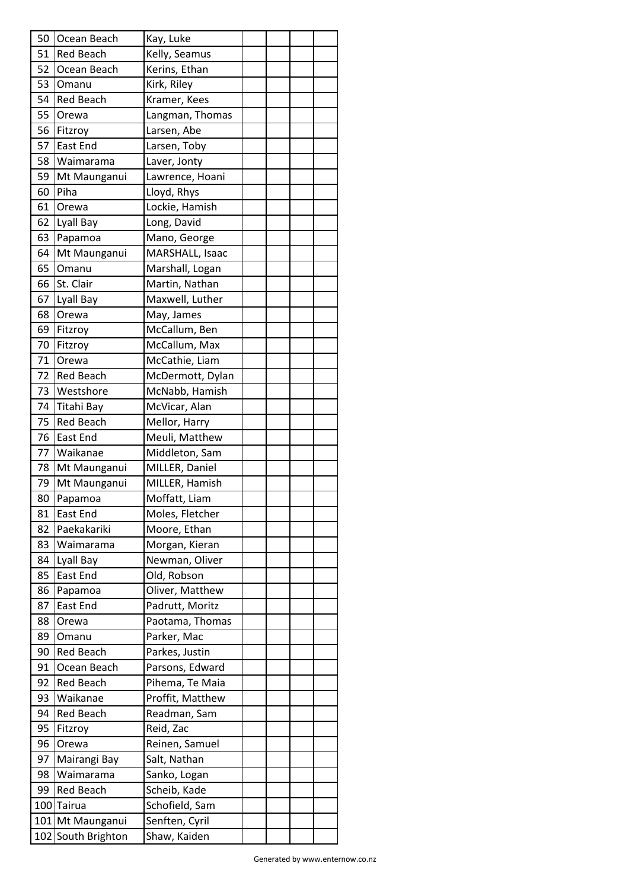| 50 | Ocean Beach        | Kay, Luke        |  |  |
|----|--------------------|------------------|--|--|
| 51 | <b>Red Beach</b>   | Kelly, Seamus    |  |  |
| 52 | Ocean Beach        | Kerins, Ethan    |  |  |
| 53 | Omanu              | Kirk, Riley      |  |  |
| 54 | <b>Red Beach</b>   | Kramer, Kees     |  |  |
| 55 | Orewa              | Langman, Thomas  |  |  |
| 56 | Fitzroy            | Larsen, Abe      |  |  |
| 57 | East End           | Larsen, Toby     |  |  |
| 58 | Waimarama          | Laver, Jonty     |  |  |
| 59 | Mt Maunganui       | Lawrence, Hoani  |  |  |
| 60 | Piha               | Lloyd, Rhys      |  |  |
| 61 | Orewa              | Lockie, Hamish   |  |  |
| 62 | Lyall Bay          | Long, David      |  |  |
| 63 | Papamoa            | Mano, George     |  |  |
| 64 | Mt Maunganui       | MARSHALL, Isaac  |  |  |
| 65 | Omanu              | Marshall, Logan  |  |  |
| 66 | St. Clair          | Martin, Nathan   |  |  |
| 67 | Lyall Bay          | Maxwell, Luther  |  |  |
| 68 | Orewa              | May, James       |  |  |
| 69 | Fitzroy            | McCallum, Ben    |  |  |
| 70 | Fitzroy            | McCallum, Max    |  |  |
| 71 | Orewa              | McCathie, Liam   |  |  |
| 72 | <b>Red Beach</b>   | McDermott, Dylan |  |  |
| 73 | Westshore          | McNabb, Hamish   |  |  |
| 74 | Titahi Bay         | McVicar, Alan    |  |  |
| 75 | <b>Red Beach</b>   | Mellor, Harry    |  |  |
| 76 | <b>East End</b>    | Meuli, Matthew   |  |  |
| 77 | Waikanae           | Middleton, Sam   |  |  |
| 78 | Mt Maunganui       | MILLER, Daniel   |  |  |
| 79 | Mt Maunganui       | MILLER, Hamish   |  |  |
| 80 | Papamoa            | Moffatt, Liam    |  |  |
| 81 | East End           | Moles, Fletcher  |  |  |
| 82 | Paekakariki        | Moore, Ethan     |  |  |
| 83 | Waimarama          | Morgan, Kieran   |  |  |
| 84 | Lyall Bay          | Newman, Oliver   |  |  |
| 85 | <b>East End</b>    | Old, Robson      |  |  |
| 86 | Papamoa            | Oliver, Matthew  |  |  |
| 87 | East End           | Padrutt, Moritz  |  |  |
| 88 | Orewa              | Paotama, Thomas  |  |  |
| 89 | Omanu              | Parker, Mac      |  |  |
| 90 | <b>Red Beach</b>   | Parkes, Justin   |  |  |
| 91 | Ocean Beach        | Parsons, Edward  |  |  |
| 92 | <b>Red Beach</b>   | Pihema, Te Maia  |  |  |
| 93 | Waikanae           | Proffit, Matthew |  |  |
| 94 | <b>Red Beach</b>   | Readman, Sam     |  |  |
| 95 | Fitzroy            | Reid, Zac        |  |  |
| 96 | Orewa              | Reinen, Samuel   |  |  |
| 97 | Mairangi Bay       | Salt, Nathan     |  |  |
| 98 | Waimarama          | Sanko, Logan     |  |  |
| 99 | <b>Red Beach</b>   | Scheib, Kade     |  |  |
|    | 100 Tairua         | Schofield, Sam   |  |  |
|    | 101 Mt Maunganui   | Senften, Cyril   |  |  |
|    | 102 South Brighton | Shaw, Kaiden     |  |  |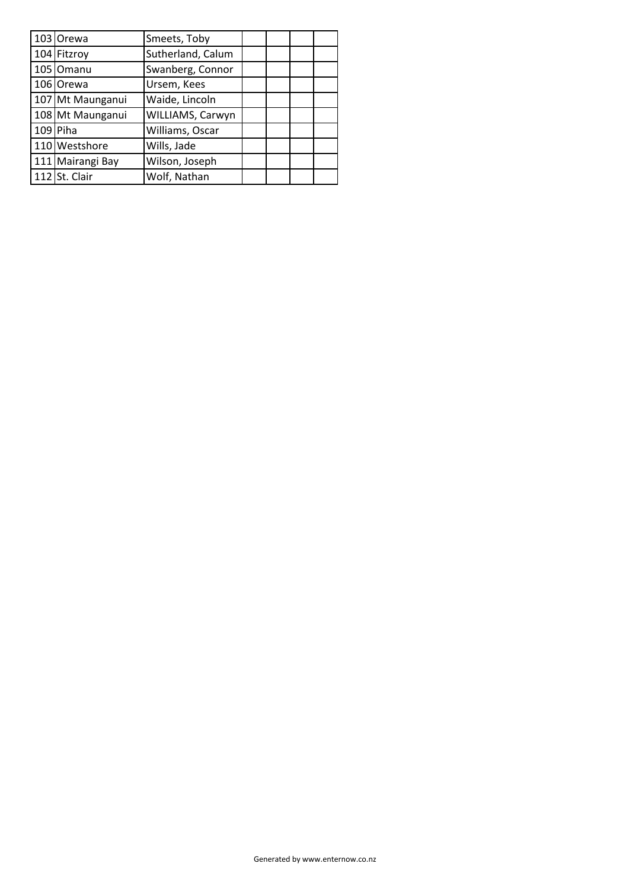| 103 Orewa        | Smeets, Toby      |  |  |
|------------------|-------------------|--|--|
| 104 Fitzroy      | Sutherland, Calum |  |  |
| 105 Omanu        | Swanberg, Connor  |  |  |
| 106 Orewa        | Ursem, Kees       |  |  |
| 107 Mt Maunganui | Waide, Lincoln    |  |  |
| 108 Mt Maunganui | WILLIAMS, Carwyn  |  |  |
| 109 Piha         | Williams, Oscar   |  |  |
| 110 Westshore    | Wills, Jade       |  |  |
| 111 Mairangi Bay | Wilson, Joseph    |  |  |
| 112 St. Clair    | Wolf, Nathan      |  |  |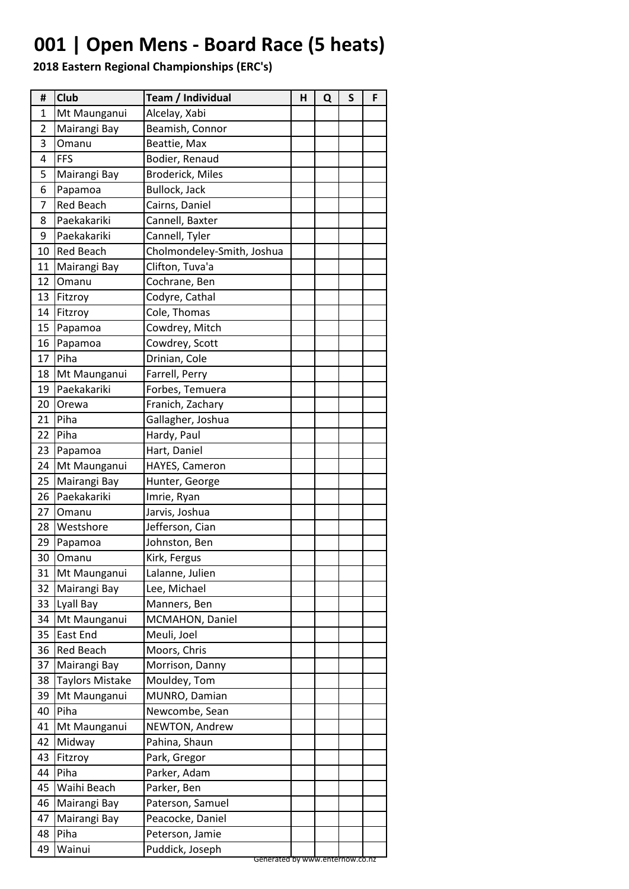## **001 | Open Mens - Board Race (5 heats)**

| #  | <b>Club</b>            | Team / Individual                                  | н | Q | S | F |
|----|------------------------|----------------------------------------------------|---|---|---|---|
| 1  | Mt Maunganui           | Alcelay, Xabi                                      |   |   |   |   |
| 2  | Mairangi Bay           | Beamish, Connor                                    |   |   |   |   |
| 3  | Omanu                  | Beattie, Max                                       |   |   |   |   |
| 4  | FFS                    | Bodier, Renaud                                     |   |   |   |   |
| 5  | Mairangi Bay           | <b>Broderick, Miles</b>                            |   |   |   |   |
| 6  | Papamoa                | Bullock, Jack                                      |   |   |   |   |
| 7  | <b>Red Beach</b>       | Cairns, Daniel                                     |   |   |   |   |
| 8  | Paekakariki            | Cannell, Baxter                                    |   |   |   |   |
| 9  | Paekakariki            | Cannell, Tyler                                     |   |   |   |   |
| 10 | <b>Red Beach</b>       | Cholmondeley-Smith, Joshua                         |   |   |   |   |
| 11 | Mairangi Bay           | Clifton, Tuva'a                                    |   |   |   |   |
| 12 | Omanu                  | Cochrane, Ben                                      |   |   |   |   |
| 13 | Fitzroy                | Codyre, Cathal                                     |   |   |   |   |
| 14 | Fitzroy                | Cole, Thomas                                       |   |   |   |   |
| 15 | Papamoa                | Cowdrey, Mitch                                     |   |   |   |   |
| 16 | Papamoa                | Cowdrey, Scott                                     |   |   |   |   |
| 17 | Piha                   | Drinian, Cole                                      |   |   |   |   |
| 18 | Mt Maunganui           | Farrell, Perry                                     |   |   |   |   |
| 19 | Paekakariki            | Forbes, Temuera                                    |   |   |   |   |
| 20 | Orewa                  | Franich, Zachary                                   |   |   |   |   |
| 21 | Piha                   | Gallagher, Joshua                                  |   |   |   |   |
| 22 | Piha                   | Hardy, Paul                                        |   |   |   |   |
| 23 | Papamoa                | Hart, Daniel                                       |   |   |   |   |
| 24 | Mt Maunganui           | HAYES, Cameron                                     |   |   |   |   |
| 25 | Mairangi Bay           | Hunter, George                                     |   |   |   |   |
| 26 | Paekakariki            | Imrie, Ryan                                        |   |   |   |   |
| 27 | Omanu                  | Jarvis, Joshua                                     |   |   |   |   |
| 28 | Westshore              | Jefferson, Cian                                    |   |   |   |   |
| 29 | Papamoa                | Johnston, Ben                                      |   |   |   |   |
| 30 | Omanu                  | Kirk, Fergus                                       |   |   |   |   |
| 31 | Mt Maunganui           | Lalanne, Julien                                    |   |   |   |   |
| 32 | Mairangi Bay           | Lee, Michael                                       |   |   |   |   |
| 33 | Lyall Bay              | Manners, Ben                                       |   |   |   |   |
| 34 | Mt Maunganui           | MCMAHON, Daniel                                    |   |   |   |   |
| 35 | East End               | Meuli, Joel                                        |   |   |   |   |
| 36 | <b>Red Beach</b>       | Moors, Chris                                       |   |   |   |   |
| 37 | Mairangi Bay           | Morrison, Danny                                    |   |   |   |   |
| 38 | <b>Taylors Mistake</b> | Mouldey, Tom                                       |   |   |   |   |
| 39 | Mt Maunganui           | MUNRO, Damian                                      |   |   |   |   |
| 40 | Piha                   | Newcombe, Sean                                     |   |   |   |   |
| 41 | Mt Maunganui           | NEWTON, Andrew                                     |   |   |   |   |
| 42 | Midway                 | Pahina, Shaun                                      |   |   |   |   |
|    |                        |                                                    |   |   |   |   |
| 43 | Fitzroy                | Park, Gregor                                       |   |   |   |   |
| 44 | Piha                   | Parker, Adam                                       |   |   |   |   |
| 45 | Waihi Beach            | Parker, Ben                                        |   |   |   |   |
| 46 | Mairangi Bay           | Paterson, Samuel                                   |   |   |   |   |
| 47 | Mairangi Bay           | Peacocke, Daniel                                   |   |   |   |   |
| 48 | Piha                   | Peterson, Jamie                                    |   |   |   |   |
| 49 | Wainui                 | Puddick, Joseph<br>Generated by www.enternow.co.nz |   |   |   |   |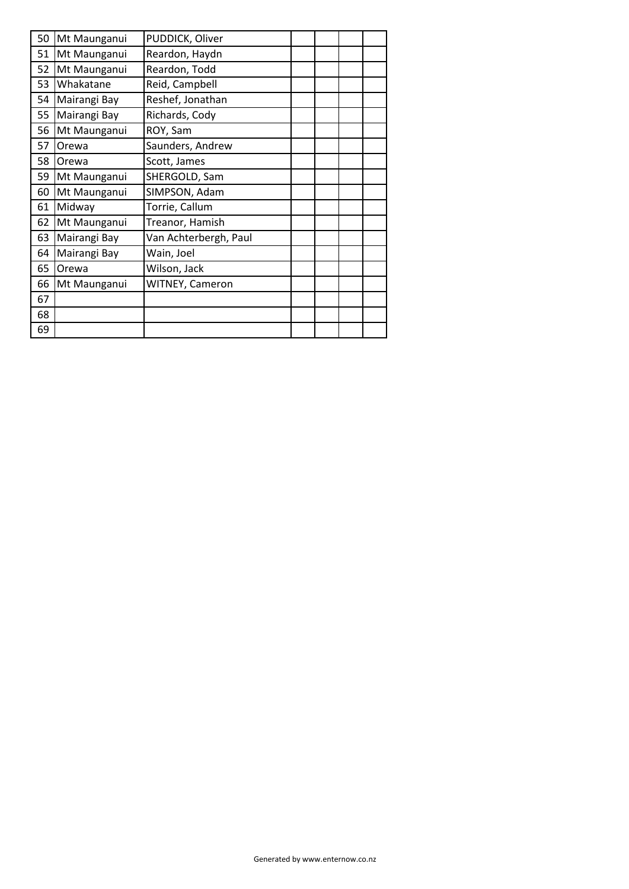| 50 | Mt Maunganui | PUDDICK, Oliver       |  |  |
|----|--------------|-----------------------|--|--|
| 51 | Mt Maunganui | Reardon, Haydn        |  |  |
| 52 | Mt Maunganui | Reardon, Todd         |  |  |
| 53 | Whakatane    | Reid, Campbell        |  |  |
| 54 | Mairangi Bay | Reshef, Jonathan      |  |  |
| 55 | Mairangi Bay | Richards, Cody        |  |  |
| 56 | Mt Maunganui | ROY, Sam              |  |  |
| 57 | Orewa        | Saunders, Andrew      |  |  |
| 58 | Orewa        | Scott, James          |  |  |
| 59 | Mt Maunganui | SHERGOLD, Sam         |  |  |
| 60 | Mt Maunganui | SIMPSON, Adam         |  |  |
| 61 | Midway       | Torrie, Callum        |  |  |
| 62 | Mt Maunganui | Treanor, Hamish       |  |  |
| 63 | Mairangi Bay | Van Achterbergh, Paul |  |  |
| 64 | Mairangi Bay | Wain, Joel            |  |  |
| 65 | Orewa        | Wilson, Jack          |  |  |
| 66 | Mt Maunganui | WITNEY, Cameron       |  |  |
| 67 |              |                       |  |  |
| 68 |              |                       |  |  |
| 69 |              |                       |  |  |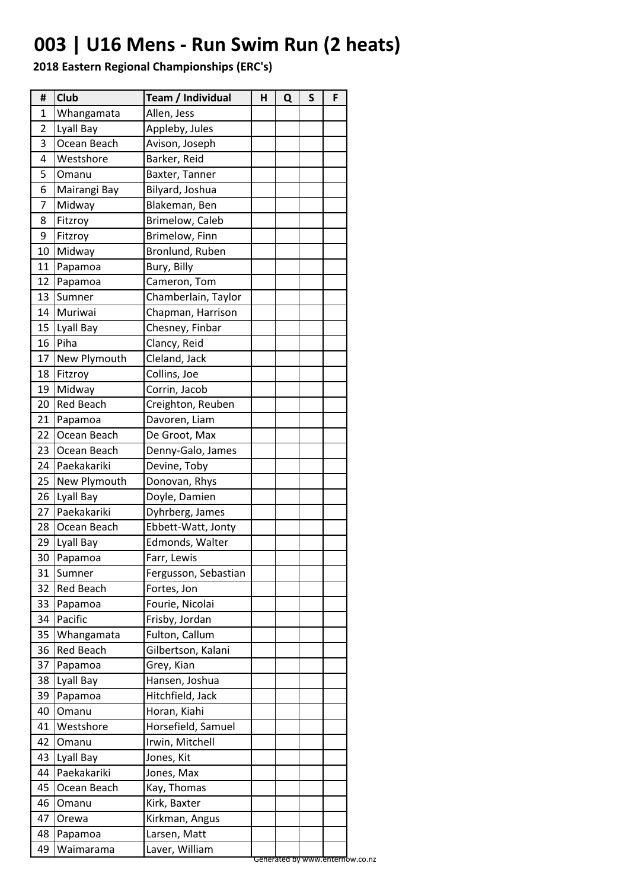## **003 | U16 Mens - Run Swim Run (2 heats)**

| 1<br>Whangamata<br>Allen, Jess<br>2<br>Lyall Bay<br>Appleby, Jules<br>3<br>Ocean Beach<br>Avison, Joseph<br>Westshore<br>Barker, Reid<br>4<br>5<br>Omanu<br>Baxter, Tanner<br>6<br>Bilyard, Joshua<br>Mairangi Bay<br>7<br>Midway<br>Blakeman, Ben<br>Brimelow, Caleb<br>8<br>Fitzroy<br>9<br>Fitzroy<br>Brimelow, Finn<br>10<br>Midway<br>Bronlund, Ruben<br>11<br>Papamoa<br>Bury, Billy<br>12<br>Cameron, Tom<br>Papamoa<br>13<br>Sumner<br>Chamberlain, Taylor<br>Muriwai<br>14<br>Chapman, Harrison<br>15<br>Chesney, Finbar<br>Lyall Bay<br>16<br>Piha<br>Clancy, Reid<br>Cleland, Jack<br>17<br>New Plymouth<br>Collins, Joe<br>18<br>Fitzroy<br>19<br>Midway<br>Corrin, Jacob<br>20<br><b>Red Beach</b><br>Creighton, Reuben<br>21<br>Davoren, Liam<br>Papamoa<br>Ocean Beach<br>22<br>De Groot, Max<br>23<br>Ocean Beach<br>Denny-Galo, James<br>24<br>Paekakariki<br>Devine, Toby<br>25<br>New Plymouth<br>Donovan, Rhys<br>26<br>Lyall Bay<br>Doyle, Damien<br>Paekakariki<br>Dyhrberg, James<br>27<br>28<br>Ocean Beach<br>Ebbett-Watt, Jonty<br>29<br>Lyall Bay<br>Edmonds, Walter<br>30<br>Papamoa<br>Farr, Lewis<br>31<br>Sumner<br>Fergusson, Sebastian<br>32<br><b>Red Beach</b><br>Fortes, Jon<br>33<br>Fourie, Nicolai<br>Papamoa<br>34<br>Pacific<br>Frisby, Jordan<br>35<br>Fulton, Callum<br>Whangamata<br>36<br><b>Red Beach</b><br>Gilbertson, Kalani<br>37<br>Grey, Kian<br>Papamoa<br>38<br>Hansen, Joshua<br>Lyall Bay<br>39<br>Papamoa<br>Hitchfield, Jack<br>Horan, Kiahi<br>40<br>Omanu<br>Horsefield, Samuel<br>41<br>Westshore<br>Irwin, Mitchell<br>42<br>Omanu<br>43<br>Lyall Bay<br>Jones, Kit<br>Paekakariki<br>44<br>Jones, Max<br>Kay, Thomas<br>45<br>Ocean Beach<br>46<br>Kirk, Baxter<br>Omanu<br>47<br>Kirkman, Angus<br>Orewa | #  | Club    | Team / Individual | н | Q | S | F |
|--------------------------------------------------------------------------------------------------------------------------------------------------------------------------------------------------------------------------------------------------------------------------------------------------------------------------------------------------------------------------------------------------------------------------------------------------------------------------------------------------------------------------------------------------------------------------------------------------------------------------------------------------------------------------------------------------------------------------------------------------------------------------------------------------------------------------------------------------------------------------------------------------------------------------------------------------------------------------------------------------------------------------------------------------------------------------------------------------------------------------------------------------------------------------------------------------------------------------------------------------------------------------------------------------------------------------------------------------------------------------------------------------------------------------------------------------------------------------------------------------------------------------------------------------------------------------------------------------------------------------------------------------------------------------------------------------------------------------------------------------------------------------|----|---------|-------------------|---|---|---|---|
|                                                                                                                                                                                                                                                                                                                                                                                                                                                                                                                                                                                                                                                                                                                                                                                                                                                                                                                                                                                                                                                                                                                                                                                                                                                                                                                                                                                                                                                                                                                                                                                                                                                                                                                                                                          |    |         |                   |   |   |   |   |
|                                                                                                                                                                                                                                                                                                                                                                                                                                                                                                                                                                                                                                                                                                                                                                                                                                                                                                                                                                                                                                                                                                                                                                                                                                                                                                                                                                                                                                                                                                                                                                                                                                                                                                                                                                          |    |         |                   |   |   |   |   |
|                                                                                                                                                                                                                                                                                                                                                                                                                                                                                                                                                                                                                                                                                                                                                                                                                                                                                                                                                                                                                                                                                                                                                                                                                                                                                                                                                                                                                                                                                                                                                                                                                                                                                                                                                                          |    |         |                   |   |   |   |   |
|                                                                                                                                                                                                                                                                                                                                                                                                                                                                                                                                                                                                                                                                                                                                                                                                                                                                                                                                                                                                                                                                                                                                                                                                                                                                                                                                                                                                                                                                                                                                                                                                                                                                                                                                                                          |    |         |                   |   |   |   |   |
|                                                                                                                                                                                                                                                                                                                                                                                                                                                                                                                                                                                                                                                                                                                                                                                                                                                                                                                                                                                                                                                                                                                                                                                                                                                                                                                                                                                                                                                                                                                                                                                                                                                                                                                                                                          |    |         |                   |   |   |   |   |
|                                                                                                                                                                                                                                                                                                                                                                                                                                                                                                                                                                                                                                                                                                                                                                                                                                                                                                                                                                                                                                                                                                                                                                                                                                                                                                                                                                                                                                                                                                                                                                                                                                                                                                                                                                          |    |         |                   |   |   |   |   |
|                                                                                                                                                                                                                                                                                                                                                                                                                                                                                                                                                                                                                                                                                                                                                                                                                                                                                                                                                                                                                                                                                                                                                                                                                                                                                                                                                                                                                                                                                                                                                                                                                                                                                                                                                                          |    |         |                   |   |   |   |   |
|                                                                                                                                                                                                                                                                                                                                                                                                                                                                                                                                                                                                                                                                                                                                                                                                                                                                                                                                                                                                                                                                                                                                                                                                                                                                                                                                                                                                                                                                                                                                                                                                                                                                                                                                                                          |    |         |                   |   |   |   |   |
|                                                                                                                                                                                                                                                                                                                                                                                                                                                                                                                                                                                                                                                                                                                                                                                                                                                                                                                                                                                                                                                                                                                                                                                                                                                                                                                                                                                                                                                                                                                                                                                                                                                                                                                                                                          |    |         |                   |   |   |   |   |
|                                                                                                                                                                                                                                                                                                                                                                                                                                                                                                                                                                                                                                                                                                                                                                                                                                                                                                                                                                                                                                                                                                                                                                                                                                                                                                                                                                                                                                                                                                                                                                                                                                                                                                                                                                          |    |         |                   |   |   |   |   |
|                                                                                                                                                                                                                                                                                                                                                                                                                                                                                                                                                                                                                                                                                                                                                                                                                                                                                                                                                                                                                                                                                                                                                                                                                                                                                                                                                                                                                                                                                                                                                                                                                                                                                                                                                                          |    |         |                   |   |   |   |   |
|                                                                                                                                                                                                                                                                                                                                                                                                                                                                                                                                                                                                                                                                                                                                                                                                                                                                                                                                                                                                                                                                                                                                                                                                                                                                                                                                                                                                                                                                                                                                                                                                                                                                                                                                                                          |    |         |                   |   |   |   |   |
|                                                                                                                                                                                                                                                                                                                                                                                                                                                                                                                                                                                                                                                                                                                                                                                                                                                                                                                                                                                                                                                                                                                                                                                                                                                                                                                                                                                                                                                                                                                                                                                                                                                                                                                                                                          |    |         |                   |   |   |   |   |
|                                                                                                                                                                                                                                                                                                                                                                                                                                                                                                                                                                                                                                                                                                                                                                                                                                                                                                                                                                                                                                                                                                                                                                                                                                                                                                                                                                                                                                                                                                                                                                                                                                                                                                                                                                          |    |         |                   |   |   |   |   |
|                                                                                                                                                                                                                                                                                                                                                                                                                                                                                                                                                                                                                                                                                                                                                                                                                                                                                                                                                                                                                                                                                                                                                                                                                                                                                                                                                                                                                                                                                                                                                                                                                                                                                                                                                                          |    |         |                   |   |   |   |   |
|                                                                                                                                                                                                                                                                                                                                                                                                                                                                                                                                                                                                                                                                                                                                                                                                                                                                                                                                                                                                                                                                                                                                                                                                                                                                                                                                                                                                                                                                                                                                                                                                                                                                                                                                                                          |    |         |                   |   |   |   |   |
|                                                                                                                                                                                                                                                                                                                                                                                                                                                                                                                                                                                                                                                                                                                                                                                                                                                                                                                                                                                                                                                                                                                                                                                                                                                                                                                                                                                                                                                                                                                                                                                                                                                                                                                                                                          |    |         |                   |   |   |   |   |
|                                                                                                                                                                                                                                                                                                                                                                                                                                                                                                                                                                                                                                                                                                                                                                                                                                                                                                                                                                                                                                                                                                                                                                                                                                                                                                                                                                                                                                                                                                                                                                                                                                                                                                                                                                          |    |         |                   |   |   |   |   |
|                                                                                                                                                                                                                                                                                                                                                                                                                                                                                                                                                                                                                                                                                                                                                                                                                                                                                                                                                                                                                                                                                                                                                                                                                                                                                                                                                                                                                                                                                                                                                                                                                                                                                                                                                                          |    |         |                   |   |   |   |   |
|                                                                                                                                                                                                                                                                                                                                                                                                                                                                                                                                                                                                                                                                                                                                                                                                                                                                                                                                                                                                                                                                                                                                                                                                                                                                                                                                                                                                                                                                                                                                                                                                                                                                                                                                                                          |    |         |                   |   |   |   |   |
|                                                                                                                                                                                                                                                                                                                                                                                                                                                                                                                                                                                                                                                                                                                                                                                                                                                                                                                                                                                                                                                                                                                                                                                                                                                                                                                                                                                                                                                                                                                                                                                                                                                                                                                                                                          |    |         |                   |   |   |   |   |
|                                                                                                                                                                                                                                                                                                                                                                                                                                                                                                                                                                                                                                                                                                                                                                                                                                                                                                                                                                                                                                                                                                                                                                                                                                                                                                                                                                                                                                                                                                                                                                                                                                                                                                                                                                          |    |         |                   |   |   |   |   |
|                                                                                                                                                                                                                                                                                                                                                                                                                                                                                                                                                                                                                                                                                                                                                                                                                                                                                                                                                                                                                                                                                                                                                                                                                                                                                                                                                                                                                                                                                                                                                                                                                                                                                                                                                                          |    |         |                   |   |   |   |   |
|                                                                                                                                                                                                                                                                                                                                                                                                                                                                                                                                                                                                                                                                                                                                                                                                                                                                                                                                                                                                                                                                                                                                                                                                                                                                                                                                                                                                                                                                                                                                                                                                                                                                                                                                                                          |    |         |                   |   |   |   |   |
|                                                                                                                                                                                                                                                                                                                                                                                                                                                                                                                                                                                                                                                                                                                                                                                                                                                                                                                                                                                                                                                                                                                                                                                                                                                                                                                                                                                                                                                                                                                                                                                                                                                                                                                                                                          |    |         |                   |   |   |   |   |
|                                                                                                                                                                                                                                                                                                                                                                                                                                                                                                                                                                                                                                                                                                                                                                                                                                                                                                                                                                                                                                                                                                                                                                                                                                                                                                                                                                                                                                                                                                                                                                                                                                                                                                                                                                          |    |         |                   |   |   |   |   |
|                                                                                                                                                                                                                                                                                                                                                                                                                                                                                                                                                                                                                                                                                                                                                                                                                                                                                                                                                                                                                                                                                                                                                                                                                                                                                                                                                                                                                                                                                                                                                                                                                                                                                                                                                                          |    |         |                   |   |   |   |   |
|                                                                                                                                                                                                                                                                                                                                                                                                                                                                                                                                                                                                                                                                                                                                                                                                                                                                                                                                                                                                                                                                                                                                                                                                                                                                                                                                                                                                                                                                                                                                                                                                                                                                                                                                                                          |    |         |                   |   |   |   |   |
|                                                                                                                                                                                                                                                                                                                                                                                                                                                                                                                                                                                                                                                                                                                                                                                                                                                                                                                                                                                                                                                                                                                                                                                                                                                                                                                                                                                                                                                                                                                                                                                                                                                                                                                                                                          |    |         |                   |   |   |   |   |
|                                                                                                                                                                                                                                                                                                                                                                                                                                                                                                                                                                                                                                                                                                                                                                                                                                                                                                                                                                                                                                                                                                                                                                                                                                                                                                                                                                                                                                                                                                                                                                                                                                                                                                                                                                          |    |         |                   |   |   |   |   |
|                                                                                                                                                                                                                                                                                                                                                                                                                                                                                                                                                                                                                                                                                                                                                                                                                                                                                                                                                                                                                                                                                                                                                                                                                                                                                                                                                                                                                                                                                                                                                                                                                                                                                                                                                                          |    |         |                   |   |   |   |   |
|                                                                                                                                                                                                                                                                                                                                                                                                                                                                                                                                                                                                                                                                                                                                                                                                                                                                                                                                                                                                                                                                                                                                                                                                                                                                                                                                                                                                                                                                                                                                                                                                                                                                                                                                                                          |    |         |                   |   |   |   |   |
|                                                                                                                                                                                                                                                                                                                                                                                                                                                                                                                                                                                                                                                                                                                                                                                                                                                                                                                                                                                                                                                                                                                                                                                                                                                                                                                                                                                                                                                                                                                                                                                                                                                                                                                                                                          |    |         |                   |   |   |   |   |
|                                                                                                                                                                                                                                                                                                                                                                                                                                                                                                                                                                                                                                                                                                                                                                                                                                                                                                                                                                                                                                                                                                                                                                                                                                                                                                                                                                                                                                                                                                                                                                                                                                                                                                                                                                          |    |         |                   |   |   |   |   |
|                                                                                                                                                                                                                                                                                                                                                                                                                                                                                                                                                                                                                                                                                                                                                                                                                                                                                                                                                                                                                                                                                                                                                                                                                                                                                                                                                                                                                                                                                                                                                                                                                                                                                                                                                                          |    |         |                   |   |   |   |   |
|                                                                                                                                                                                                                                                                                                                                                                                                                                                                                                                                                                                                                                                                                                                                                                                                                                                                                                                                                                                                                                                                                                                                                                                                                                                                                                                                                                                                                                                                                                                                                                                                                                                                                                                                                                          |    |         |                   |   |   |   |   |
|                                                                                                                                                                                                                                                                                                                                                                                                                                                                                                                                                                                                                                                                                                                                                                                                                                                                                                                                                                                                                                                                                                                                                                                                                                                                                                                                                                                                                                                                                                                                                                                                                                                                                                                                                                          |    |         |                   |   |   |   |   |
|                                                                                                                                                                                                                                                                                                                                                                                                                                                                                                                                                                                                                                                                                                                                                                                                                                                                                                                                                                                                                                                                                                                                                                                                                                                                                                                                                                                                                                                                                                                                                                                                                                                                                                                                                                          |    |         |                   |   |   |   |   |
|                                                                                                                                                                                                                                                                                                                                                                                                                                                                                                                                                                                                                                                                                                                                                                                                                                                                                                                                                                                                                                                                                                                                                                                                                                                                                                                                                                                                                                                                                                                                                                                                                                                                                                                                                                          |    |         |                   |   |   |   |   |
|                                                                                                                                                                                                                                                                                                                                                                                                                                                                                                                                                                                                                                                                                                                                                                                                                                                                                                                                                                                                                                                                                                                                                                                                                                                                                                                                                                                                                                                                                                                                                                                                                                                                                                                                                                          |    |         |                   |   |   |   |   |
|                                                                                                                                                                                                                                                                                                                                                                                                                                                                                                                                                                                                                                                                                                                                                                                                                                                                                                                                                                                                                                                                                                                                                                                                                                                                                                                                                                                                                                                                                                                                                                                                                                                                                                                                                                          |    |         |                   |   |   |   |   |
|                                                                                                                                                                                                                                                                                                                                                                                                                                                                                                                                                                                                                                                                                                                                                                                                                                                                                                                                                                                                                                                                                                                                                                                                                                                                                                                                                                                                                                                                                                                                                                                                                                                                                                                                                                          |    |         |                   |   |   |   |   |
|                                                                                                                                                                                                                                                                                                                                                                                                                                                                                                                                                                                                                                                                                                                                                                                                                                                                                                                                                                                                                                                                                                                                                                                                                                                                                                                                                                                                                                                                                                                                                                                                                                                                                                                                                                          |    |         |                   |   |   |   |   |
|                                                                                                                                                                                                                                                                                                                                                                                                                                                                                                                                                                                                                                                                                                                                                                                                                                                                                                                                                                                                                                                                                                                                                                                                                                                                                                                                                                                                                                                                                                                                                                                                                                                                                                                                                                          |    |         |                   |   |   |   |   |
|                                                                                                                                                                                                                                                                                                                                                                                                                                                                                                                                                                                                                                                                                                                                                                                                                                                                                                                                                                                                                                                                                                                                                                                                                                                                                                                                                                                                                                                                                                                                                                                                                                                                                                                                                                          |    |         |                   |   |   |   |   |
|                                                                                                                                                                                                                                                                                                                                                                                                                                                                                                                                                                                                                                                                                                                                                                                                                                                                                                                                                                                                                                                                                                                                                                                                                                                                                                                                                                                                                                                                                                                                                                                                                                                                                                                                                                          |    |         |                   |   |   |   |   |
|                                                                                                                                                                                                                                                                                                                                                                                                                                                                                                                                                                                                                                                                                                                                                                                                                                                                                                                                                                                                                                                                                                                                                                                                                                                                                                                                                                                                                                                                                                                                                                                                                                                                                                                                                                          |    |         |                   |   |   |   |   |
|                                                                                                                                                                                                                                                                                                                                                                                                                                                                                                                                                                                                                                                                                                                                                                                                                                                                                                                                                                                                                                                                                                                                                                                                                                                                                                                                                                                                                                                                                                                                                                                                                                                                                                                                                                          | 48 | Papamoa | Larsen, Matt      |   |   |   |   |
| 49<br>Laver, William<br>Waimarama                                                                                                                                                                                                                                                                                                                                                                                                                                                                                                                                                                                                                                                                                                                                                                                                                                                                                                                                                                                                                                                                                                                                                                                                                                                                                                                                                                                                                                                                                                                                                                                                                                                                                                                                        |    |         |                   |   |   |   |   |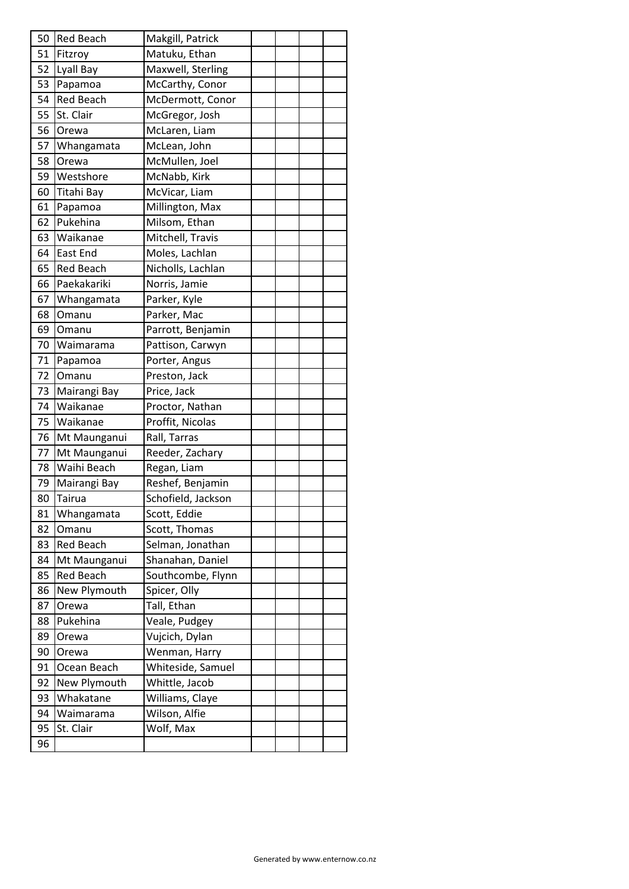| 50 | <b>Red Beach</b> | Makgill, Patrick   |  |  |
|----|------------------|--------------------|--|--|
| 51 | Fitzroy          | Matuku, Ethan      |  |  |
| 52 | Lyall Bay        | Maxwell, Sterling  |  |  |
| 53 | Papamoa          | McCarthy, Conor    |  |  |
| 54 | <b>Red Beach</b> | McDermott, Conor   |  |  |
| 55 | St. Clair        | McGregor, Josh     |  |  |
| 56 | Orewa            | McLaren, Liam      |  |  |
| 57 | Whangamata       | McLean, John       |  |  |
| 58 | Orewa            | McMullen, Joel     |  |  |
| 59 | Westshore        | McNabb, Kirk       |  |  |
| 60 | Titahi Bay       | McVicar, Liam      |  |  |
| 61 | Papamoa          | Millington, Max    |  |  |
| 62 | Pukehina         | Milsom, Ethan      |  |  |
| 63 | Waikanae         | Mitchell, Travis   |  |  |
| 64 | <b>East End</b>  | Moles, Lachlan     |  |  |
| 65 | <b>Red Beach</b> | Nicholls, Lachlan  |  |  |
| 66 | Paekakariki      | Norris, Jamie      |  |  |
| 67 | Whangamata       | Parker, Kyle       |  |  |
| 68 | Omanu            | Parker, Mac        |  |  |
| 69 | Omanu            | Parrott, Benjamin  |  |  |
| 70 | Waimarama        | Pattison, Carwyn   |  |  |
| 71 | Papamoa          | Porter, Angus      |  |  |
| 72 | Omanu            | Preston, Jack      |  |  |
| 73 | Mairangi Bay     | Price, Jack        |  |  |
| 74 | Waikanae         | Proctor, Nathan    |  |  |
| 75 | Waikanae         | Proffit, Nicolas   |  |  |
| 76 | Mt Maunganui     | Rall, Tarras       |  |  |
| 77 | Mt Maunganui     | Reeder, Zachary    |  |  |
| 78 | Waihi Beach      | Regan, Liam        |  |  |
| 79 | Mairangi Bay     | Reshef, Benjamin   |  |  |
| 80 | Tairua           | Schofield, Jackson |  |  |
| 81 | Whangamata       | Scott, Eddie       |  |  |
| 82 | Omanu            | Scott, Thomas      |  |  |
| 83 | <b>Red Beach</b> | Selman, Jonathan   |  |  |
| 84 | Mt Maunganui     | Shanahan, Daniel   |  |  |
| 85 | <b>Red Beach</b> | Southcombe, Flynn  |  |  |
| 86 | New Plymouth     | Spicer, Olly       |  |  |
| 87 | Orewa            | Tall, Ethan        |  |  |
| 88 | Pukehina         | Veale, Pudgey      |  |  |
| 89 | Orewa            | Vujcich, Dylan     |  |  |
| 90 | Orewa            | Wenman, Harry      |  |  |
| 91 | Ocean Beach      | Whiteside, Samuel  |  |  |
| 92 | New Plymouth     | Whittle, Jacob     |  |  |
| 93 | Whakatane        | Williams, Claye    |  |  |
| 94 | Waimarama        | Wilson, Alfie      |  |  |
| 95 | St. Clair        | Wolf, Max          |  |  |
| 96 |                  |                    |  |  |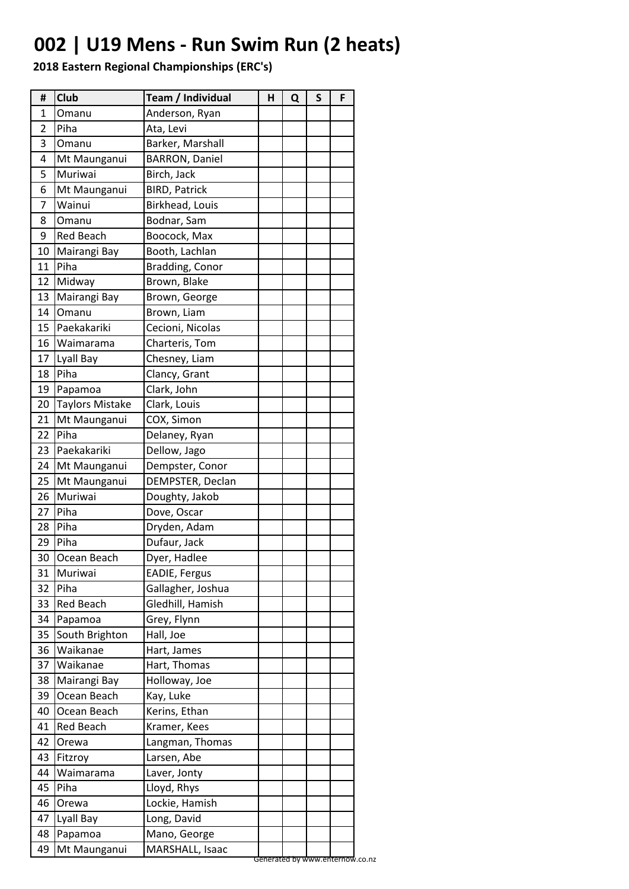## **002 | U19 Mens - Run Swim Run (2 heats)**

| #  | <b>Club</b>            | Team / Individual     | н | Q | S | F                               |
|----|------------------------|-----------------------|---|---|---|---------------------------------|
| 1  | Omanu                  | Anderson, Ryan        |   |   |   |                                 |
| 2  | Piha                   | Ata, Levi             |   |   |   |                                 |
| 3  | Omanu                  | Barker, Marshall      |   |   |   |                                 |
| 4  | Mt Maunganui           | <b>BARRON, Daniel</b> |   |   |   |                                 |
| 5  | Muriwai                | Birch, Jack           |   |   |   |                                 |
| 6  | Mt Maunganui           | <b>BIRD, Patrick</b>  |   |   |   |                                 |
| 7  | Wainui                 | Birkhead, Louis       |   |   |   |                                 |
| 8  | Omanu                  | Bodnar, Sam           |   |   |   |                                 |
| 9  | <b>Red Beach</b>       | Boocock, Max          |   |   |   |                                 |
| 10 | Mairangi Bay           | Booth, Lachlan        |   |   |   |                                 |
| 11 | Piha                   | Bradding, Conor       |   |   |   |                                 |
| 12 | Midway                 | Brown, Blake          |   |   |   |                                 |
| 13 | Mairangi Bay           | Brown, George         |   |   |   |                                 |
| 14 | Omanu                  | Brown, Liam           |   |   |   |                                 |
| 15 | Paekakariki            | Cecioni, Nicolas      |   |   |   |                                 |
| 16 | Waimarama              | Charteris, Tom        |   |   |   |                                 |
| 17 | Lyall Bay              | Chesney, Liam         |   |   |   |                                 |
| 18 | Piha                   | Clancy, Grant         |   |   |   |                                 |
| 19 | Papamoa                | Clark, John           |   |   |   |                                 |
| 20 | <b>Taylors Mistake</b> | Clark, Louis          |   |   |   |                                 |
| 21 | Mt Maunganui           | COX, Simon            |   |   |   |                                 |
| 22 | Piha                   | Delaney, Ryan         |   |   |   |                                 |
| 23 | Paekakariki            | Dellow, Jago          |   |   |   |                                 |
| 24 | Mt Maunganui           | Dempster, Conor       |   |   |   |                                 |
| 25 | Mt Maunganui           | DEMPSTER, Declan      |   |   |   |                                 |
| 26 | Muriwai                | Doughty, Jakob        |   |   |   |                                 |
| 27 | Piha                   | Dove, Oscar           |   |   |   |                                 |
| 28 | Piha                   | Dryden, Adam          |   |   |   |                                 |
| 29 | Piha                   | Dufaur, Jack          |   |   |   |                                 |
| 30 | Ocean Beach            | Dyer, Hadlee          |   |   |   |                                 |
| 31 | Muriwai                | <b>EADIE, Fergus</b>  |   |   |   |                                 |
| 32 | Piha                   | Gallagher, Joshua     |   |   |   |                                 |
| 33 | <b>Red Beach</b>       | Gledhill, Hamish      |   |   |   |                                 |
| 34 | Papamoa                | Grey, Flynn           |   |   |   |                                 |
| 35 | South Brighton         | Hall, Joe             |   |   |   |                                 |
| 36 | Waikanae               | Hart, James           |   |   |   |                                 |
| 37 | Waikanae               | Hart, Thomas          |   |   |   |                                 |
| 38 | Mairangi Bay           | Holloway, Joe         |   |   |   |                                 |
| 39 | Ocean Beach            | Kay, Luke             |   |   |   |                                 |
| 40 | Ocean Beach            | Kerins, Ethan         |   |   |   |                                 |
| 41 | Red Beach              | Kramer, Kees          |   |   |   |                                 |
| 42 | Orewa                  | Langman, Thomas       |   |   |   |                                 |
| 43 | Fitzroy                | Larsen, Abe           |   |   |   |                                 |
| 44 | Waimarama              | Laver, Jonty          |   |   |   |                                 |
| 45 | Piha                   | Lloyd, Rhys           |   |   |   |                                 |
| 46 | Orewa                  | Lockie, Hamish        |   |   |   |                                 |
| 47 | Lyall Bay              | Long, David           |   |   |   |                                 |
| 48 | Papamoa                | Mano, George          |   |   |   |                                 |
| 49 | Mt Maunganui           | MARSHALL, Isaac       |   |   |   | Generated by www.enternow.co.nz |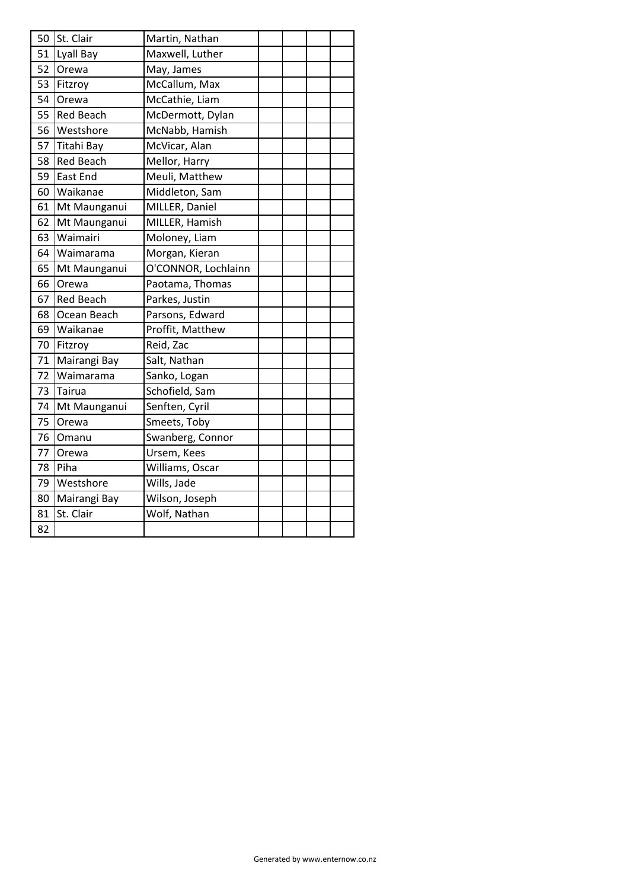| 50 | St. Clair        | Martin, Nathan      |  |  |
|----|------------------|---------------------|--|--|
| 51 | Lyall Bay        | Maxwell, Luther     |  |  |
| 52 | <b>Orewa</b>     | May, James          |  |  |
| 53 | Fitzroy          | McCallum, Max       |  |  |
| 54 | <b>Orewa</b>     | McCathie, Liam      |  |  |
| 55 | <b>Red Beach</b> | McDermott, Dylan    |  |  |
| 56 | Westshore        | McNabb, Hamish      |  |  |
| 57 | Titahi Bay       | McVicar, Alan       |  |  |
| 58 | <b>Red Beach</b> | Mellor, Harry       |  |  |
| 59 | East End         | Meuli, Matthew      |  |  |
| 60 | Waikanae         | Middleton, Sam      |  |  |
| 61 | Mt Maunganui     | MILLER, Daniel      |  |  |
| 62 | Mt Maunganui     | MILLER, Hamish      |  |  |
| 63 | Waimairi         | Moloney, Liam       |  |  |
| 64 | Waimarama        | Morgan, Kieran      |  |  |
| 65 | Mt Maunganui     | O'CONNOR, Lochlainn |  |  |
| 66 | <b>Orewa</b>     | Paotama, Thomas     |  |  |
| 67 | <b>Red Beach</b> | Parkes, Justin      |  |  |
| 68 | Ocean Beach      | Parsons, Edward     |  |  |
| 69 | Waikanae         | Proffit, Matthew    |  |  |
| 70 | Fitzroy          | Reid, Zac           |  |  |
| 71 | Mairangi Bay     | Salt, Nathan        |  |  |
| 72 | Waimarama        | Sanko, Logan        |  |  |
| 73 | Tairua           | Schofield, Sam      |  |  |
| 74 | Mt Maunganui     | Senften, Cyril      |  |  |
| 75 | Orewa            | Smeets, Toby        |  |  |
| 76 | Omanu            | Swanberg, Connor    |  |  |
| 77 | Orewa            | Ursem, Kees         |  |  |
| 78 | Piha             | Williams, Oscar     |  |  |
| 79 | Westshore        | Wills, Jade         |  |  |
| 80 | Mairangi Bay     | Wilson, Joseph      |  |  |
| 81 | St. Clair        | Wolf, Nathan        |  |  |
| 82 |                  |                     |  |  |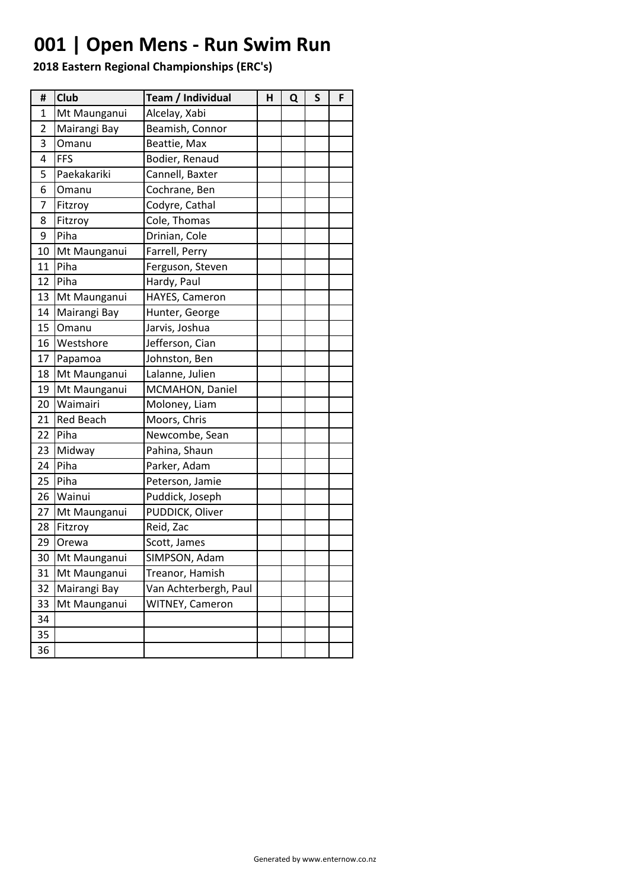## **001 | Open Mens - Run Swim Run**

| #  | Club             | Team / Individual     | н | Q | S | F |
|----|------------------|-----------------------|---|---|---|---|
| 1  | Mt Maunganui     | Alcelay, Xabi         |   |   |   |   |
| 2  | Mairangi Bay     | Beamish, Connor       |   |   |   |   |
| 3  | Omanu            | Beattie, Max          |   |   |   |   |
| 4  | <b>FFS</b>       | Bodier, Renaud        |   |   |   |   |
| 5  | Paekakariki      | Cannell, Baxter       |   |   |   |   |
| 6  | Omanu            | Cochrane, Ben         |   |   |   |   |
| 7  | Fitzroy          | Codyre, Cathal        |   |   |   |   |
| 8  | Fitzroy          | Cole, Thomas          |   |   |   |   |
| 9  | Piha             | Drinian, Cole         |   |   |   |   |
| 10 | Mt Maunganui     | Farrell, Perry        |   |   |   |   |
| 11 | Piha             | Ferguson, Steven      |   |   |   |   |
| 12 | Piha             | Hardy, Paul           |   |   |   |   |
| 13 | Mt Maunganui     | HAYES, Cameron        |   |   |   |   |
| 14 | Mairangi Bay     | Hunter, George        |   |   |   |   |
| 15 | Omanu            | Jarvis, Joshua        |   |   |   |   |
| 16 | Westshore        | Jefferson, Cian       |   |   |   |   |
| 17 | Papamoa          | Johnston, Ben         |   |   |   |   |
| 18 | Mt Maunganui     | Lalanne, Julien       |   |   |   |   |
| 19 | Mt Maunganui     | MCMAHON, Daniel       |   |   |   |   |
| 20 | Waimairi         | Moloney, Liam         |   |   |   |   |
| 21 | <b>Red Beach</b> | Moors, Chris          |   |   |   |   |
| 22 | Piha             | Newcombe, Sean        |   |   |   |   |
| 23 | Midway           | Pahina, Shaun         |   |   |   |   |
| 24 | Piha             | Parker, Adam          |   |   |   |   |
| 25 | Piha             | Peterson, Jamie       |   |   |   |   |
| 26 | Wainui           | Puddick, Joseph       |   |   |   |   |
| 27 | Mt Maunganui     | PUDDICK, Oliver       |   |   |   |   |
| 28 | Fitzroy          | Reid, Zac             |   |   |   |   |
| 29 | Orewa            | Scott, James          |   |   |   |   |
| 30 | Mt Maunganui     | SIMPSON, Adam         |   |   |   |   |
| 31 | Mt Maunganui     | Treanor, Hamish       |   |   |   |   |
| 32 | Mairangi Bay     | Van Achterbergh, Paul |   |   |   |   |
| 33 | Mt Maunganui     | WITNEY, Cameron       |   |   |   |   |
| 34 |                  |                       |   |   |   |   |
| 35 |                  |                       |   |   |   |   |
| 36 |                  |                       |   |   |   |   |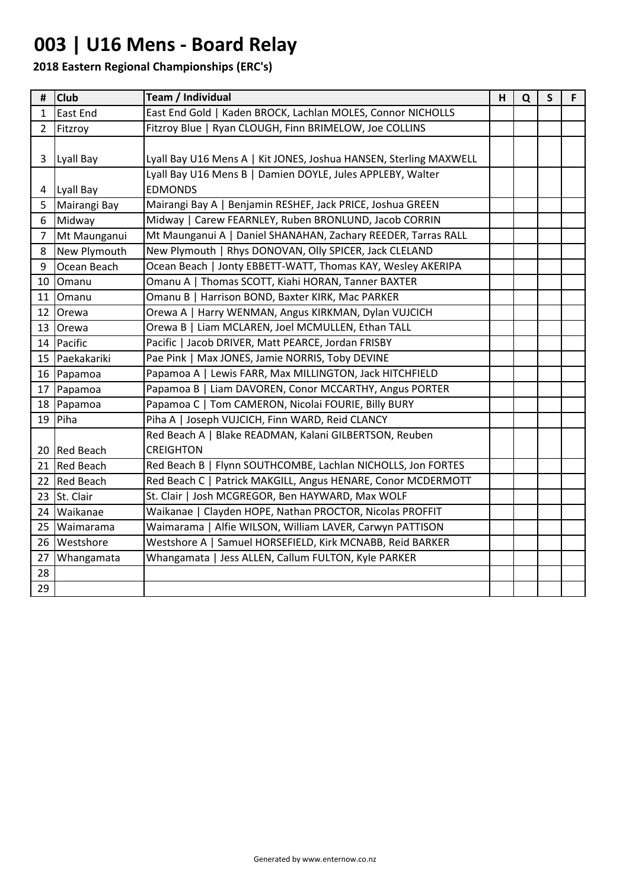## **003 | U16 Mens - Board Relay**

| #              | <b>Club</b>    | Team / Individual                                                 | H | Q | $\mathsf{S}$ | F. |
|----------------|----------------|-------------------------------------------------------------------|---|---|--------------|----|
| 1              | East End       | East End Gold   Kaden BROCK, Lachlan MOLES, Connor NICHOLLS       |   |   |              |    |
| $\overline{2}$ | Fitzroy        | Fitzroy Blue   Ryan CLOUGH, Finn BRIMELOW, Joe COLLINS            |   |   |              |    |
|                |                |                                                                   |   |   |              |    |
| 3              | Lyall Bay      | Lyall Bay U16 Mens A   Kit JONES, Joshua HANSEN, Sterling MAXWELL |   |   |              |    |
|                |                | Lyall Bay U16 Mens B   Damien DOYLE, Jules APPLEBY, Walter        |   |   |              |    |
| $\overline{4}$ | Lyall Bay      | <b>EDMONDS</b>                                                    |   |   |              |    |
| 5              | Mairangi Bay   | Mairangi Bay A   Benjamin RESHEF, Jack PRICE, Joshua GREEN        |   |   |              |    |
| 6              | Midway         | Midway   Carew FEARNLEY, Ruben BRONLUND, Jacob CORRIN             |   |   |              |    |
| $\overline{7}$ | Mt Maunganui   | Mt Maunganui A   Daniel SHANAHAN, Zachary REEDER, Tarras RALL     |   |   |              |    |
| 8              | New Plymouth   | New Plymouth   Rhys DONOVAN, Olly SPICER, Jack CLELAND            |   |   |              |    |
| 9              | Ocean Beach    | Ocean Beach   Jonty EBBETT-WATT, Thomas KAY, Wesley AKERIPA       |   |   |              |    |
|                | 10 Omanu       | Omanu A   Thomas SCOTT, Kiahi HORAN, Tanner BAXTER                |   |   |              |    |
|                | 11 Omanu       | Omanu B   Harrison BOND, Baxter KIRK, Mac PARKER                  |   |   |              |    |
|                | 12 Orewa       | Orewa A   Harry WENMAN, Angus KIRKMAN, Dylan VUJCICH              |   |   |              |    |
|                | 13 Orewa       | Orewa B   Liam MCLAREN, Joel MCMULLEN, Ethan TALL                 |   |   |              |    |
|                | 14 Pacific     | Pacific   Jacob DRIVER, Matt PEARCE, Jordan FRISBY                |   |   |              |    |
|                | 15 Paekakariki | Pae Pink   Max JONES, Jamie NORRIS, Toby DEVINE                   |   |   |              |    |
|                | 16 Papamoa     | Papamoa A   Lewis FARR, Max MILLINGTON, Jack HITCHFIELD           |   |   |              |    |
|                | 17 Papamoa     | Papamoa B   Liam DAVOREN, Conor MCCARTHY, Angus PORTER            |   |   |              |    |
|                | 18 Papamoa     | Papamoa C   Tom CAMERON, Nicolai FOURIE, Billy BURY               |   |   |              |    |
|                | $19$ Piha      | Piha A   Joseph VUJCICH, Finn WARD, Reid CLANCY                   |   |   |              |    |
|                |                | Red Beach A   Blake READMAN, Kalani GILBERTSON, Reuben            |   |   |              |    |
|                | 20 Red Beach   | <b>CREIGHTON</b>                                                  |   |   |              |    |
|                | 21 Red Beach   | Red Beach B   Flynn SOUTHCOMBE, Lachlan NICHOLLS, Jon FORTES      |   |   |              |    |
|                | 22 Red Beach   | Red Beach C   Patrick MAKGILL, Angus HENARE, Conor MCDERMOTT      |   |   |              |    |
|                | 23 St. Clair   | St. Clair   Josh MCGREGOR, Ben HAYWARD, Max WOLF                  |   |   |              |    |
|                | 24 Waikanae    | Waikanae   Clayden HOPE, Nathan PROCTOR, Nicolas PROFFIT          |   |   |              |    |
|                | 25 Waimarama   | Waimarama   Alfie WILSON, William LAVER, Carwyn PATTISON          |   |   |              |    |
|                | 26 Westshore   | Westshore A   Samuel HORSEFIELD, Kirk MCNABB, Reid BARKER         |   |   |              |    |
| 27             | Whangamata     | Whangamata   Jess ALLEN, Callum FULTON, Kyle PARKER               |   |   |              |    |
| 28             |                |                                                                   |   |   |              |    |
| 29             |                |                                                                   |   |   |              |    |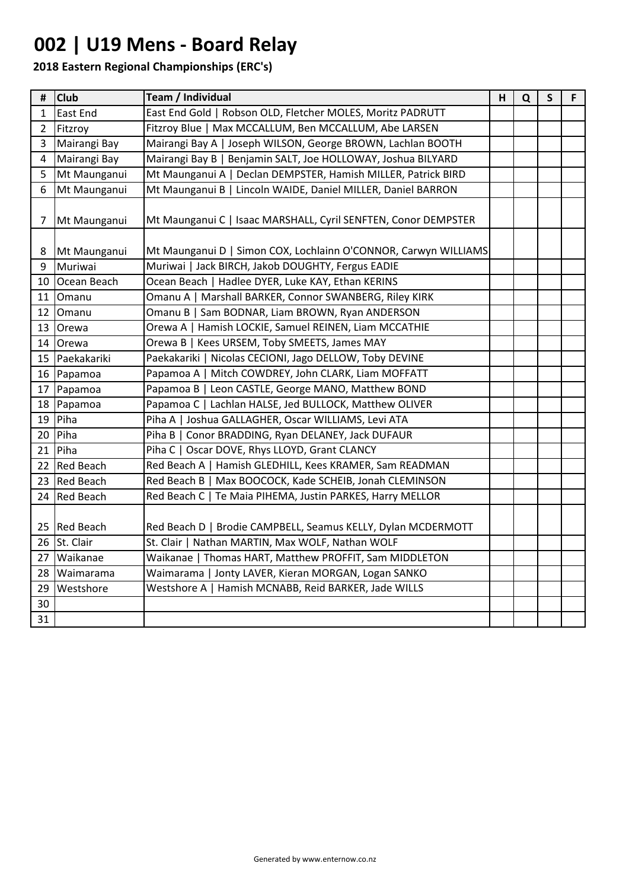## **002 | U19 Mens - Board Relay**

| #              | <b>Club</b>      | Team / Individual                                               | н | Q | S | F |
|----------------|------------------|-----------------------------------------------------------------|---|---|---|---|
| 1              | East End         | East End Gold   Robson OLD, Fletcher MOLES, Moritz PADRUTT      |   |   |   |   |
| $\overline{2}$ | Fitzroy          | Fitzroy Blue   Max MCCALLUM, Ben MCCALLUM, Abe LARSEN           |   |   |   |   |
| 3              | Mairangi Bay     | Mairangi Bay A   Joseph WILSON, George BROWN, Lachlan BOOTH     |   |   |   |   |
| 4              | Mairangi Bay     | Mairangi Bay B   Benjamin SALT, Joe HOLLOWAY, Joshua BILYARD    |   |   |   |   |
| 5              | Mt Maunganui     | Mt Maunganui A   Declan DEMPSTER, Hamish MILLER, Patrick BIRD   |   |   |   |   |
| 6              | Mt Maunganui     | Mt Maunganui B   Lincoln WAIDE, Daniel MILLER, Daniel BARRON    |   |   |   |   |
| 7              | Mt Maunganui     | Mt Maunganui C   Isaac MARSHALL, Cyril SENFTEN, Conor DEMPSTER  |   |   |   |   |
| 8              | Mt Maunganui     | Mt Maunganui D   Simon COX, Lochlainn O'CONNOR, Carwyn WILLIAMS |   |   |   |   |
| 9              | Muriwai          | Muriwai   Jack BIRCH, Jakob DOUGHTY, Fergus EADIE               |   |   |   |   |
| 10             | Ocean Beach      | Ocean Beach   Hadlee DYER, Luke KAY, Ethan KERINS               |   |   |   |   |
| 11             | Omanu            | Omanu A   Marshall BARKER, Connor SWANBERG, Riley KIRK          |   |   |   |   |
|                | 12 Omanu         | Omanu B   Sam BODNAR, Liam BROWN, Ryan ANDERSON                 |   |   |   |   |
| 13             | Orewa            | Orewa A   Hamish LOCKIE, Samuel REINEN, Liam MCCATHIE           |   |   |   |   |
| 14             | Orewa            | Orewa B   Kees URSEM, Toby SMEETS, James MAY                    |   |   |   |   |
| 15             | Paekakariki      | Paekakariki   Nicolas CECIONI, Jago DELLOW, Toby DEVINE         |   |   |   |   |
| 16             | Papamoa          | Papamoa A   Mitch COWDREY, John CLARK, Liam MOFFATT             |   |   |   |   |
| 17             | Papamoa          | Papamoa B   Leon CASTLE, George MANO, Matthew BOND              |   |   |   |   |
|                | 18 Papamoa       | Papamoa C   Lachlan HALSE, Jed BULLOCK, Matthew OLIVER          |   |   |   |   |
| 19             | Piha             | Piha A   Joshua GALLAGHER, Oscar WILLIAMS, Levi ATA             |   |   |   |   |
| 20             | Piha             | Piha B   Conor BRADDING, Ryan DELANEY, Jack DUFAUR              |   |   |   |   |
| 21             | Piha             | Piha C   Oscar DOVE, Rhys LLOYD, Grant CLANCY                   |   |   |   |   |
|                | 22 Red Beach     | Red Beach A   Hamish GLEDHILL, Kees KRAMER, Sam READMAN         |   |   |   |   |
| 23             | <b>Red Beach</b> | Red Beach B   Max BOOCOCK, Kade SCHEIB, Jonah CLEMINSON         |   |   |   |   |
| 24             | <b>Red Beach</b> | Red Beach C   Te Maia PIHEMA, Justin PARKES, Harry MELLOR       |   |   |   |   |
|                | 25 Red Beach     | Red Beach D   Brodie CAMPBELL, Seamus KELLY, Dylan MCDERMOTT    |   |   |   |   |
|                | 26 St. Clair     | St. Clair   Nathan MARTIN, Max WOLF, Nathan WOLF                |   |   |   |   |
| 27             | Waikanae         | Waikanae   Thomas HART, Matthew PROFFIT, Sam MIDDLETON          |   |   |   |   |
| 28             | Waimarama        | Waimarama   Jonty LAVER, Kieran MORGAN, Logan SANKO             |   |   |   |   |
| 29             | Westshore        | Westshore A   Hamish MCNABB, Reid BARKER, Jade WILLS            |   |   |   |   |
| 30             |                  |                                                                 |   |   |   |   |
| 31             |                  |                                                                 |   |   |   |   |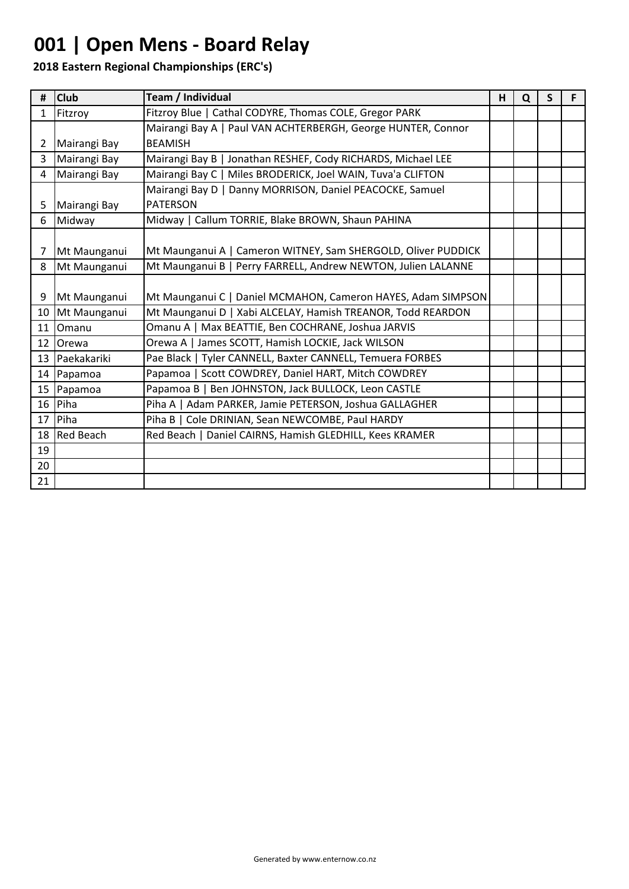## **001 | Open Mens - Board Relay**

| #              | <b>Club</b>     | Team / Individual                                             | н | Q | S |  |
|----------------|-----------------|---------------------------------------------------------------|---|---|---|--|
| $\mathbf{1}$   | Fitzroy         | Fitzroy Blue   Cathal CODYRE, Thomas COLE, Gregor PARK        |   |   |   |  |
|                |                 | Mairangi Bay A   Paul VAN ACHTERBERGH, George HUNTER, Connor  |   |   |   |  |
| $\overline{2}$ | Mairangi Bay    | <b>BEAMISH</b>                                                |   |   |   |  |
| $\overline{3}$ | Mairangi Bay    | Mairangi Bay B   Jonathan RESHEF, Cody RICHARDS, Michael LEE  |   |   |   |  |
| 4              | Mairangi Bay    | Mairangi Bay C   Miles BRODERICK, Joel WAIN, Tuva'a CLIFTON   |   |   |   |  |
|                |                 | Mairangi Bay D   Danny MORRISON, Daniel PEACOCKE, Samuel      |   |   |   |  |
| 5              | Mairangi Bay    | <b>PATERSON</b>                                               |   |   |   |  |
| 6              | Midway          | Midway   Callum TORRIE, Blake BROWN, Shaun PAHINA             |   |   |   |  |
|                |                 |                                                               |   |   |   |  |
| $\overline{7}$ | Mt Maunganui    | Mt Maunganui A   Cameron WITNEY, Sam SHERGOLD, Oliver PUDDICK |   |   |   |  |
| 8              | Mt Maunganui    | Mt Maunganui B   Perry FARRELL, Andrew NEWTON, Julien LALANNE |   |   |   |  |
|                |                 |                                                               |   |   |   |  |
| 9              | Mt Maunganui    | Mt Maunganui C   Daniel MCMAHON, Cameron HAYES, Adam SIMPSON  |   |   |   |  |
|                | 10 Mt Maunganui | Mt Maunganui D   Xabi ALCELAY, Hamish TREANOR, Todd REARDON   |   |   |   |  |
| 11             | Omanu           | Omanu A   Max BEATTIE, Ben COCHRANE, Joshua JARVIS            |   |   |   |  |
|                | 12 Orewa        | Orewa A   James SCOTT, Hamish LOCKIE, Jack WILSON             |   |   |   |  |
|                | 13 Paekakariki  | Pae Black   Tyler CANNELL, Baxter CANNELL, Temuera FORBES     |   |   |   |  |
|                | 14 Papamoa      | Papamoa   Scott COWDREY, Daniel HART, Mitch COWDREY           |   |   |   |  |
|                | 15 Papamoa      | Papamoa B   Ben JOHNSTON, Jack BULLOCK, Leon CASTLE           |   |   |   |  |
|                | 16 Piha         | Piha A   Adam PARKER, Jamie PETERSON, Joshua GALLAGHER        |   |   |   |  |
| 17             | Piha            | Piha B   Cole DRINIAN, Sean NEWCOMBE, Paul HARDY              |   |   |   |  |
|                | 18 Red Beach    | Red Beach   Daniel CAIRNS, Hamish GLEDHILL, Kees KRAMER       |   |   |   |  |
| 19             |                 |                                                               |   |   |   |  |
| 20             |                 |                                                               |   |   |   |  |
| 21             |                 |                                                               |   |   |   |  |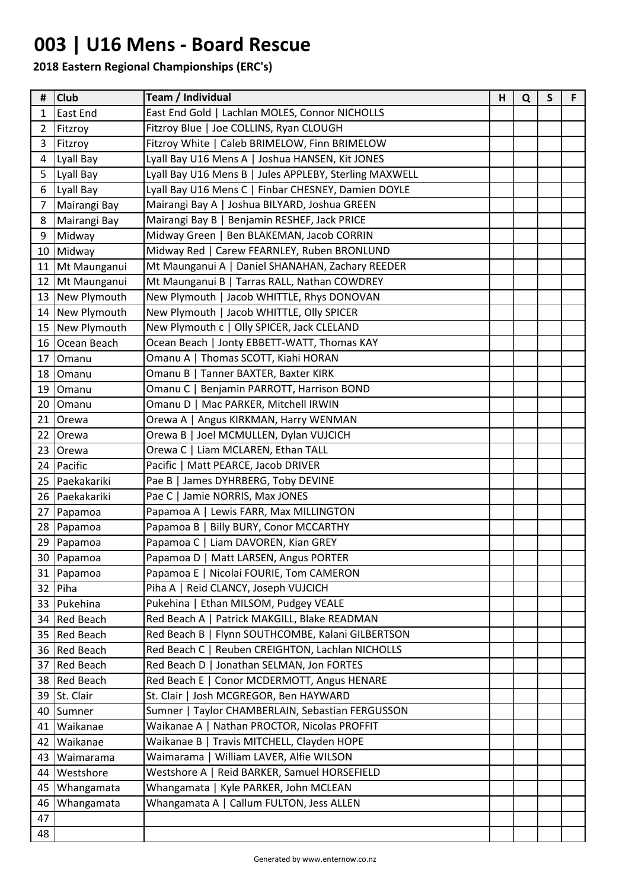## **003 | U16 Mens - Board Rescue**

| #  | <b>Club</b>      | Team / Individual                                      | н | Q | $\mathsf{S}$ | F |
|----|------------------|--------------------------------------------------------|---|---|--------------|---|
| 1  | <b>East End</b>  | East End Gold   Lachlan MOLES, Connor NICHOLLS         |   |   |              |   |
| 2  | Fitzroy          | Fitzroy Blue   Joe COLLINS, Ryan CLOUGH                |   |   |              |   |
| 3  | Fitzroy          | Fitzroy White   Caleb BRIMELOW, Finn BRIMELOW          |   |   |              |   |
| 4  | Lyall Bay        | Lyall Bay U16 Mens A   Joshua HANSEN, Kit JONES        |   |   |              |   |
| 5  | Lyall Bay        | Lyall Bay U16 Mens B   Jules APPLEBY, Sterling MAXWELL |   |   |              |   |
| 6  | Lyall Bay        | Lyall Bay U16 Mens C   Finbar CHESNEY, Damien DOYLE    |   |   |              |   |
| 7  | Mairangi Bay     | Mairangi Bay A   Joshua BILYARD, Joshua GREEN          |   |   |              |   |
| 8  | Mairangi Bay     | Mairangi Bay B   Benjamin RESHEF, Jack PRICE           |   |   |              |   |
| 9  | Midway           | Midway Green   Ben BLAKEMAN, Jacob CORRIN              |   |   |              |   |
|    | 10 Midway        | Midway Red   Carew FEARNLEY, Ruben BRONLUND            |   |   |              |   |
| 11 | Mt Maunganui     | Mt Maunganui A   Daniel SHANAHAN, Zachary REEDER       |   |   |              |   |
| 12 | Mt Maunganui     | Mt Maunganui B   Tarras RALL, Nathan COWDREY           |   |   |              |   |
| 13 | New Plymouth     | New Plymouth   Jacob WHITTLE, Rhys DONOVAN             |   |   |              |   |
|    | 14 New Plymouth  | New Plymouth   Jacob WHITTLE, Olly SPICER              |   |   |              |   |
|    | 15 New Plymouth  | New Plymouth c   Olly SPICER, Jack CLELAND             |   |   |              |   |
| 16 | Ocean Beach      | Ocean Beach   Jonty EBBETT-WATT, Thomas KAY            |   |   |              |   |
| 17 | <b>Omanu</b>     | Omanu A   Thomas SCOTT, Kiahi HORAN                    |   |   |              |   |
| 18 | Omanu            | Omanu B   Tanner BAXTER, Baxter KIRK                   |   |   |              |   |
| 19 | Omanu            | Omanu C  <br>Benjamin PARROTT, Harrison BOND           |   |   |              |   |
| 20 | Omanu            | Omanu D   Mac PARKER, Mitchell IRWIN                   |   |   |              |   |
| 21 | Orewa            | Angus KIRKMAN, Harry WENMAN<br>Orewa A                 |   |   |              |   |
| 22 | <b>Orewa</b>     | Joel MCMULLEN, Dylan VUJCICH<br>Orewa B                |   |   |              |   |
| 23 | Orewa            | Orewa C   Liam MCLAREN, Ethan TALL                     |   |   |              |   |
|    | 24 Pacific       | Pacific   Matt PEARCE, Jacob DRIVER                    |   |   |              |   |
| 25 | Paekakariki      | Pae B   James DYHRBERG, Toby DEVINE                    |   |   |              |   |
| 26 | Paekakariki      | Pae C   Jamie NORRIS, Max JONES                        |   |   |              |   |
| 27 | Papamoa          | Papamoa A   Lewis FARR, Max MILLINGTON                 |   |   |              |   |
|    | 28 Papamoa       | Papamoa B   Billy BURY, Conor MCCARTHY                 |   |   |              |   |
| 29 | Papamoa          | Papamoa C   Liam DAVOREN, Kian GREY                    |   |   |              |   |
| 30 | Papamoa          | Papamoa D   Matt LARSEN, Angus PORTER                  |   |   |              |   |
|    | 31   Papamoa     | Papamoa E   Nicolai FOURIE, Tom CAMERON                |   |   |              |   |
|    | 32 Piha          | Piha A   Reid CLANCY, Joseph VUJCICH                   |   |   |              |   |
|    | 33 Pukehina      | Pukehina   Ethan MILSOM, Pudgey VEALE                  |   |   |              |   |
| 34 | <b>Red Beach</b> | Red Beach A   Patrick MAKGILL, Blake READMAN           |   |   |              |   |
|    | 35 Red Beach     | Red Beach B   Flynn SOUTHCOMBE, Kalani GILBERTSON      |   |   |              |   |
|    | 36 Red Beach     | Red Beach C   Reuben CREIGHTON, Lachlan NICHOLLS       |   |   |              |   |
| 37 | <b>Red Beach</b> | Red Beach D   Jonathan SELMAN, Jon FORTES              |   |   |              |   |
|    | 38 Red Beach     | Red Beach E   Conor MCDERMOTT, Angus HENARE            |   |   |              |   |
|    | 39 St. Clair     | St. Clair   Josh MCGREGOR, Ben HAYWARD                 |   |   |              |   |
|    | 40 Sumner        | Sumner   Taylor CHAMBERLAIN, Sebastian FERGUSSON       |   |   |              |   |
|    | 41   Waikanae    | Waikanae A   Nathan PROCTOR, Nicolas PROFFIT           |   |   |              |   |
| 42 | Waikanae         | Waikanae B  <br>Travis MITCHELL, Clayden HOPE          |   |   |              |   |
| 43 | Waimarama        | Waimarama   William LAVER, Alfie WILSON                |   |   |              |   |
| 44 | Westshore        | Westshore A   Reid BARKER, Samuel HORSEFIELD           |   |   |              |   |
| 45 | Whangamata       | Whangamata   Kyle PARKER, John MCLEAN                  |   |   |              |   |
| 46 | Whangamata       | Whangamata A   Callum FULTON, Jess ALLEN               |   |   |              |   |
| 47 |                  |                                                        |   |   |              |   |
| 48 |                  |                                                        |   |   |              |   |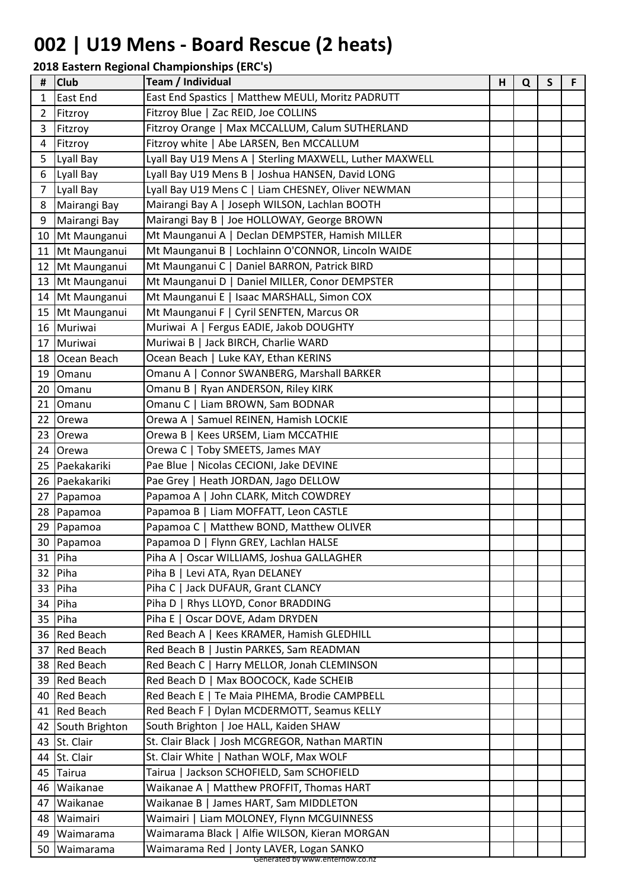## **002 | U19 Mens - Board Rescue (2 heats)**

| Ħ              | <b>Club</b>       | Team / Individual                                                           | H | Q | S | F |
|----------------|-------------------|-----------------------------------------------------------------------------|---|---|---|---|
| 1              | <b>East End</b>   | East End Spastics   Matthew MEULI, Moritz PADRUTT                           |   |   |   |   |
| 2              | Fitzroy           | Fitzroy Blue   Zac REID, Joe COLLINS                                        |   |   |   |   |
| 3              | Fitzroy           | Fitzroy Orange   Max MCCALLUM, Calum SUTHERLAND                             |   |   |   |   |
| 4              | Fitzroy           | Fitzroy white   Abe LARSEN, Ben MCCALLUM                                    |   |   |   |   |
| 5              | Lyall Bay         | Lyall Bay U19 Mens A   Sterling MAXWELL, Luther MAXWELL                     |   |   |   |   |
| 6              | Lyall Bay         | Lyall Bay U19 Mens B   Joshua HANSEN, David LONG                            |   |   |   |   |
| $\overline{7}$ | Lyall Bay         | Lyall Bay U19 Mens C   Liam CHESNEY, Oliver NEWMAN                          |   |   |   |   |
| 8              | Mairangi Bay      | Mairangi Bay A   Joseph WILSON, Lachlan BOOTH                               |   |   |   |   |
| 9              | Mairangi Bay      | Mairangi Bay B   Joe HOLLOWAY, George BROWN                                 |   |   |   |   |
| 10             | Mt Maunganui      | Mt Maunganui A   Declan DEMPSTER, Hamish MILLER                             |   |   |   |   |
|                | 11 Mt Maunganui   | Mt Maunganui B   Lochlainn O'CONNOR, Lincoln WAIDE                          |   |   |   |   |
| 12             | Mt Maunganui      | Mt Maunganui C   Daniel BARRON, Patrick BIRD                                |   |   |   |   |
|                | 13 Mt Maunganui   | Mt Maunganui D   Daniel MILLER, Conor DEMPSTER                              |   |   |   |   |
|                | 14 Mt Maunganui   | Mt Maunganui E   Isaac MARSHALL, Simon COX                                  |   |   |   |   |
|                | 15 Mt Maunganui   | Mt Maunganui F   Cyril SENFTEN, Marcus OR                                   |   |   |   |   |
|                | 16 Muriwai        | Muriwai A   Fergus EADIE, Jakob DOUGHTY                                     |   |   |   |   |
| 17             | Muriwai           | Muriwai B   Jack BIRCH, Charlie WARD                                        |   |   |   |   |
|                | 18 Ocean Beach    | Ocean Beach   Luke KAY, Ethan KERINS                                        |   |   |   |   |
| 19             | Omanu             | Omanu A   Connor SWANBERG, Marshall BARKER                                  |   |   |   |   |
| 20             | Omanu             | Omanu B  <br>Ryan ANDERSON, Riley KIRK                                      |   |   |   |   |
| 21             | Omanu             | Omanu C   Liam BROWN, Sam BODNAR                                            |   |   |   |   |
| 22             | Orewa             | Samuel REINEN, Hamish LOCKIE<br>Orewa A                                     |   |   |   |   |
| 23             | Orewa             | Kees URSEM, Liam MCCATHIE<br>Orewa B                                        |   |   |   |   |
|                | 24 Orewa          | Orewa C   Toby SMEETS, James MAY                                            |   |   |   |   |
|                | 25 Paekakariki    | Nicolas CECIONI, Jake DEVINE<br>Pae Blue                                    |   |   |   |   |
| 26             | Paekakariki       | Pae Grey   Heath JORDAN, Jago DELLOW                                        |   |   |   |   |
| 27             | Papamoa           | Papamoa A   John CLARK, Mitch COWDREY                                       |   |   |   |   |
| 28             | Papamoa           | Papamoa B   Liam MOFFATT, Leon CASTLE                                       |   |   |   |   |
|                | 29 Papamoa        | Papamoa C   Matthew BOND, Matthew OLIVER                                    |   |   |   |   |
|                | 30 Papamoa        | Papamoa D   Flynn GREY, Lachlan HALSE                                       |   |   |   |   |
| 31             | Piha              | Oscar WILLIAMS, Joshua GALLAGHER<br>Piha A                                  |   |   |   |   |
|                | 32 Piha           | Piha $B$ $ $<br>Levi ATA, Ryan DELANEY                                      |   |   |   |   |
| 33             | Piha              | Piha C   Jack DUFAUR, Grant CLANCY                                          |   |   |   |   |
| 34             | Piha              | Piha D   Rhys LLOYD, Conor BRADDING                                         |   |   |   |   |
| 35             | Piha              | Piha E   Oscar DOVE, Adam DRYDEN                                            |   |   |   |   |
|                | 36 Red Beach      | Red Beach A   Kees KRAMER, Hamish GLEDHILL                                  |   |   |   |   |
|                | 37 Red Beach      | Red Beach B   Justin PARKES, Sam READMAN                                    |   |   |   |   |
| 38             | <b>Red Beach</b>  | Red Beach C   Harry MELLOR, Jonah CLEMINSON                                 |   |   |   |   |
|                | 39 Red Beach      | Red Beach D   Max BOOCOCK, Kade SCHEIB                                      |   |   |   |   |
|                | 40 Red Beach      | Red Beach E   Te Maia PIHEMA, Brodie CAMPBELL                               |   |   |   |   |
|                | 41 Red Beach      | Red Beach F   Dylan MCDERMOTT, Seamus KELLY                                 |   |   |   |   |
|                | 42 South Brighton | South Brighton   Joe HALL, Kaiden SHAW                                      |   |   |   |   |
|                | 43 St. Clair      | St. Clair Black   Josh MCGREGOR, Nathan MARTIN                              |   |   |   |   |
| 44             | St. Clair         | St. Clair White   Nathan WOLF, Max WOLF                                     |   |   |   |   |
| 45             | Tairua            | Tairua   Jackson SCHOFIELD, Sam SCHOFIELD                                   |   |   |   |   |
| 46             | Waikanae          | Waikanae A   Matthew PROFFIT, Thomas HART                                   |   |   |   |   |
| 47             | Waikanae          | Waikanae B   James HART, Sam MIDDLETON                                      |   |   |   |   |
| 48             | Waimairi          | Waimairi   Liam MOLONEY, Flynn MCGUINNESS                                   |   |   |   |   |
| 49             | Waimarama         | Waimarama Black   Alfie WILSON, Kieran MORGAN                               |   |   |   |   |
| 50             | Waimarama         | Waimarama Red   Jonty LAVER, Logan SANKO<br>Generated by www.enternow.co.nz |   |   |   |   |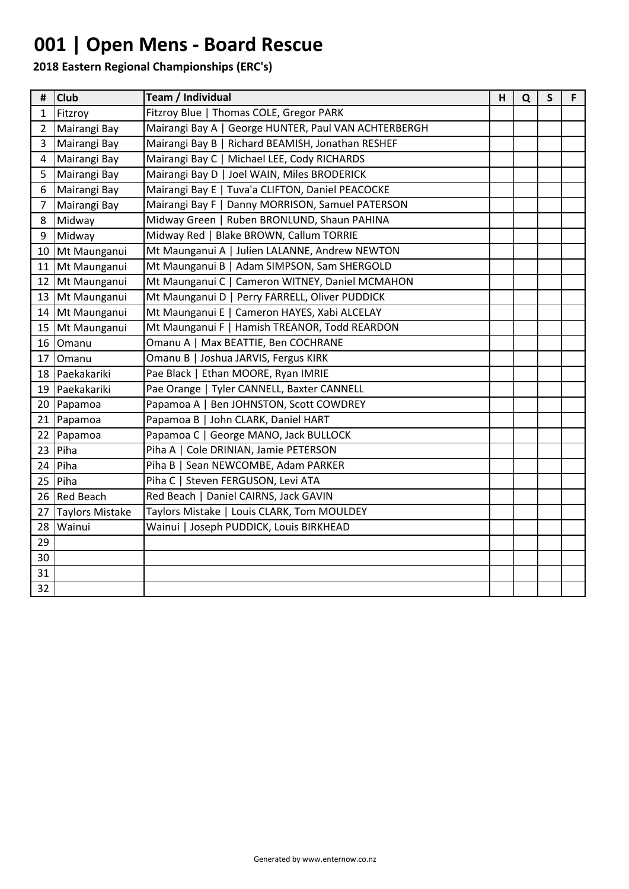## **001 | Open Mens - Board Rescue**

| #              | <b>Club</b>            | Team / Individual                                    | H | Q | S | F. |
|----------------|------------------------|------------------------------------------------------|---|---|---|----|
| 1              | Fitzroy                | Fitzroy Blue   Thomas COLE, Gregor PARK              |   |   |   |    |
| $\overline{2}$ | Mairangi Bay           | Mairangi Bay A   George HUNTER, Paul VAN ACHTERBERGH |   |   |   |    |
| 3              | Mairangi Bay           | Mairangi Bay B   Richard BEAMISH, Jonathan RESHEF    |   |   |   |    |
| 4              | Mairangi Bay           | Mairangi Bay C   Michael LEE, Cody RICHARDS          |   |   |   |    |
| 5              | Mairangi Bay           | Mairangi Bay D   Joel WAIN, Miles BRODERICK          |   |   |   |    |
| 6              | Mairangi Bay           | Mairangi Bay E   Tuva'a CLIFTON, Daniel PEACOCKE     |   |   |   |    |
| 7              | Mairangi Bay           | Mairangi Bay F   Danny MORRISON, Samuel PATERSON     |   |   |   |    |
| 8              | Midway                 | Midway Green   Ruben BRONLUND, Shaun PAHINA          |   |   |   |    |
| 9              | Midway                 | Midway Red   Blake BROWN, Callum TORRIE              |   |   |   |    |
| 10             | Mt Maunganui           | Mt Maunganui A   Julien LALANNE, Andrew NEWTON       |   |   |   |    |
| 11             | Mt Maunganui           | Mt Maunganui B   Adam SIMPSON, Sam SHERGOLD          |   |   |   |    |
| 12             | Mt Maunganui           | Mt Maunganui C   Cameron WITNEY, Daniel MCMAHON      |   |   |   |    |
| 13             | Mt Maunganui           | Mt Maunganui D   Perry FARRELL, Oliver PUDDICK       |   |   |   |    |
| 14             | Mt Maunganui           | Mt Maunganui E   Cameron HAYES, Xabi ALCELAY         |   |   |   |    |
| 15             | Mt Maunganui           | Mt Maunganui F   Hamish TREANOR, Todd REARDON        |   |   |   |    |
|                | 16 Omanu               | Omanu A   Max BEATTIE, Ben COCHRANE                  |   |   |   |    |
| 17             | Omanu                  | Omanu B   Joshua JARVIS, Fergus KIRK                 |   |   |   |    |
| 18             | Paekakariki            | Pae Black   Ethan MOORE, Ryan IMRIE                  |   |   |   |    |
| 19             | Paekakariki            | Pae Orange   Tyler CANNELL, Baxter CANNELL           |   |   |   |    |
|                | 20 Papamoa             | Papamoa A   Ben JOHNSTON, Scott COWDREY              |   |   |   |    |
| 21             | Papamoa                | Papamoa B   John CLARK, Daniel HART                  |   |   |   |    |
| 22             | Papamoa                | Papamoa C   George MANO, Jack BULLOCK                |   |   |   |    |
| 23             | Piha                   | Piha A   Cole DRINIAN, Jamie PETERSON                |   |   |   |    |
| 24             | Piha                   | Piha B   Sean NEWCOMBE, Adam PARKER                  |   |   |   |    |
| 25             | Piha                   | Piha C   Steven FERGUSON, Levi ATA                   |   |   |   |    |
| 26             | <b>Red Beach</b>       | Red Beach   Daniel CAIRNS, Jack GAVIN                |   |   |   |    |
| 27             | <b>Taylors Mistake</b> | Taylors Mistake   Louis CLARK, Tom MOULDEY           |   |   |   |    |
| 28             | Wainui                 | Wainui   Joseph PUDDICK, Louis BIRKHEAD              |   |   |   |    |
| 29             |                        |                                                      |   |   |   |    |
| 30             |                        |                                                      |   |   |   |    |
| 31             |                        |                                                      |   |   |   |    |
| 32             |                        |                                                      |   |   |   |    |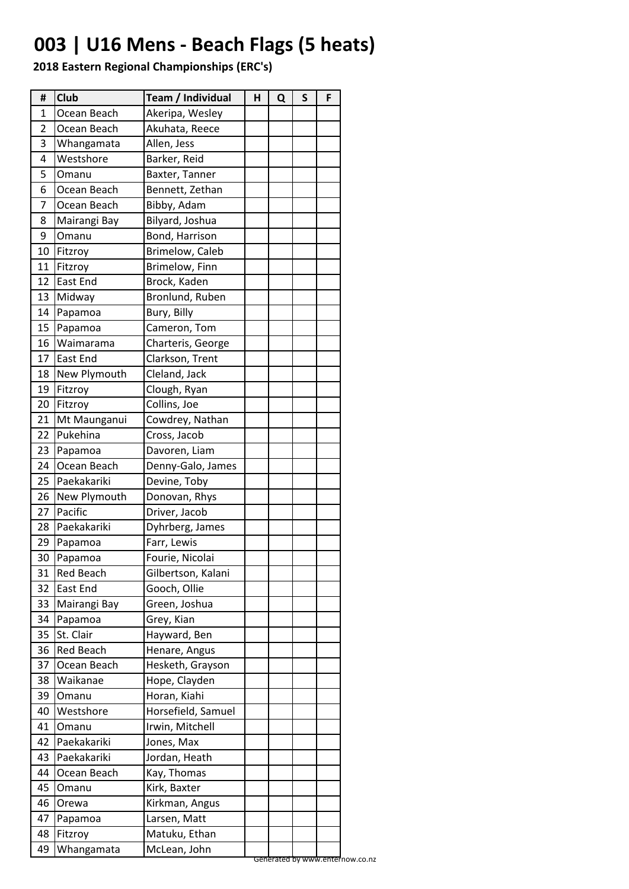## **003 | U16 Mens - Beach Flags (5 heats)**

| #  | Club            | Team / Individual  | Н | Q | S | F |
|----|-----------------|--------------------|---|---|---|---|
| 1  | Ocean Beach     | Akeripa, Wesley    |   |   |   |   |
| 2  | Ocean Beach     | Akuhata, Reece     |   |   |   |   |
| 3  | Whangamata      | Allen, Jess        |   |   |   |   |
| 4  | Westshore       | Barker, Reid       |   |   |   |   |
| 5  | Omanu           | Baxter, Tanner     |   |   |   |   |
| 6  | Ocean Beach     | Bennett, Zethan    |   |   |   |   |
| 7  | Ocean Beach     | Bibby, Adam        |   |   |   |   |
| 8  | Mairangi Bay    | Bilyard, Joshua    |   |   |   |   |
| 9  | Omanu           | Bond, Harrison     |   |   |   |   |
| 10 | Fitzroy         | Brimelow, Caleb    |   |   |   |   |
| 11 | Fitzroy         | Brimelow, Finn     |   |   |   |   |
| 12 | East End        | Brock, Kaden       |   |   |   |   |
| 13 | Midway          | Bronlund, Ruben    |   |   |   |   |
| 14 | Papamoa         | Bury, Billy        |   |   |   |   |
| 15 | Papamoa         | Cameron, Tom       |   |   |   |   |
| 16 | Waimarama       | Charteris, George  |   |   |   |   |
| 17 | <b>East End</b> | Clarkson, Trent    |   |   |   |   |
| 18 | New Plymouth    | Cleland, Jack      |   |   |   |   |
| 19 | Fitzroy         | Clough, Ryan       |   |   |   |   |
| 20 | Fitzroy         | Collins, Joe       |   |   |   |   |
| 21 | Mt Maunganui    | Cowdrey, Nathan    |   |   |   |   |
| 22 | Pukehina        | Cross, Jacob       |   |   |   |   |
| 23 | Papamoa         | Davoren, Liam      |   |   |   |   |
| 24 | Ocean Beach     | Denny-Galo, James  |   |   |   |   |
| 25 | Paekakariki     | Devine, Toby       |   |   |   |   |
| 26 | New Plymouth    | Donovan, Rhys      |   |   |   |   |
| 27 | Pacific         | Driver, Jacob      |   |   |   |   |
| 28 | Paekakariki     | Dyhrberg, James    |   |   |   |   |
| 29 | Papamoa         | Farr, Lewis        |   |   |   |   |
| 30 | Papamoa         | Fourie, Nicolai    |   |   |   |   |
| 31 | Red Beach       | Gilbertson, Kalani |   |   |   |   |
| 32 | <b>East End</b> | Gooch, Ollie       |   |   |   |   |
| 33 | Mairangi Bay    | Green, Joshua      |   |   |   |   |
| 34 | Papamoa         | Grey, Kian         |   |   |   |   |
| 35 | St. Clair       | Hayward, Ben       |   |   |   |   |
| 36 | Red Beach       | Henare, Angus      |   |   |   |   |
| 37 | Ocean Beach     | Hesketh, Grayson   |   |   |   |   |
| 38 | Waikanae        | Hope, Clayden      |   |   |   |   |
| 39 | Omanu           | Horan, Kiahi       |   |   |   |   |
| 40 | Westshore       | Horsefield, Samuel |   |   |   |   |
| 41 | Omanu           | Irwin, Mitchell    |   |   |   |   |
| 42 | Paekakariki     | Jones, Max         |   |   |   |   |
| 43 | Paekakariki     | Jordan, Heath      |   |   |   |   |
| 44 | Ocean Beach     | Kay, Thomas        |   |   |   |   |
| 45 | Omanu           | Kirk, Baxter       |   |   |   |   |
| 46 | Orewa           | Kirkman, Angus     |   |   |   |   |
| 47 | Papamoa         | Larsen, Matt       |   |   |   |   |
| 48 | Fitzroy         | Matuku, Ethan      |   |   |   |   |
| 49 | Whangamata      | McLean, John       |   |   |   |   |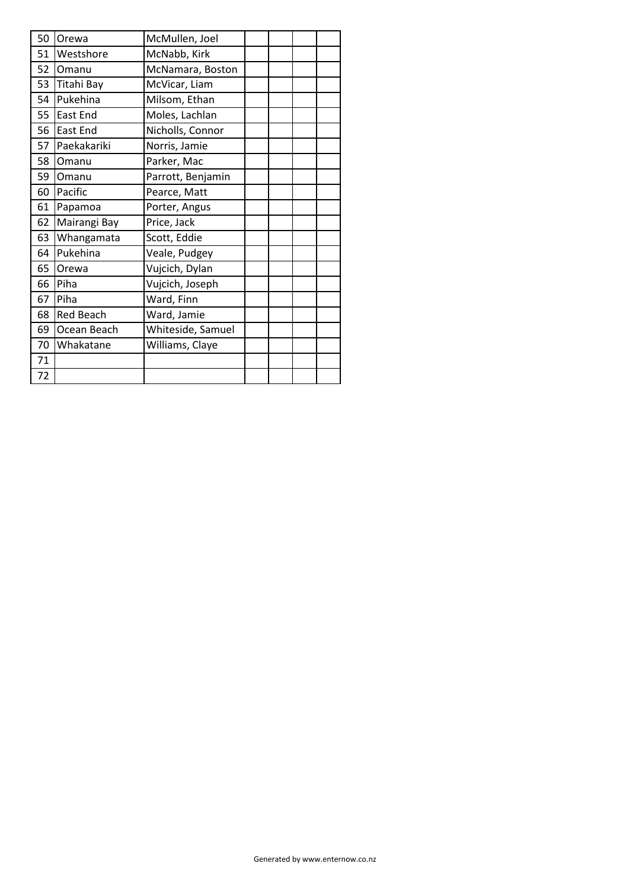| 50 | Orewa            | McMullen, Joel    |  |  |
|----|------------------|-------------------|--|--|
| 51 | Westshore        | McNabb, Kirk      |  |  |
| 52 | Omanu            | McNamara, Boston  |  |  |
| 53 | Titahi Bay       | McVicar, Liam     |  |  |
| 54 | Pukehina         | Milsom, Ethan     |  |  |
| 55 | <b>East End</b>  | Moles, Lachlan    |  |  |
| 56 | East End         | Nicholls, Connor  |  |  |
| 57 | Paekakariki      | Norris, Jamie     |  |  |
| 58 | Omanu            | Parker, Mac       |  |  |
| 59 | Omanu            | Parrott, Benjamin |  |  |
| 60 | Pacific          | Pearce, Matt      |  |  |
| 61 | Papamoa          | Porter, Angus     |  |  |
| 62 | Mairangi Bay     | Price, Jack       |  |  |
| 63 | Whangamata       | Scott, Eddie      |  |  |
| 64 | Pukehina         | Veale, Pudgey     |  |  |
| 65 | Orewa            | Vujcich, Dylan    |  |  |
| 66 | Piha             | Vujcich, Joseph   |  |  |
| 67 | Piha             | Ward, Finn        |  |  |
| 68 | <b>Red Beach</b> | Ward, Jamie       |  |  |
| 69 | Ocean Beach      | Whiteside, Samuel |  |  |
| 70 | Whakatane        | Williams, Claye   |  |  |
| 71 |                  |                   |  |  |
| 72 |                  |                   |  |  |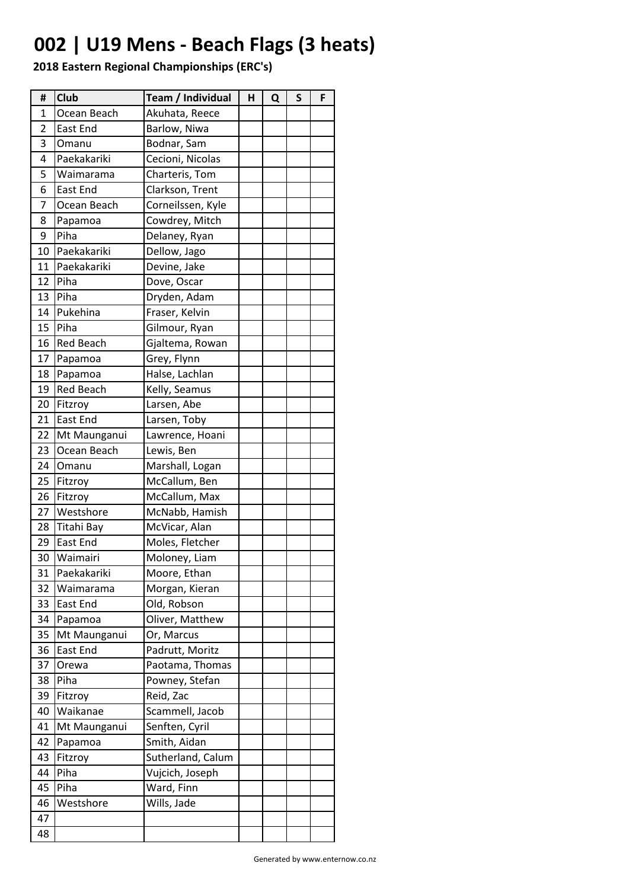## **002 | U19 Mens - Beach Flags (3 heats)**

| #              | <b>Club</b>      | Team / Individual | н | Q | S | F |
|----------------|------------------|-------------------|---|---|---|---|
| 1              | Ocean Beach      | Akuhata, Reece    |   |   |   |   |
| $\overline{2}$ | East End         | Barlow, Niwa      |   |   |   |   |
| 3              | Omanu            | Bodnar, Sam       |   |   |   |   |
| 4              | Paekakariki      | Cecioni, Nicolas  |   |   |   |   |
| 5              | Waimarama        | Charteris, Tom    |   |   |   |   |
| 6              | East End         | Clarkson, Trent   |   |   |   |   |
| 7              | Ocean Beach      | Corneilssen, Kyle |   |   |   |   |
| 8              | Papamoa          | Cowdrey, Mitch    |   |   |   |   |
| 9              | Piha             | Delaney, Ryan     |   |   |   |   |
| 10             | Paekakariki      | Dellow, Jago      |   |   |   |   |
| 11             | Paekakariki      | Devine, Jake      |   |   |   |   |
| 12             | Piha             | Dove, Oscar       |   |   |   |   |
| 13             | Piha             | Dryden, Adam      |   |   |   |   |
| 14             | Pukehina         | Fraser, Kelvin    |   |   |   |   |
| 15             | Piha             | Gilmour, Ryan     |   |   |   |   |
| 16             | <b>Red Beach</b> | Gjaltema, Rowan   |   |   |   |   |
| 17             | Papamoa          | Grey, Flynn       |   |   |   |   |
| 18             | Papamoa          | Halse, Lachlan    |   |   |   |   |
| 19             | Red Beach        | Kelly, Seamus     |   |   |   |   |
| 20             | Fitzroy          | Larsen, Abe       |   |   |   |   |
| 21             | East End         | Larsen, Toby      |   |   |   |   |
| 22             | Mt Maunganui     | Lawrence, Hoani   |   |   |   |   |
| 23             | Ocean Beach      | Lewis, Ben        |   |   |   |   |
| 24             | Omanu            | Marshall, Logan   |   |   |   |   |
| 25             | Fitzroy          | McCallum, Ben     |   |   |   |   |
| 26             | Fitzroy          | McCallum, Max     |   |   |   |   |
| 27             | Westshore        | McNabb, Hamish    |   |   |   |   |
| 28             | Titahi Bay       | McVicar, Alan     |   |   |   |   |
| 29             | East End         | Moles, Fletcher   |   |   |   |   |
| 30             | Waimairi         | Moloney, Liam     |   |   |   |   |
| 31             | Paekakariki      | Moore, Ethan      |   |   |   |   |
| 32             | Waimarama        | Morgan, Kieran    |   |   |   |   |
| 33             | East End         | Old, Robson       |   |   |   |   |
| 34             | Papamoa          | Oliver, Matthew   |   |   |   |   |
| 35             | Mt Maunganui     | Or, Marcus        |   |   |   |   |
| 36             | East End         | Padrutt, Moritz   |   |   |   |   |
| 37             | Orewa            | Paotama, Thomas   |   |   |   |   |
| 38             | Piha             | Powney, Stefan    |   |   |   |   |
| 39             | Fitzroy          | Reid, Zac         |   |   |   |   |
| 40             | Waikanae         | Scammell, Jacob   |   |   |   |   |
| 41             | Mt Maunganui     | Senften, Cyril    |   |   |   |   |
| 42             | Papamoa          | Smith, Aidan      |   |   |   |   |
| 43             | Fitzroy          | Sutherland, Calum |   |   |   |   |
| 44             | Piha             | Vujcich, Joseph   |   |   |   |   |
| 45             | Piha             | Ward, Finn        |   |   |   |   |
| 46             | Westshore        | Wills, Jade       |   |   |   |   |
| 47             |                  |                   |   |   |   |   |
| 48             |                  |                   |   |   |   |   |